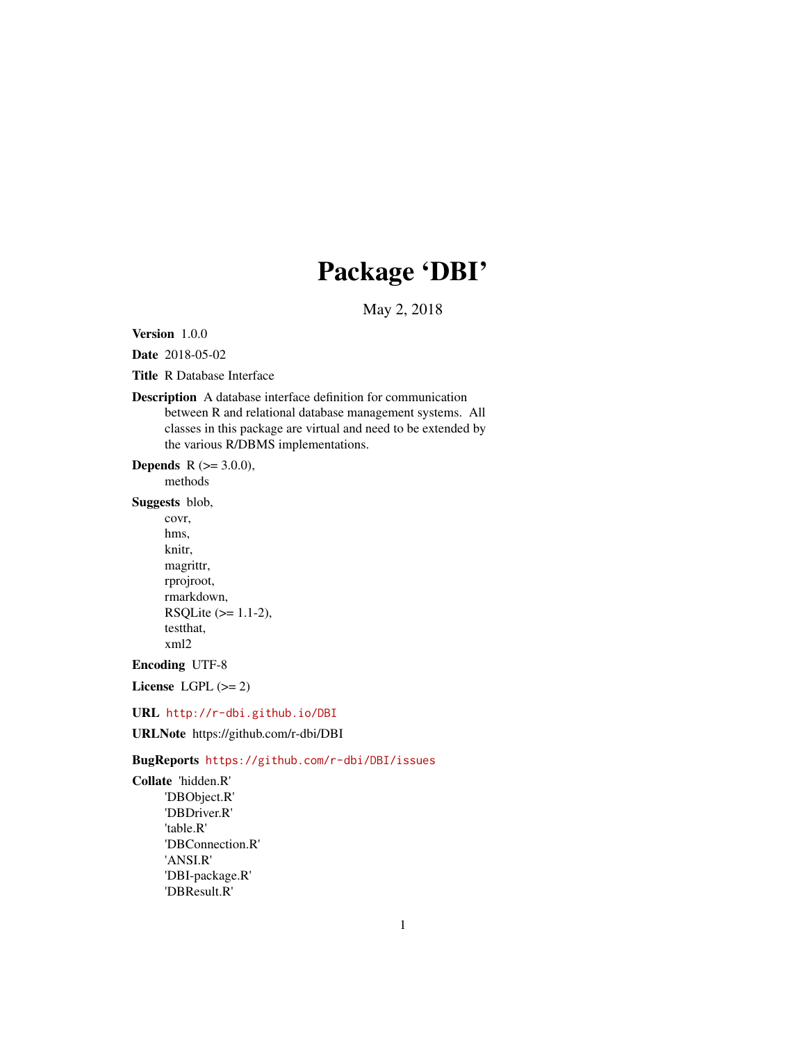# Package 'DBI'

May 2, 2018

<span id="page-0-0"></span>Version 1.0.0

Date 2018-05-02

Title R Database Interface

# Description A database interface definition for communication between R and relational database management systems. All classes in this package are virtual and need to be extended by the various R/DBMS implementations.

**Depends** R  $(>= 3.0.0)$ ,

methods

Suggests blob,

covr, hms, knitr, magrittr, rprojroot, rmarkdown, RSQLite (>= 1.1-2), testthat, xml2

Encoding UTF-8

License LGPL  $(>= 2)$ 

URL <http://r-dbi.github.io/DBI>

URLNote https://github.com/r-dbi/DBI

BugReports <https://github.com/r-dbi/DBI/issues>

Collate 'hidden.R' 'DBObject.R' 'DBDriver.R' 'table.R' 'DBConnection.R' 'ANSI.R' 'DBI-package.R' 'DBResult.R'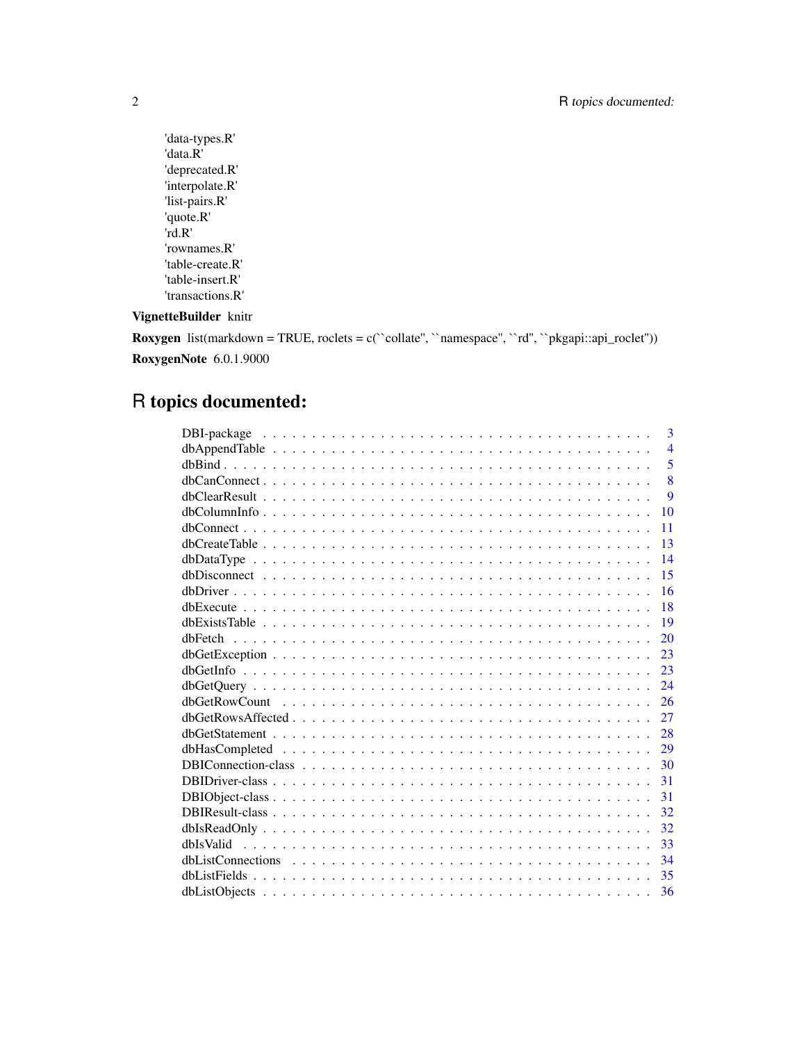```
'data-types.R'
'data.R'
'deprecated.R'
'interpolate.R'
'list-pairs.R'
'quote.R'
'rd.R'
'rownames.R'
'table-create.R'
'table-insert.R'
'transactions.R'
```
# VignetteBuilder knitr

**Roxygen** list(markdown = TRUE, roclets = c(`collate'', `namespace'', `rd'', `pkgapi::api\_roclet'')) RoxygenNote 6.0.1.9000

# R topics documented:

|    | $\overline{3}$ |
|----|----------------|
|    | $\overline{4}$ |
|    | 5              |
|    | 8              |
|    | 9              |
|    | 10             |
|    | 11             |
|    | 13             |
|    | 14             |
| 15 |                |
|    | 16             |
| 18 |                |
|    | 19             |
| 20 |                |
| 23 |                |
| 23 |                |
| 24 |                |
| 26 |                |
| 27 |                |
| 28 |                |
| 29 |                |
| 30 |                |
| 31 |                |
| 31 |                |
| 32 |                |
| 32 |                |
| 33 |                |
| 34 |                |
| 35 |                |
| 36 |                |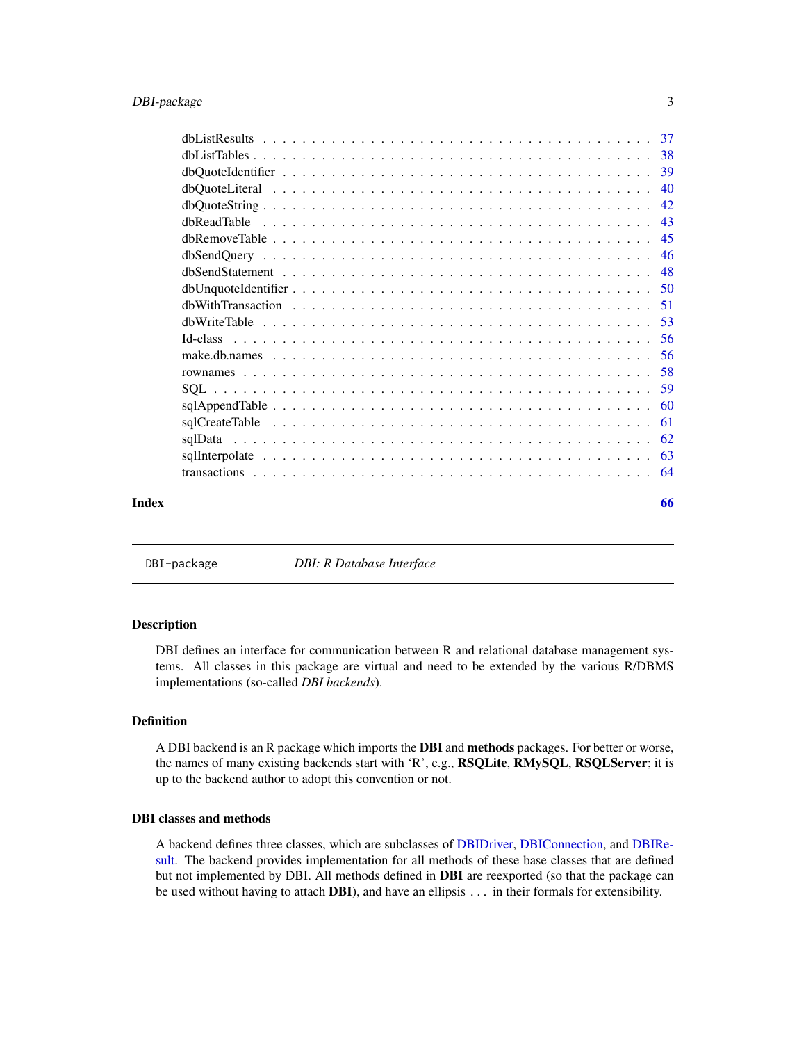<span id="page-2-0"></span>

| Index | 66 |
|-------|----|

DBI-package *DBI: R Database Interface*

#### Description

DBI defines an interface for communication between R and relational database management systems. All classes in this package are virtual and need to be extended by the various R/DBMS implementations (so-called *DBI backends*).

# Definition

A DBI backend is an R package which imports the DBI and methods packages. For better or worse, the names of many existing backends start with 'R', e.g., RSQLite, RMySQL, RSQLServer; it is up to the backend author to adopt this convention or not.

# DBI classes and methods

A backend defines three classes, which are subclasses of [DBIDriver,](#page-30-1) [DBIConnection,](#page-29-1) and [DBIRe](#page-31-1)[sult.](#page-31-1) The backend provides implementation for all methods of these base classes that are defined but not implemented by DBI. All methods defined in DBI are reexported (so that the package can be used without having to attach **DBI**), and have an ellipsis . . . in their formals for extensibility.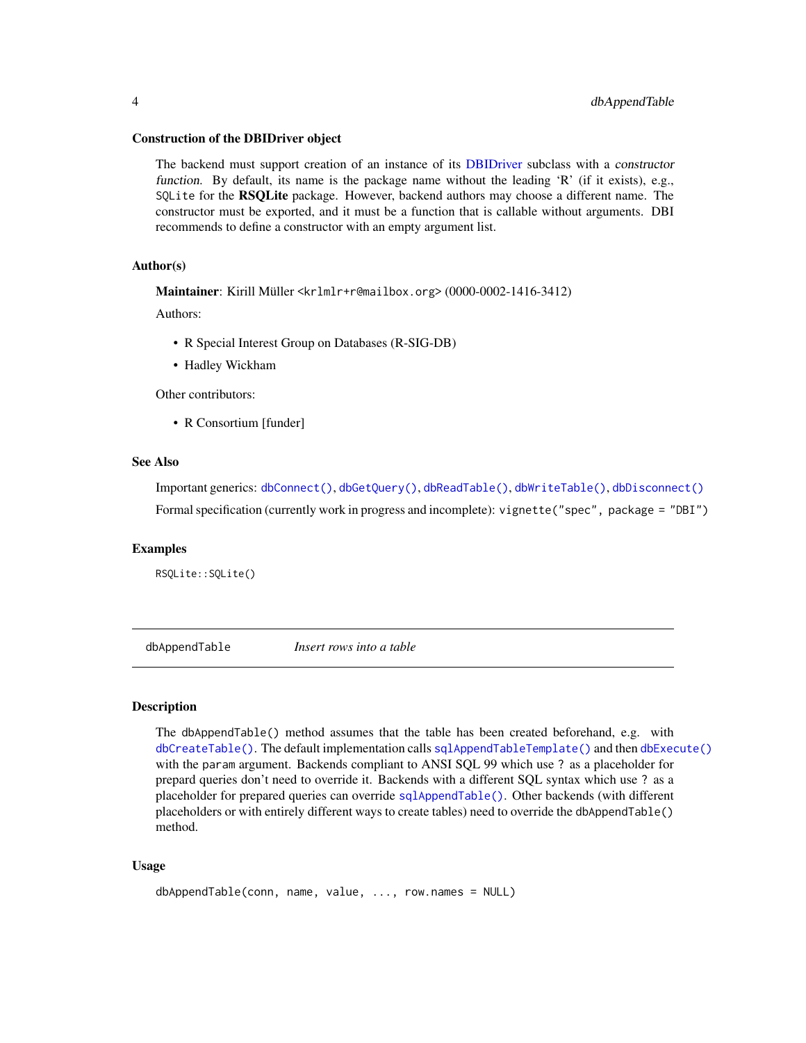#### <span id="page-3-0"></span>Construction of the DBIDriver object

The backend must support creation of an instance of its [DBIDriver](#page-30-1) subclass with a constructor function. By default, its name is the package name without the leading 'R' (if it exists), e.g., SQLite for the RSQLite package. However, backend authors may choose a different name. The constructor must be exported, and it must be a function that is callable without arguments. DBI recommends to define a constructor with an empty argument list.

# Author(s)

Maintainer: Kirill Müller <krlmlr+r@mailbox.org> (0000-0002-1416-3412)

Authors:

- R Special Interest Group on Databases (R-SIG-DB)
- Hadley Wickham

Other contributors:

• R Consortium [funder]

# See Also

Important generics: [dbConnect\(\)](#page-10-1), [dbGetQuery\(\)](#page-23-1), [dbReadTable\(\)](#page-42-1), [dbWriteTable\(\)](#page-52-1), [dbDisconnect\(\)](#page-14-1) Formal specification (currently work in progress and incomplete): vignette("spec", package = "DBI")

## Examples

RSQLite::SQLite()

<span id="page-3-1"></span>dbAppendTable *Insert rows into a table*

# Description

The dbAppendTable() method assumes that the table has been created beforehand, e.g. with [dbCreateTable\(\)](#page-12-1). The default implementation calls [sqlAppendTableTemplate\(\)](#page-59-1) and then [dbExecute\(\)](#page-17-1) with the param argument. Backends compliant to ANSI SQL 99 which use ? as a placeholder for prepard queries don't need to override it. Backends with a different SQL syntax which use ? as a placeholder for prepared queries can override [sqlAppendTable\(\)](#page-59-2). Other backends (with different placeholders or with entirely different ways to create tables) need to override the dbAppendTable() method.

#### Usage

```
dbAppendTable(conn, name, value, ..., row.names = NULL)
```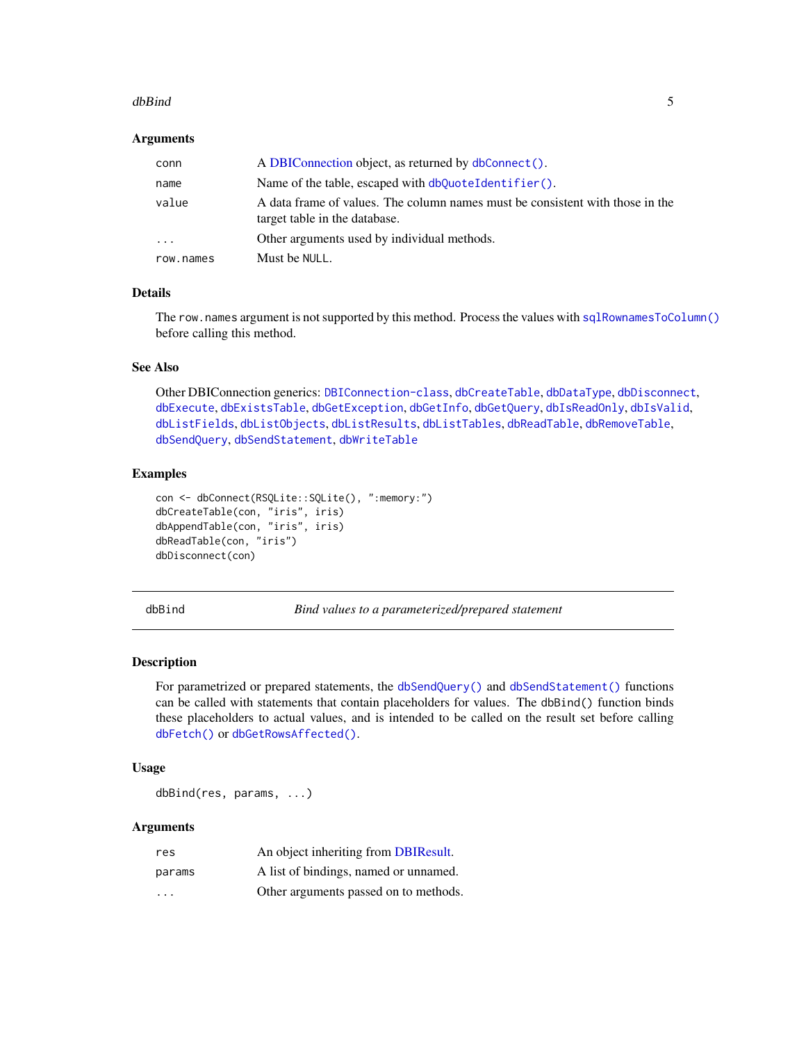#### <span id="page-4-0"></span>dbBind 55 and 55 and 55 and 55 and 55 and 55 and 55 and 55 and 55 and 55 and 55 and 55 and 55 and 55 and 55 and 55 and 55 and 55 and 55 and 55 and 55 and 55 and 55 and 55 and 55 and 55 and 55 and 55 and 55 and 55 and 55 an

# **Arguments**

| conn                    | A DBIConnection object, as returned by dbConnect().                                                            |
|-------------------------|----------------------------------------------------------------------------------------------------------------|
| name                    | Name of the table, escaped with $dbQuoteIdentifier()$ .                                                        |
| value                   | A data frame of values. The column names must be consistent with those in the<br>target table in the database. |
| $\cdot$ $\cdot$ $\cdot$ | Other arguments used by individual methods.                                                                    |
| row.names               | Must be NULL.                                                                                                  |

# Details

The row.names argument is not supported by this method. Process the values with [sqlRownamesToColumn\(\)](#page-57-1) before calling this method.

# See Also

Other DBIConnection generics: [DBIConnection-class](#page-29-1), [dbCreateTable](#page-12-1), [dbDataType](#page-13-1), [dbDisconnect](#page-14-1), [dbExecute](#page-17-1), [dbExistsTable](#page-18-1), [dbGetException](#page-22-1), [dbGetInfo](#page-22-2), [dbGetQuery](#page-23-1), [dbIsReadOnly](#page-31-2), [dbIsValid](#page-32-1), [dbListFields](#page-34-1), [dbListObjects](#page-35-1), [dbListResults](#page-36-1), [dbListTables](#page-37-1), [dbReadTable](#page-42-1), [dbRemoveTable](#page-44-1), [dbSendQuery](#page-45-1), [dbSendStatement](#page-47-1), [dbWriteTable](#page-52-1)

#### Examples

```
con <- dbConnect(RSQLite::SQLite(), ":memory:")
dbCreateTable(con, "iris", iris)
dbAppendTable(con, "iris", iris)
dbReadTable(con, "iris")
dbDisconnect(con)
```
<span id="page-4-1"></span>

dbBind *Bind values to a parameterized/prepared statement*

# Description

For parametrized or prepared statements, the [dbSendQuery\(\)](#page-45-1) and [dbSendStatement\(\)](#page-47-1) functions can be called with statements that contain placeholders for values. The dbBind() function binds these placeholders to actual values, and is intended to be called on the result set before calling [dbFetch\(\)](#page-19-1) or [dbGetRowsAffected\(\)](#page-26-1).

# Usage

dbBind(res, params, ...)

# Arguments

| res    | An object inheriting from DBIResult.  |
|--------|---------------------------------------|
| params | A list of bindings, named or unnamed. |
| .      | Other arguments passed on to methods. |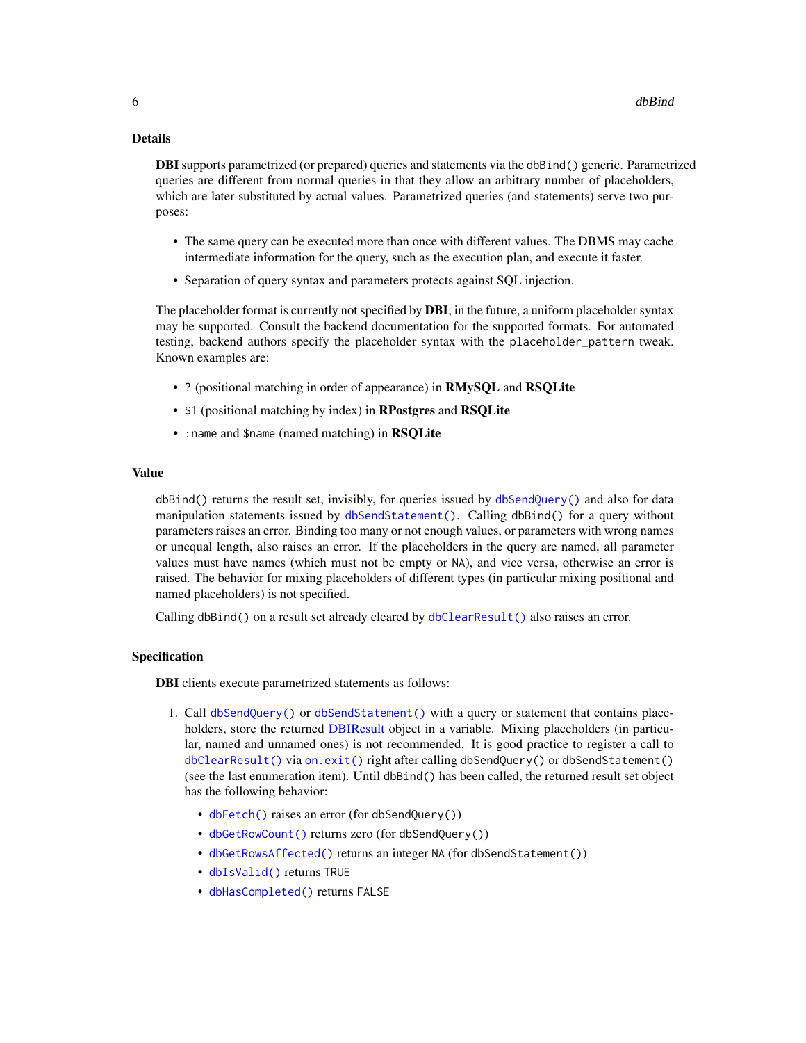# <span id="page-5-0"></span>Details

**DBI** supports parametrized (or prepared) queries and statements via the dbBind() generic. Parametrized queries are different from normal queries in that they allow an arbitrary number of placeholders, which are later substituted by actual values. Parametrized queries (and statements) serve two purposes:

- The same query can be executed more than once with different values. The DBMS may cache intermediate information for the query, such as the execution plan, and execute it faster.
- Separation of query syntax and parameters protects against SQL injection.

The placeholder format is currently not specified by **DBI**; in the future, a uniform placeholder syntax may be supported. Consult the backend documentation for the supported formats. For automated testing, backend authors specify the placeholder syntax with the placeholder\_pattern tweak. Known examples are:

- ? (positional matching in order of appearance) in RMySQL and RSQLite
- \$1 (positional matching by index) in RPostgres and RSQLite
- : name and \$name (named matching) in RSQLite

#### Value

dbBind() returns the result set, invisibly, for queries issued by [dbSendQuery\(\)](#page-45-1) and also for data manipulation statements issued by [dbSendStatement\(\)](#page-47-1). Calling dbBind() for a query without parameters raises an error. Binding too many or not enough values, or parameters with wrong names or unequal length, also raises an error. If the placeholders in the query are named, all parameter values must have names (which must not be empty or NA), and vice versa, otherwise an error is raised. The behavior for mixing placeholders of different types (in particular mixing positional and named placeholders) is not specified.

Calling dbBind() on a result set already cleared by  $dbClearResult()$  also raises an error.

#### Specification

DBI clients execute parametrized statements as follows:

- 1. Call [dbSendQuery\(\)](#page-45-1) or [dbSendStatement\(\)](#page-47-1) with a query or statement that contains placeholders, store the returned [DBIResult](#page-31-1) object in a variable. Mixing placeholders (in particular, named and unnamed ones) is not recommended. It is good practice to register a call to [dbClearResult\(\)](#page-8-1) via [on.exit\(\)](#page-0-0) right after calling dbSendQuery() or dbSendStatement() (see the last enumeration item). Until dbBind() has been called, the returned result set object has the following behavior:
	- [dbFetch\(\)](#page-19-1) raises an error (for dbSendQuery())
	- [dbGetRowCount\(\)](#page-25-1) returns zero (for dbSendQuery())
	- [dbGetRowsAffected\(\)](#page-26-1) returns an integer NA (for dbSendStatement())
	- [dbIsValid\(\)](#page-32-1) returns TRUE
	- [dbHasCompleted\(\)](#page-28-1) returns FALSE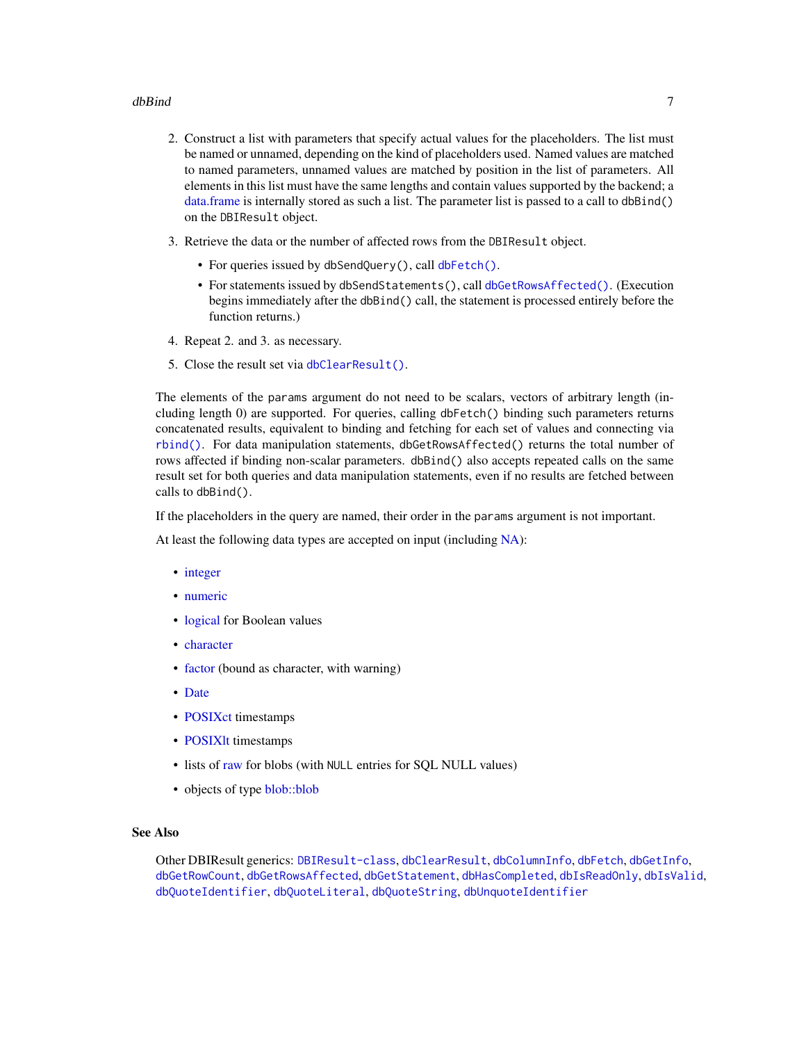# <span id="page-6-0"></span>dbBind 7 and 7 and 7 and 7 and 7 and 7 and 7 and 7 and 7 and 7 and 7 and 7 and 7 and 7 and 7 and 7 and 7 and 7

- 2. Construct a list with parameters that specify actual values for the placeholders. The list must be named or unnamed, depending on the kind of placeholders used. Named values are matched to named parameters, unnamed values are matched by position in the list of parameters. All elements in this list must have the same lengths and contain values supported by the backend; a [data.frame](#page-0-0) is internally stored as such a list. The parameter list is passed to a call to dbBind() on the DBIResult object.
- 3. Retrieve the data or the number of affected rows from the DBIResult object.
	- For queries issued by dbSendQuery(), call [dbFetch\(\)](#page-19-1).
	- For statements issued by dbSendStatements(), call [dbGetRowsAffected\(\)](#page-26-1). (Execution begins immediately after the dbBind() call, the statement is processed entirely before the function returns.)
- 4. Repeat 2. and 3. as necessary.
- 5. Close the result set via [dbClearResult\(\)](#page-8-1).

The elements of the params argument do not need to be scalars, vectors of arbitrary length (including length 0) are supported. For queries, calling dbFetch() binding such parameters returns concatenated results, equivalent to binding and fetching for each set of values and connecting via [rbind\(\)](#page-0-0). For data manipulation statements, dbGetRowsAffected() returns the total number of rows affected if binding non-scalar parameters. dbBind() also accepts repeated calls on the same result set for both queries and data manipulation statements, even if no results are fetched between calls to dbBind().

If the placeholders in the query are named, their order in the params argument is not important.

At least the following data types are accepted on input (including [NA\)](#page-0-0):

- [integer](#page-0-0)
- [numeric](#page-0-0)
- [logical](#page-0-0) for Boolean values
- [character](#page-0-0)
- [factor](#page-0-0) (bound as character, with warning)
- [Date](#page-0-0)
- [POSIXct](#page-0-0) timestamps
- POSIXIt timestamps
- lists of [raw](#page-0-0) for blobs (with NULL entries for SQL NULL values)
- objects of type [blob::blob](#page-0-0)

# See Also

Other DBIResult generics: [DBIResult-class](#page-31-1), [dbClearResult](#page-8-1), [dbColumnInfo](#page-9-1), [dbFetch](#page-19-1), [dbGetInfo](#page-22-2), [dbGetRowCount](#page-25-1), [dbGetRowsAffected](#page-26-1), [dbGetStatement](#page-27-1), [dbHasCompleted](#page-28-1), [dbIsReadOnly](#page-31-2), [dbIsValid](#page-32-1), [dbQuoteIdentifier](#page-38-1), [dbQuoteLiteral](#page-39-1), [dbQuoteString](#page-41-1), [dbUnquoteIdentifier](#page-49-1)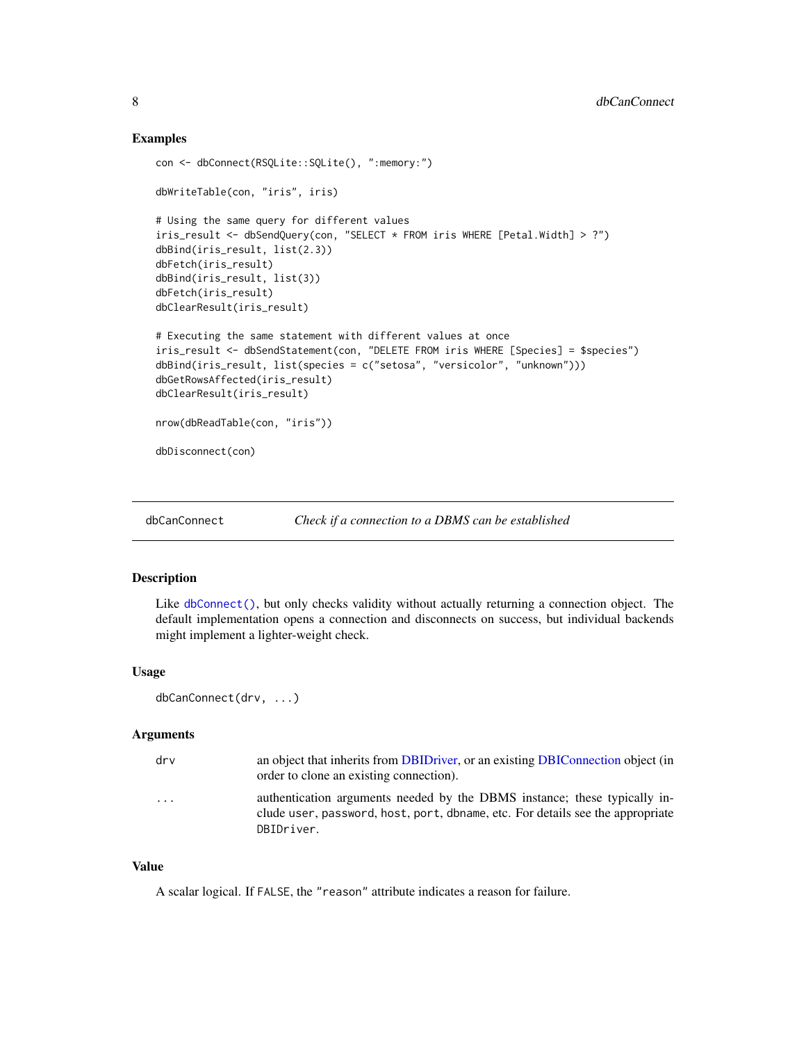# Examples

```
con <- dbConnect(RSQLite::SQLite(), ":memory:")
dbWriteTable(con, "iris", iris)
# Using the same query for different values
iris_result <- dbSendQuery(con, "SELECT * FROM iris WHERE [Petal.Width] > ?")
dbBind(iris_result, list(2.3))
dbFetch(iris_result)
dbBind(iris_result, list(3))
dbFetch(iris_result)
dbClearResult(iris_result)
# Executing the same statement with different values at once
iris_result <- dbSendStatement(con, "DELETE FROM iris WHERE [Species] = $species")
dbBind(iris_result, list(species = c("setosa", "versicolor", "unknown")))
dbGetRowsAffected(iris_result)
dbClearResult(iris_result)
nrow(dbReadTable(con, "iris"))
dbDisconnect(con)
```
<span id="page-7-1"></span>

```
dbCanConnect Check if a connection to a DBMS can be established
```
# Description

Like [dbConnect\(\)](#page-10-1), but only checks validity without actually returning a connection object. The default implementation opens a connection and disconnects on success, but individual backends might implement a lighter-weight check.

# Usage

```
dbCanConnect(drv, ...)
```
#### Arguments

| drv                     | an object that inherits from DBIDriver, or an existing DBIConnection object (in<br>order to clone an existing connection).                                                |
|-------------------------|---------------------------------------------------------------------------------------------------------------------------------------------------------------------------|
| $\cdot$ $\cdot$ $\cdot$ | authentication arguments needed by the DBMS instance; these typically in-<br>clude user, password, host, port, dbname, etc. For details see the appropriate<br>DBIDriver. |

#### Value

A scalar logical. If FALSE, the "reason" attribute indicates a reason for failure.

<span id="page-7-0"></span>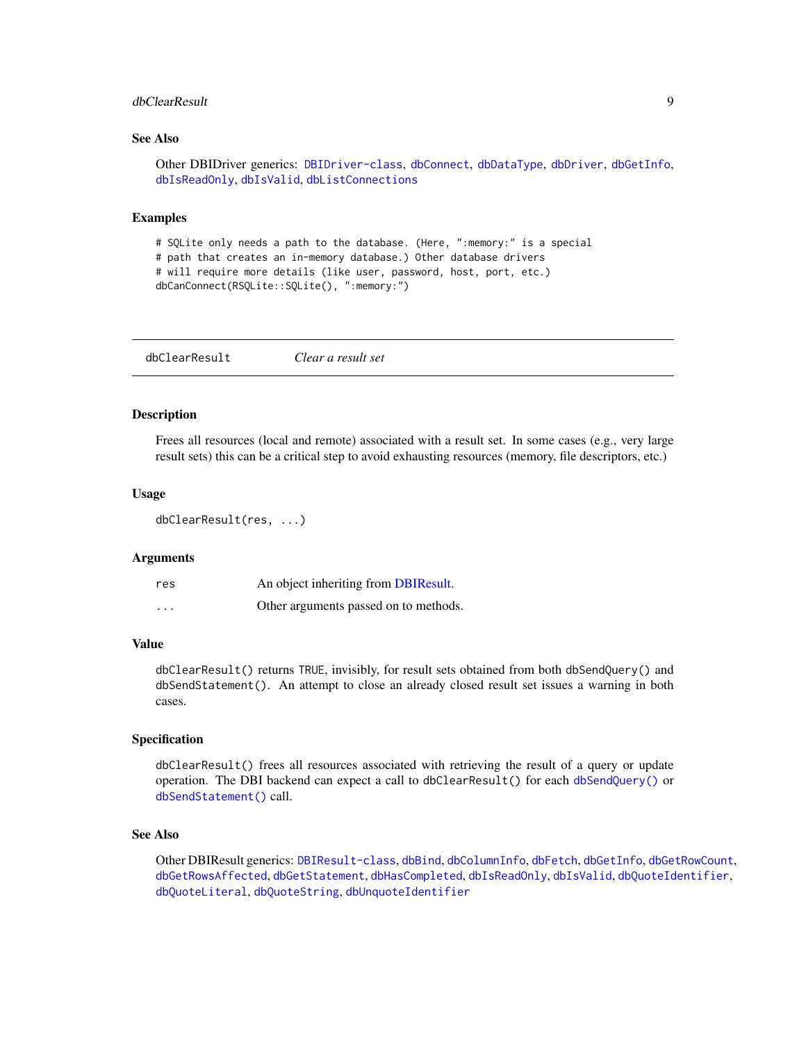# <span id="page-8-0"></span>dbClearResult 9

# See Also

```
Other DBIDriver generics: DBIDriver-class, dbConnect, dbDataType, dbDriver, dbGetInfo,
dbIsReadOnly, dbIsValid, dbListConnections
```
#### Examples

```
# SQLite only needs a path to the database. (Here, ":memory:" is a special
# path that creates an in-memory database.) Other database drivers
# will require more details (like user, password, host, port, etc.)
dbCanConnect(RSQLite::SQLite(), ":memory:")
```
<span id="page-8-1"></span>dbClearResult *Clear a result set*

# Description

Frees all resources (local and remote) associated with a result set. In some cases (e.g., very large result sets) this can be a critical step to avoid exhausting resources (memory, file descriptors, etc.)

# Usage

```
dbClearResult(res, ...)
```
#### Arguments

| res      | An object inheriting from DBIResult.  |
|----------|---------------------------------------|
| $\cdots$ | Other arguments passed on to methods. |

# Value

dbClearResult() returns TRUE, invisibly, for result sets obtained from both dbSendQuery() and dbSendStatement(). An attempt to close an already closed result set issues a warning in both cases.

#### Specification

dbClearResult() frees all resources associated with retrieving the result of a query or update operation. The DBI backend can expect a call to dbClearResult() for each [dbSendQuery\(\)](#page-45-1) or [dbSendStatement\(\)](#page-47-1) call.

# See Also

Other DBIResult generics: [DBIResult-class](#page-31-1), [dbBind](#page-4-1), [dbColumnInfo](#page-9-1), [dbFetch](#page-19-1), [dbGetInfo](#page-22-2), [dbGetRowCount](#page-25-1), [dbGetRowsAffected](#page-26-1), [dbGetStatement](#page-27-1), [dbHasCompleted](#page-28-1), [dbIsReadOnly](#page-31-2), [dbIsValid](#page-32-1), [dbQuoteIdentifier](#page-38-1), [dbQuoteLiteral](#page-39-1), [dbQuoteString](#page-41-1), [dbUnquoteIdentifier](#page-49-1)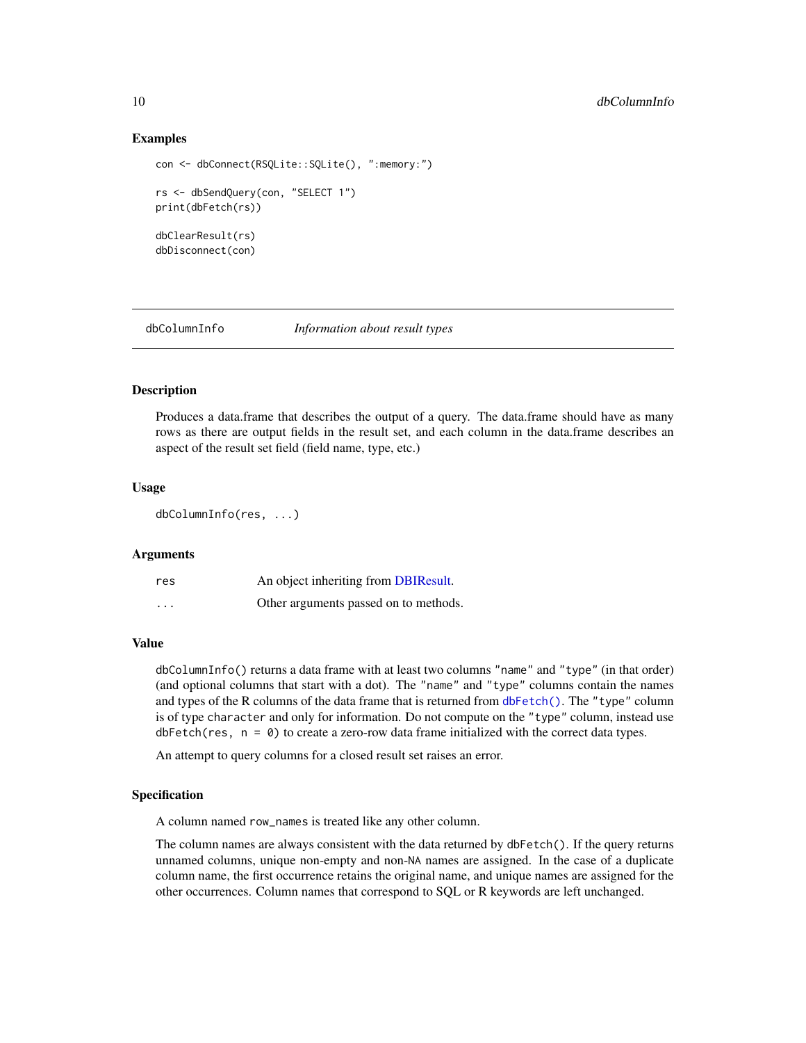# Examples

```
con <- dbConnect(RSQLite::SQLite(), ":memory:")
rs <- dbSendQuery(con, "SELECT 1")
print(dbFetch(rs))
dbClearResult(rs)
dbDisconnect(con)
```
<span id="page-9-1"></span>dbColumnInfo *Information about result types*

# **Description**

Produces a data.frame that describes the output of a query. The data.frame should have as many rows as there are output fields in the result set, and each column in the data.frame describes an aspect of the result set field (field name, type, etc.)

# Usage

dbColumnInfo(res, ...)

#### **Arguments**

| res      | An object inheriting from DBIResult.  |
|----------|---------------------------------------|
| $\cdots$ | Other arguments passed on to methods. |

# Value

dbColumnInfo() returns a data frame with at least two columns "name" and "type" (in that order) (and optional columns that start with a dot). The "name" and "type" columns contain the names and types of the R columns of the data frame that is returned from [dbFetch\(\)](#page-19-1). The "type" column is of type character and only for information. Do not compute on the "type" column, instead use  $dbFetch(res, n = 0)$  to create a zero-row data frame initialized with the correct data types.

An attempt to query columns for a closed result set raises an error.

#### Specification

A column named row\_names is treated like any other column.

The column names are always consistent with the data returned by dbFetch(). If the query returns unnamed columns, unique non-empty and non-NA names are assigned. In the case of a duplicate column name, the first occurrence retains the original name, and unique names are assigned for the other occurrences. Column names that correspond to SQL or R keywords are left unchanged.

<span id="page-9-0"></span>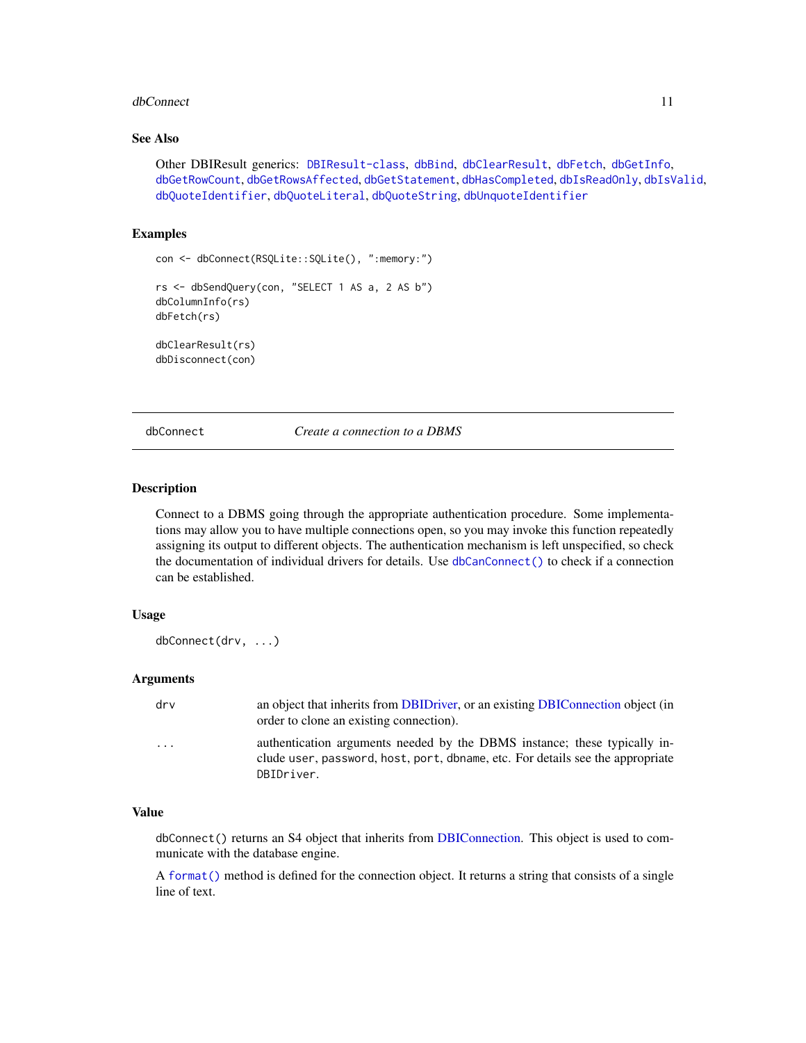#### <span id="page-10-0"></span>dbConnect 11

# See Also

Other DBIResult generics: [DBIResult-class](#page-31-1), [dbBind](#page-4-1), [dbClearResult](#page-8-1), [dbFetch](#page-19-1), [dbGetInfo](#page-22-2), [dbGetRowCount](#page-25-1), [dbGetRowsAffected](#page-26-1), [dbGetStatement](#page-27-1), [dbHasCompleted](#page-28-1), [dbIsReadOnly](#page-31-2), [dbIsValid](#page-32-1), [dbQuoteIdentifier](#page-38-1), [dbQuoteLiteral](#page-39-1), [dbQuoteString](#page-41-1), [dbUnquoteIdentifier](#page-49-1)

# Examples

```
con <- dbConnect(RSQLite::SQLite(), ":memory:")
rs <- dbSendQuery(con, "SELECT 1 AS a, 2 AS b")
dbColumnInfo(rs)
dbFetch(rs)
dbClearResult(rs)
```
dbDisconnect(con)

<span id="page-10-1"></span>dbConnect *Create a connection to a DBMS*

# Description

Connect to a DBMS going through the appropriate authentication procedure. Some implementations may allow you to have multiple connections open, so you may invoke this function repeatedly assigning its output to different objects. The authentication mechanism is left unspecified, so check the documentation of individual drivers for details. Use [dbCanConnect\(\)](#page-7-1) to check if a connection can be established.

# Usage

dbConnect(drv, ...)

#### Arguments

| drv                     | an object that inherits from DBIDriver, or an existing DBIConnection object (in<br>order to clone an existing connection).                                                |
|-------------------------|---------------------------------------------------------------------------------------------------------------------------------------------------------------------------|
| $\cdot$ $\cdot$ $\cdot$ | authentication arguments needed by the DBMS instance; these typically in-<br>clude user, password, host, port, dbname, etc. For details see the appropriate<br>DBIDriver. |

# Value

dbConnect() returns an S4 object that inherits from [DBIConnection.](#page-29-1) This object is used to communicate with the database engine.

A [format\(\)](#page-0-0) method is defined for the connection object. It returns a string that consists of a single line of text.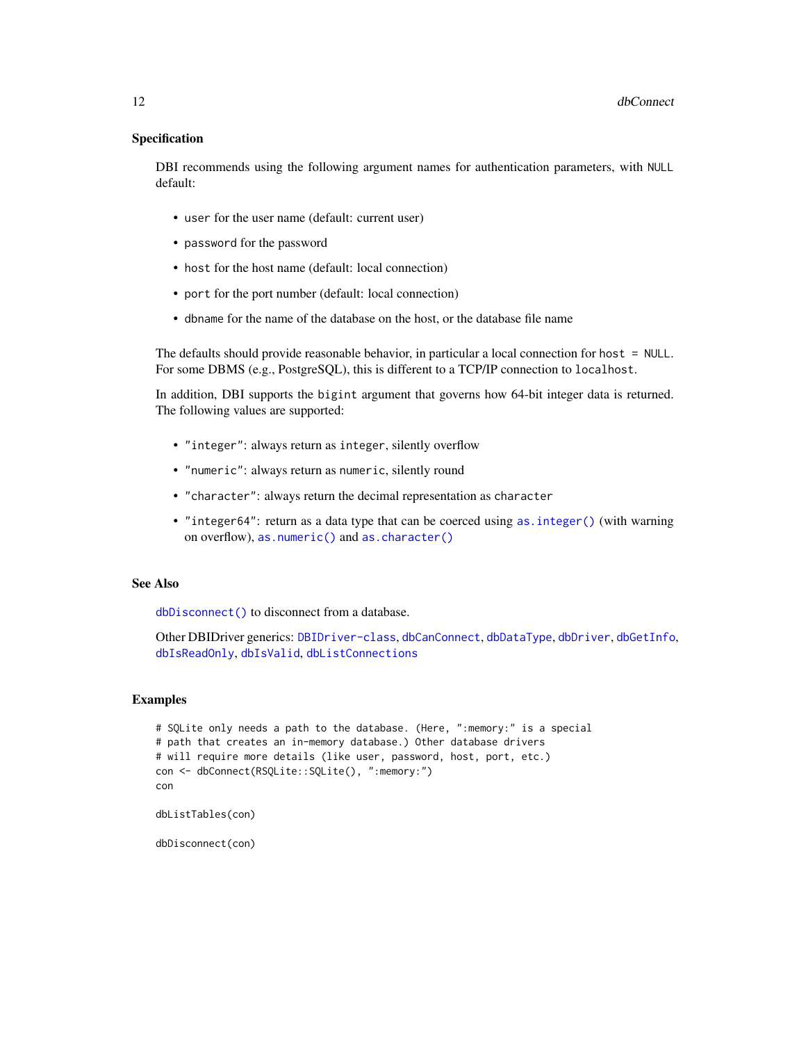# <span id="page-11-0"></span>Specification

DBI recommends using the following argument names for authentication parameters, with NULL default:

- user for the user name (default: current user)
- password for the password
- host for the host name (default: local connection)
- port for the port number (default: local connection)
- dbname for the name of the database on the host, or the database file name

The defaults should provide reasonable behavior, in particular a local connection for host  $=$  NULL. For some DBMS (e.g., PostgreSQL), this is different to a TCP/IP connection to localhost.

In addition, DBI supports the bigint argument that governs how 64-bit integer data is returned. The following values are supported:

- "integer": always return as integer, silently overflow
- "numeric": always return as numeric, silently round
- "character": always return the decimal representation as character
- "integer64": return as a data type that can be coerced using [as.integer\(\)](#page-0-0) (with warning on overflow), [as.numeric\(\)](#page-0-0) and [as.character\(\)](#page-0-0)

# See Also

[dbDisconnect\(\)](#page-14-1) to disconnect from a database.

Other DBIDriver generics: [DBIDriver-class](#page-30-1), [dbCanConnect](#page-7-1), [dbDataType](#page-13-1), [dbDriver](#page-15-1), [dbGetInfo](#page-22-2), [dbIsReadOnly](#page-31-2), [dbIsValid](#page-32-1), [dbListConnections](#page-33-1)

# Examples

```
# SQLite only needs a path to the database. (Here, ":memory:" is a special
# path that creates an in-memory database.) Other database drivers
# will require more details (like user, password, host, port, etc.)
con <- dbConnect(RSQLite::SQLite(), ":memory:")
con
dbListTables(con)
```
dbDisconnect(con)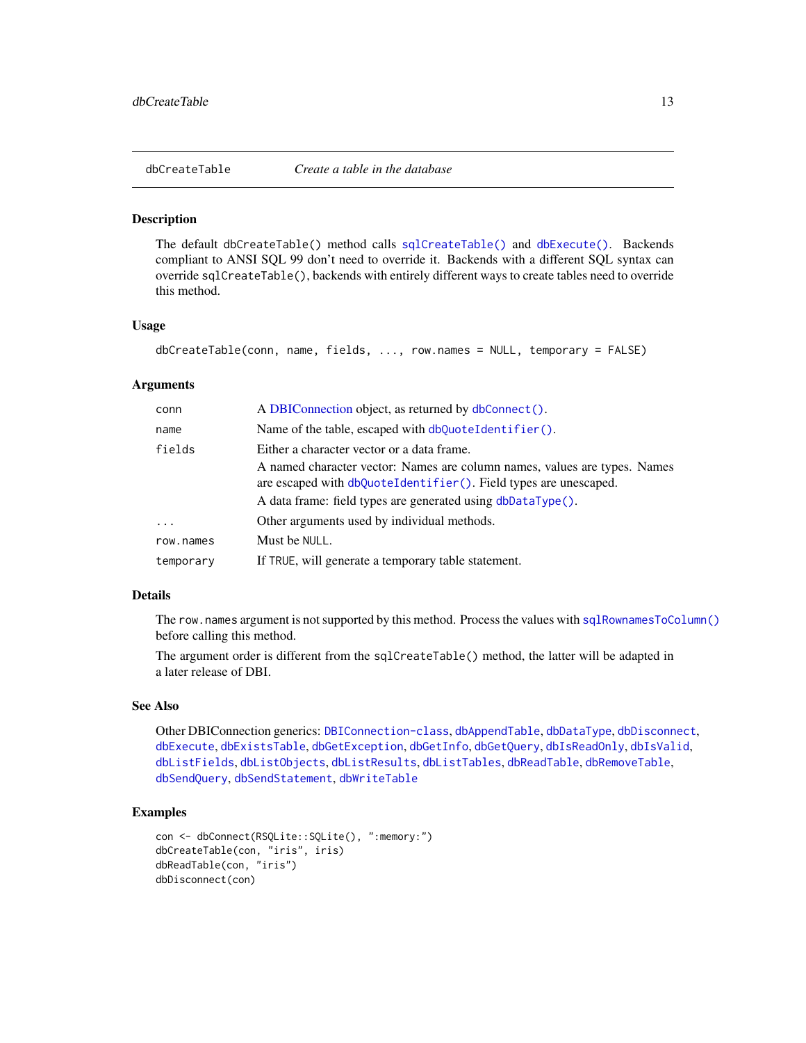<span id="page-12-1"></span><span id="page-12-0"></span>

#### **Description**

The default dbCreateTable() method calls [sqlCreateTable\(\)](#page-60-1) and [dbExecute\(\)](#page-17-1). Backends compliant to ANSI SQL 99 don't need to override it. Backends with a different SQL syntax can override sqlCreateTable(), backends with entirely different ways to create tables need to override this method.

#### Usage

```
dbCreateTable(conn, name, fields, ..., row.names = NULL, temporary = FALSE)
```
# Arguments

| conn      | A DBIConnection object, as returned by dbConnect().                                                                                           |
|-----------|-----------------------------------------------------------------------------------------------------------------------------------------------|
| name      | Name of the table, escaped with $dbQuoteldentifier()$ .                                                                                       |
| fields    | Either a character vector or a data frame.                                                                                                    |
|           | A named character vector: Names are column names, values are types. Names<br>are escaped with dbQuoteIdentifier(). Field types are unescaped. |
|           | A data frame: field types are generated using dbDataType().                                                                                   |
| $\ddots$  | Other arguments used by individual methods.                                                                                                   |
| row.names | Must be NULL.                                                                                                                                 |
| temporary | If TRUE, will generate a temporary table statement.                                                                                           |

# Details

The row.names argument is not supported by this method. Process the values with [sqlRownamesToColumn\(\)](#page-57-1) before calling this method.

The argument order is different from the sqlCreateTable() method, the latter will be adapted in a later release of DBI.

#### See Also

Other DBIConnection generics: [DBIConnection-class](#page-29-1), [dbAppendTable](#page-3-1), [dbDataType](#page-13-1), [dbDisconnect](#page-14-1), [dbExecute](#page-17-1), [dbExistsTable](#page-18-1), [dbGetException](#page-22-1), [dbGetInfo](#page-22-2), [dbGetQuery](#page-23-1), [dbIsReadOnly](#page-31-2), [dbIsValid](#page-32-1), [dbListFields](#page-34-1), [dbListObjects](#page-35-1), [dbListResults](#page-36-1), [dbListTables](#page-37-1), [dbReadTable](#page-42-1), [dbRemoveTable](#page-44-1), [dbSendQuery](#page-45-1), [dbSendStatement](#page-47-1), [dbWriteTable](#page-52-1)

# Examples

```
con <- dbConnect(RSQLite::SQLite(), ":memory:")
dbCreateTable(con, "iris", iris)
dbReadTable(con, "iris")
dbDisconnect(con)
```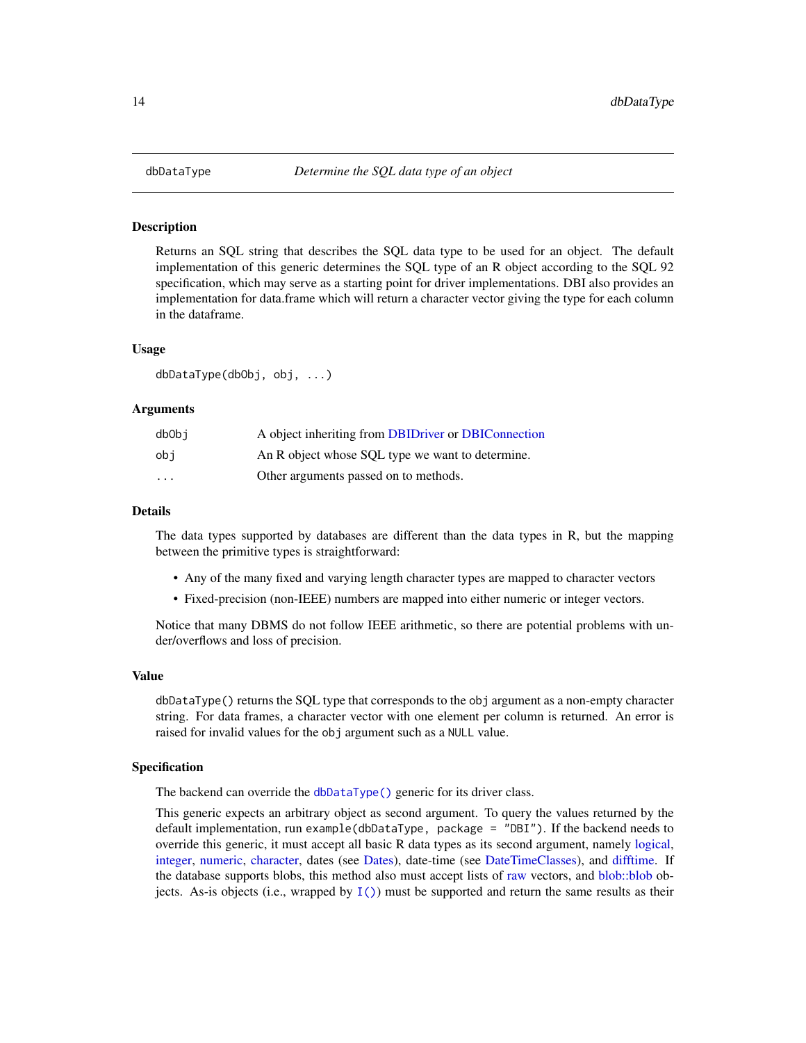# Description

Returns an SQL string that describes the SQL data type to be used for an object. The default implementation of this generic determines the SQL type of an R object according to the SQL 92 specification, which may serve as a starting point for driver implementations. DBI also provides an implementation for data.frame which will return a character vector giving the type for each column in the dataframe.

# Usage

dbDataType(dbObj, obj, ...)

#### Arguments

| dbObi    | A object inheriting from DBIDriver or DBIConnection |
|----------|-----------------------------------------------------|
| obi      | An R object whose SQL type we want to determine.    |
| $\cdots$ | Other arguments passed on to methods.               |

#### Details

The data types supported by databases are different than the data types in R, but the mapping between the primitive types is straightforward:

- Any of the many fixed and varying length character types are mapped to character vectors
- Fixed-precision (non-IEEE) numbers are mapped into either numeric or integer vectors.

Notice that many DBMS do not follow IEEE arithmetic, so there are potential problems with under/overflows and loss of precision.

# Value

dbDataType() returns the SQL type that corresponds to the obj argument as a non-empty character string. For data frames, a character vector with one element per column is returned. An error is raised for invalid values for the obj argument such as a NULL value.

#### Specification

The backend can override the [dbDataType\(\)](#page-13-1) generic for its driver class.

This generic expects an arbitrary object as second argument. To query the values returned by the default implementation, run example(dbDataType, package = "DBI"). If the backend needs to override this generic, it must accept all basic R data types as its second argument, namely [logical,](#page-0-0) [integer,](#page-0-0) [numeric,](#page-0-0) [character,](#page-0-0) dates (see [Dates\)](#page-0-0), date-time (see [DateTimeClasses\)](#page-0-0), and [difftime.](#page-0-0) If the database supports blobs, this method also must accept lists of [raw](#page-0-0) vectors, and [blob::blob](#page-0-0) objects. As-is objects (i.e., wrapped by  $I()$ ) must be supported and return the same results as their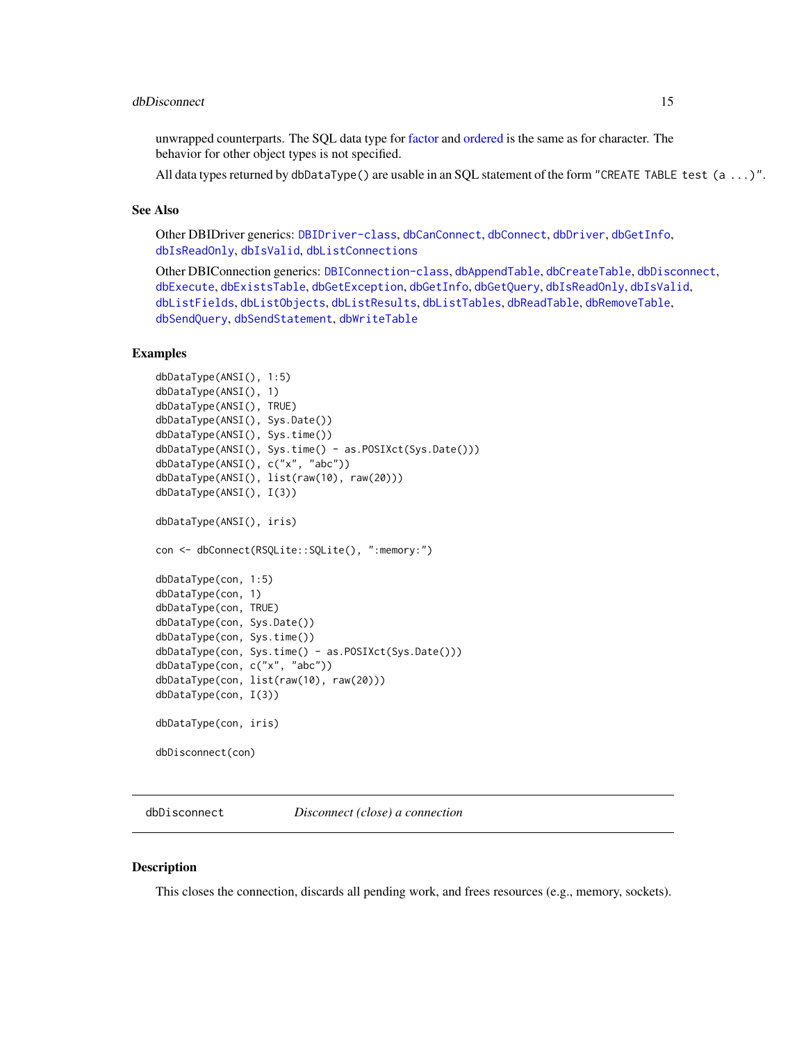# <span id="page-14-0"></span>dbDisconnect 15

unwrapped counterparts. The SQL data type for [factor](#page-0-0) and [ordered](#page-0-0) is the same as for character. The behavior for other object types is not specified.

All data types returned by dbDataType() are usable in an SQL statement of the form "CREATE TABLE test (a ...)".

# See Also

Other DBIDriver generics: [DBIDriver-class](#page-30-1), [dbCanConnect](#page-7-1), [dbConnect](#page-10-1), [dbDriver](#page-15-1), [dbGetInfo](#page-22-2), [dbIsReadOnly](#page-31-2), [dbIsValid](#page-32-1), [dbListConnections](#page-33-1)

Other DBIConnection generics: [DBIConnection-class](#page-29-1), [dbAppendTable](#page-3-1), [dbCreateTable](#page-12-1), [dbDisconnect](#page-14-1), [dbExecute](#page-17-1), [dbExistsTable](#page-18-1), [dbGetException](#page-22-1), [dbGetInfo](#page-22-2), [dbGetQuery](#page-23-1), [dbIsReadOnly](#page-31-2), [dbIsValid](#page-32-1), [dbListFields](#page-34-1), [dbListObjects](#page-35-1), [dbListResults](#page-36-1), [dbListTables](#page-37-1), [dbReadTable](#page-42-1), [dbRemoveTable](#page-44-1), [dbSendQuery](#page-45-1), [dbSendStatement](#page-47-1), [dbWriteTable](#page-52-1)

# Examples

```
dbDataType(ANSI(), 1:5)
dbDataType(ANSI(), 1)
dbDataType(ANSI(), TRUE)
dbDataType(ANSI(), Sys.Date())
dbDataType(ANSI(), Sys.time())
dbDataType(ANSI(), Sys.time() - as.POSIXct(Sys.Date()))
dbDataType(ANSI(), c("x", "abc"))
dbDataType(ANSI(), list(raw(10), raw(20)))
dbDataType(ANSI(), I(3))
dbDataType(ANSI(), iris)
con <- dbConnect(RSQLite::SQLite(), ":memory:")
dbDataType(con, 1:5)
dbDataType(con, 1)
dbDataType(con, TRUE)
dbDataType(con, Sys.Date())
dbDataType(con, Sys.time())
dbDataType(con, Sys.time() - as.POSIXct(Sys.Date()))
dbDataType(con, c("x", "abc"))
dbDataType(con, list(raw(10), raw(20)))
dbDataType(con, I(3))
dbDataType(con, iris)
dbDisconnect(con)
```
<span id="page-14-1"></span>dbDisconnect *Disconnect (close) a connection*

# Description

This closes the connection, discards all pending work, and frees resources (e.g., memory, sockets).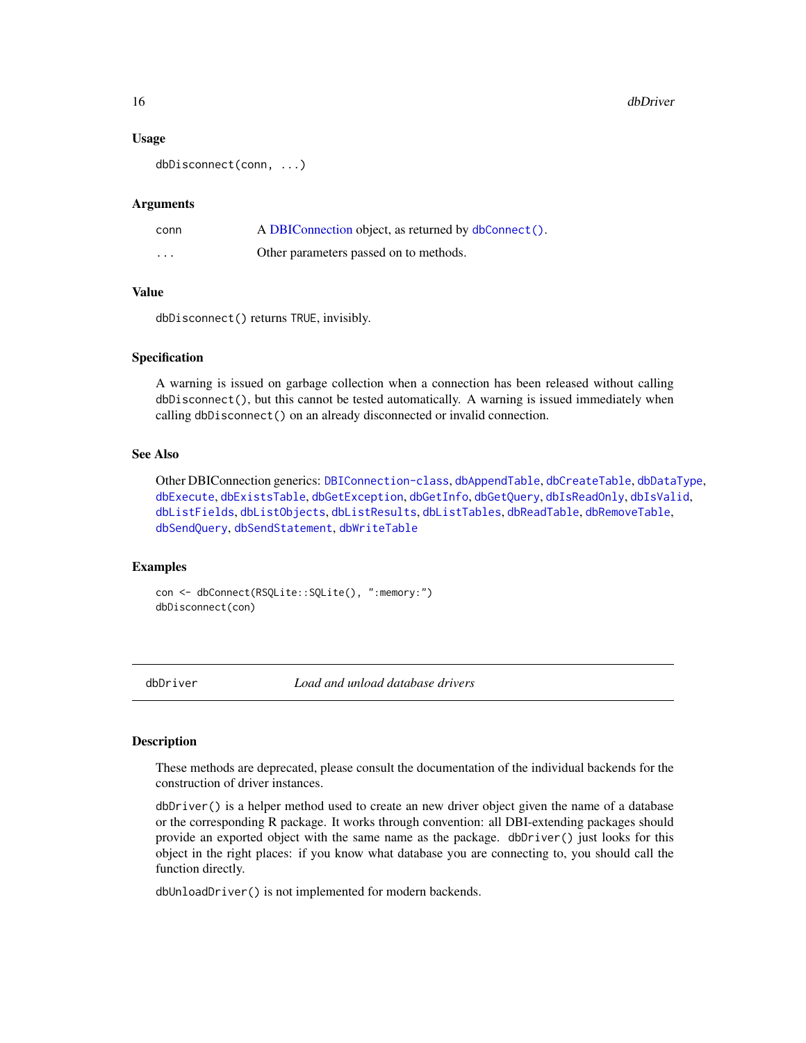#### <span id="page-15-0"></span>16 dbDriver

# Usage

dbDisconnect(conn, ...)

#### Arguments

| conn     | A DBIConnection object, as returned by dbConnect(). |
|----------|-----------------------------------------------------|
| $\cdots$ | Other parameters passed on to methods.              |

#### Value

dbDisconnect() returns TRUE, invisibly.

# Specification

A warning is issued on garbage collection when a connection has been released without calling dbDisconnect(), but this cannot be tested automatically. A warning is issued immediately when calling dbDisconnect() on an already disconnected or invalid connection.

# See Also

Other DBIConnection generics: [DBIConnection-class](#page-29-1), [dbAppendTable](#page-3-1), [dbCreateTable](#page-12-1), [dbDataType](#page-13-1), [dbExecute](#page-17-1), [dbExistsTable](#page-18-1), [dbGetException](#page-22-1), [dbGetInfo](#page-22-2), [dbGetQuery](#page-23-1), [dbIsReadOnly](#page-31-2), [dbIsValid](#page-32-1), [dbListFields](#page-34-1), [dbListObjects](#page-35-1), [dbListResults](#page-36-1), [dbListTables](#page-37-1), [dbReadTable](#page-42-1), [dbRemoveTable](#page-44-1), [dbSendQuery](#page-45-1), [dbSendStatement](#page-47-1), [dbWriteTable](#page-52-1)

#### Examples

```
con <- dbConnect(RSQLite::SQLite(), ":memory:")
dbDisconnect(con)
```
<span id="page-15-1"></span>dbDriver *Load and unload database drivers*

#### Description

These methods are deprecated, please consult the documentation of the individual backends for the construction of driver instances.

dbDriver() is a helper method used to create an new driver object given the name of a database or the corresponding R package. It works through convention: all DBI-extending packages should provide an exported object with the same name as the package. dbDriver() just looks for this object in the right places: if you know what database you are connecting to, you should call the function directly.

dbUnloadDriver() is not implemented for modern backends.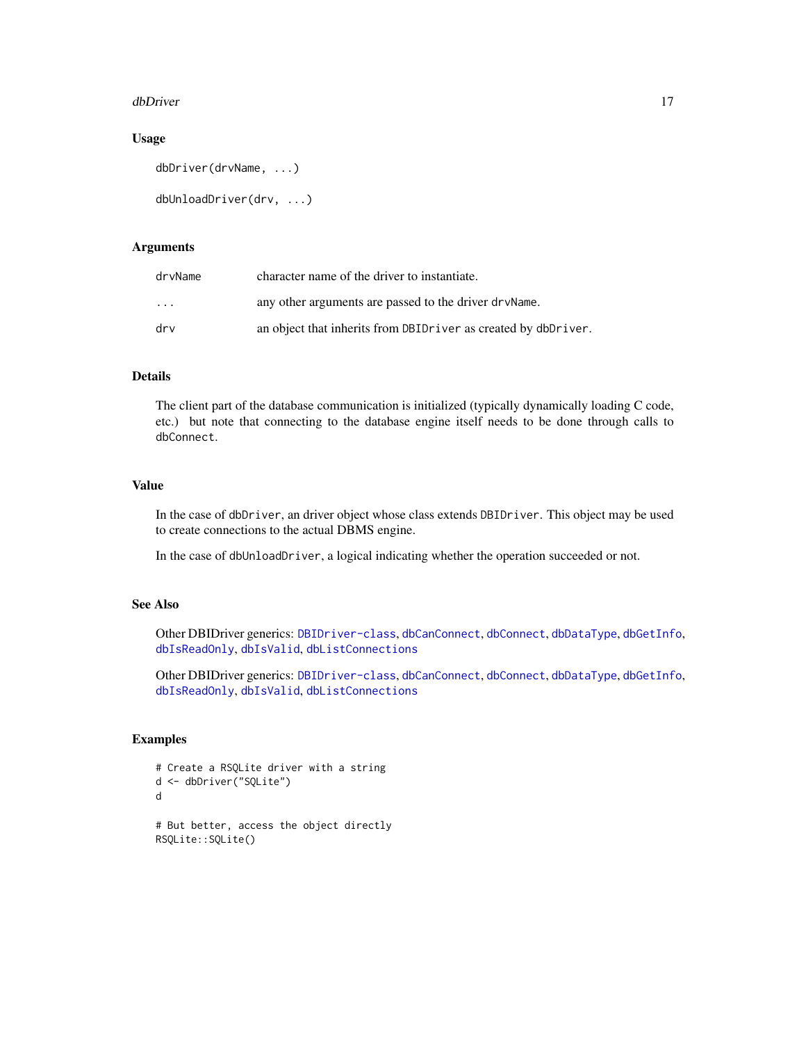#### <span id="page-16-0"></span>dbDriver and the state of the state of the state of the state of the state of the state of the state of the state of the state of the state of the state of the state of the state of the state of the state of the state of t

# Usage

```
dbDriver(drvName, ...)
```

```
dbUnloadDriver(drv, ...)
```
# **Arguments**

| drvName                 | character name of the driver to instantiate.                   |
|-------------------------|----------------------------------------------------------------|
| $\cdot$ $\cdot$ $\cdot$ | any other arguments are passed to the driver dry Name.         |
| drv                     | an object that inherits from DBIDriver as created by dbDriver. |

# Details

The client part of the database communication is initialized (typically dynamically loading C code, etc.) but note that connecting to the database engine itself needs to be done through calls to dbConnect.

# Value

In the case of dbDriver, an driver object whose class extends DBIDriver. This object may be used to create connections to the actual DBMS engine.

In the case of dbUnloadDriver, a logical indicating whether the operation succeeded or not.

# See Also

Other DBIDriver generics: [DBIDriver-class](#page-30-1), [dbCanConnect](#page-7-1), [dbConnect](#page-10-1), [dbDataType](#page-13-1), [dbGetInfo](#page-22-2), [dbIsReadOnly](#page-31-2), [dbIsValid](#page-32-1), [dbListConnections](#page-33-1)

Other DBIDriver generics: [DBIDriver-class](#page-30-1), [dbCanConnect](#page-7-1), [dbConnect](#page-10-1), [dbDataType](#page-13-1), [dbGetInfo](#page-22-2), [dbIsReadOnly](#page-31-2), [dbIsValid](#page-32-1), [dbListConnections](#page-33-1)

# Examples

```
# Create a RSQLite driver with a string
d <- dbDriver("SQLite")
d
# But better, access the object directly
RSQLite::SQLite()
```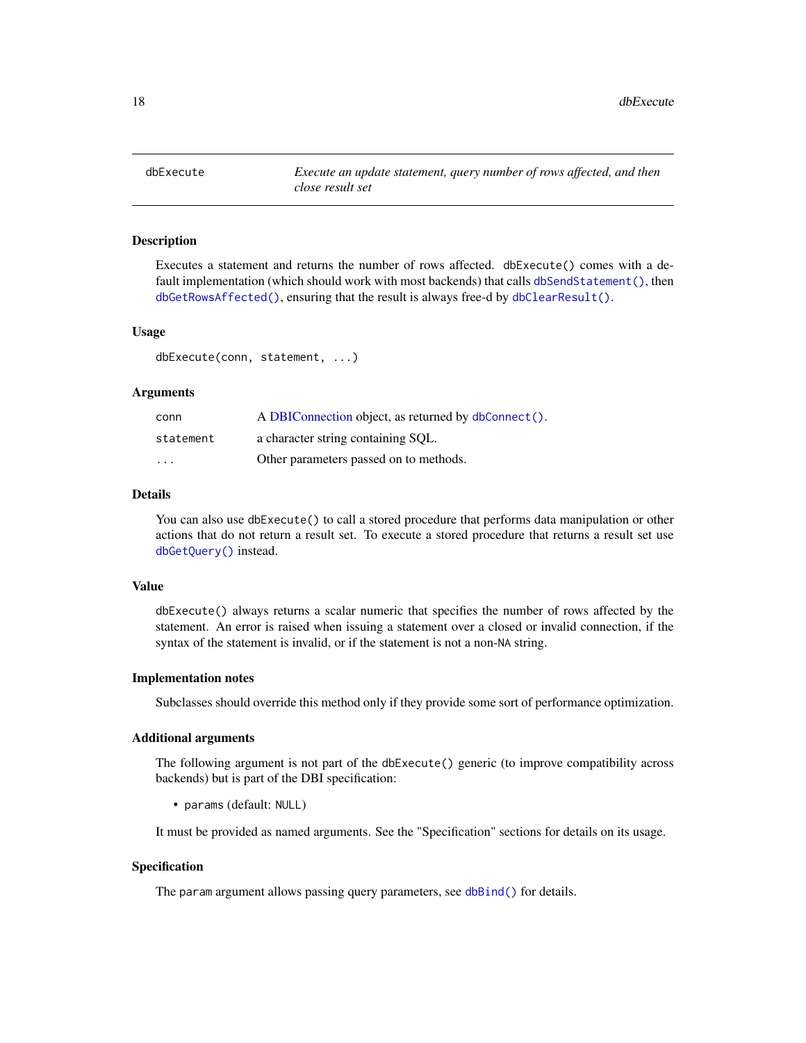<span id="page-17-1"></span><span id="page-17-0"></span>

# Description

Executes a statement and returns the number of rows affected. dbExecute() comes with a default implementation (which should work with most backends) that calls [dbSendStatement\(\)](#page-47-1), then [dbGetRowsAffected\(\)](#page-26-1), ensuring that the result is always free-d by [dbClearResult\(\)](#page-8-1).

# Usage

dbExecute(conn, statement, ...)

# Arguments

| conn      | A DBIConnection object, as returned by dbConnect(). |
|-----------|-----------------------------------------------------|
| statement | a character string containing SOL.                  |
| $\cdots$  | Other parameters passed on to methods.              |

# Details

You can also use dbExecute() to call a stored procedure that performs data manipulation or other actions that do not return a result set. To execute a stored procedure that returns a result set use [dbGetQuery\(\)](#page-23-1) instead.

# Value

dbExecute() always returns a scalar numeric that specifies the number of rows affected by the statement. An error is raised when issuing a statement over a closed or invalid connection, if the syntax of the statement is invalid, or if the statement is not a non-NA string.

#### Implementation notes

Subclasses should override this method only if they provide some sort of performance optimization.

# Additional arguments

The following argument is not part of the dbExecute() generic (to improve compatibility across backends) but is part of the DBI specification:

• params (default: NULL)

It must be provided as named arguments. See the "Specification" sections for details on its usage.

# Specification

The param argument allows passing query parameters, see [dbBind\(\)](#page-4-1) for details.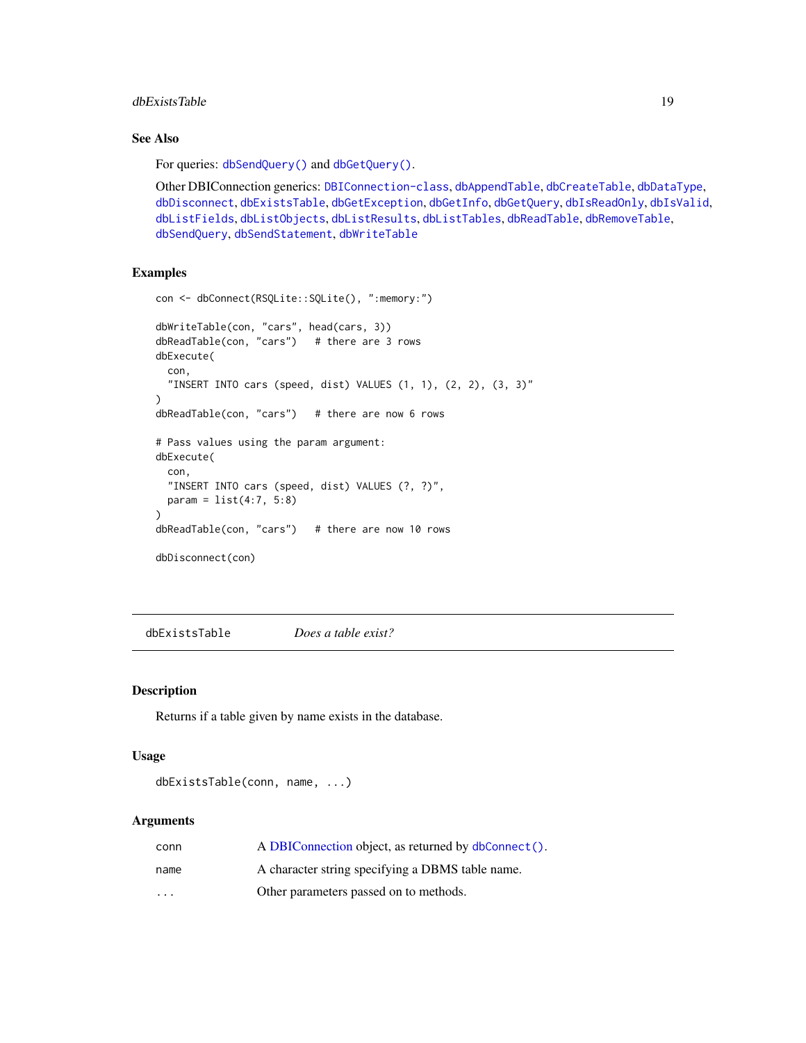# <span id="page-18-0"></span>dbExistsTable 19

# See Also

For queries: [dbSendQuery\(\)](#page-45-1) and [dbGetQuery\(\)](#page-23-1).

Other DBIConnection generics: [DBIConnection-class](#page-29-1), [dbAppendTable](#page-3-1), [dbCreateTable](#page-12-1), [dbDataType](#page-13-1), [dbDisconnect](#page-14-1), [dbExistsTable](#page-18-1), [dbGetException](#page-22-1), [dbGetInfo](#page-22-2), [dbGetQuery](#page-23-1), [dbIsReadOnly](#page-31-2), [dbIsValid](#page-32-1), [dbListFields](#page-34-1), [dbListObjects](#page-35-1), [dbListResults](#page-36-1), [dbListTables](#page-37-1), [dbReadTable](#page-42-1), [dbRemoveTable](#page-44-1), [dbSendQuery](#page-45-1), [dbSendStatement](#page-47-1), [dbWriteTable](#page-52-1)

# Examples

```
con <- dbConnect(RSQLite::SQLite(), ":memory:")
dbWriteTable(con, "cars", head(cars, 3))
dbReadTable(con, "cars") # there are 3 rows
dbExecute(
 con,
  "INSERT INTO cars (speed, dist) VALUES (1, 1), (2, 2), (3, 3)"
\mathcal{L}dbReadTable(con, "cars") # there are now 6 rows
# Pass values using the param argument:
dbExecute(
 con,
 "INSERT INTO cars (speed, dist) VALUES (?, ?)",
 param = list(4:7, 5:8))
dbReadTable(con, "cars") # there are now 10 rows
dbDisconnect(con)
```
<span id="page-18-1"></span>dbExistsTable *Does a table exist?*

#### Description

Returns if a table given by name exists in the database.

# Usage

```
dbExistsTable(conn, name, ...)
```
#### **Arguments**

| conn     | A DBIConnection object, as returned by dbConnect(). |
|----------|-----------------------------------------------------|
| name     | A character string specifying a DBMS table name.    |
| $\cdots$ | Other parameters passed on to methods.              |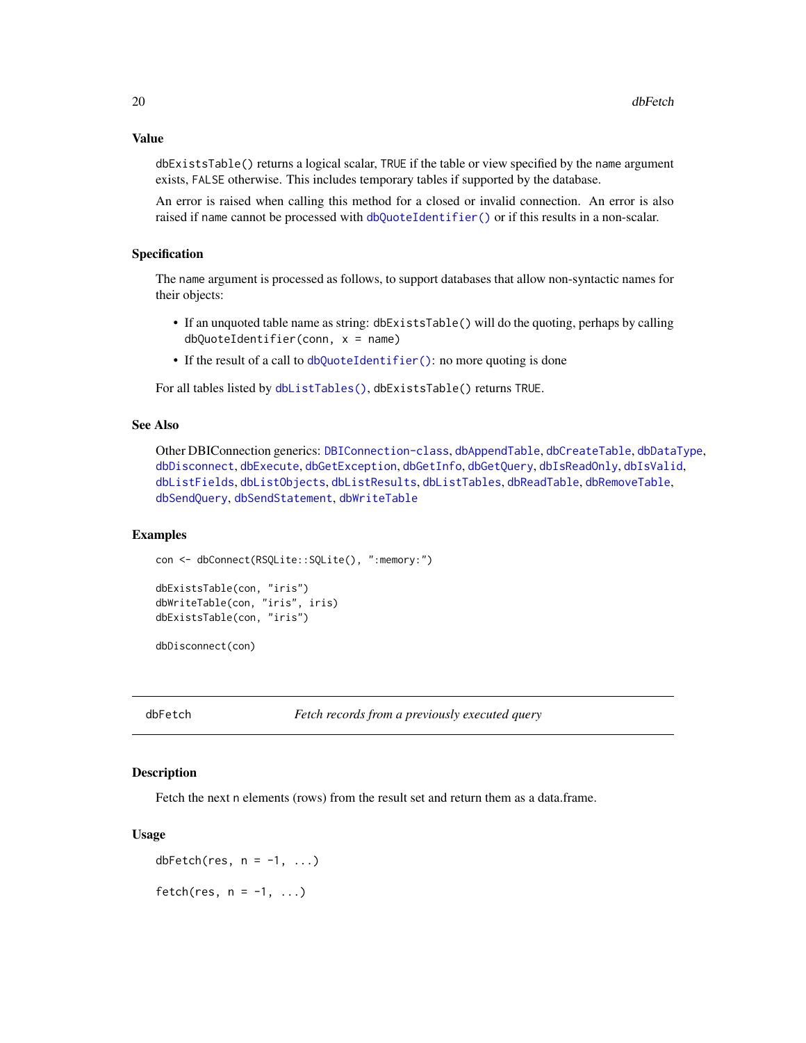<span id="page-19-0"></span>dbExistsTable() returns a logical scalar, TRUE if the table or view specified by the name argument exists, FALSE otherwise. This includes temporary tables if supported by the database.

An error is raised when calling this method for a closed or invalid connection. An error is also raised if name cannot be processed with [dbQuoteIdentifier\(\)](#page-38-1) or if this results in a non-scalar.

# Specification

The name argument is processed as follows, to support databases that allow non-syntactic names for their objects:

- If an unquoted table name as string: dbExistsTable() will do the quoting, perhaps by calling dbQuoteIdentifier(conn, x = name)
- If the result of a call to [dbQuoteIdentifier\(\)](#page-38-1): no more quoting is done

For all tables listed by [dbListTables\(\)](#page-37-1), dbExistsTable() returns TRUE.

# See Also

Other DBIConnection generics: [DBIConnection-class](#page-29-1), [dbAppendTable](#page-3-1), [dbCreateTable](#page-12-1), [dbDataType](#page-13-1), [dbDisconnect](#page-14-1), [dbExecute](#page-17-1), [dbGetException](#page-22-1), [dbGetInfo](#page-22-2), [dbGetQuery](#page-23-1), [dbIsReadOnly](#page-31-2), [dbIsValid](#page-32-1), [dbListFields](#page-34-1), [dbListObjects](#page-35-1), [dbListResults](#page-36-1), [dbListTables](#page-37-1), [dbReadTable](#page-42-1), [dbRemoveTable](#page-44-1), [dbSendQuery](#page-45-1), [dbSendStatement](#page-47-1), [dbWriteTable](#page-52-1)

#### Examples

```
con <- dbConnect(RSQLite::SQLite(), ":memory:")
```

```
dbExistsTable(con, "iris")
dbWriteTable(con, "iris", iris)
dbExistsTable(con, "iris")
```
dbDisconnect(con)

<span id="page-19-1"></span>dbFetch *Fetch records from a previously executed query*

# Description

Fetch the next n elements (rows) from the result set and return them as a data.frame.

#### Usage

dbFetch(res,  $n = -1, ...$ ) fetch(res,  $n = -1, ...$ )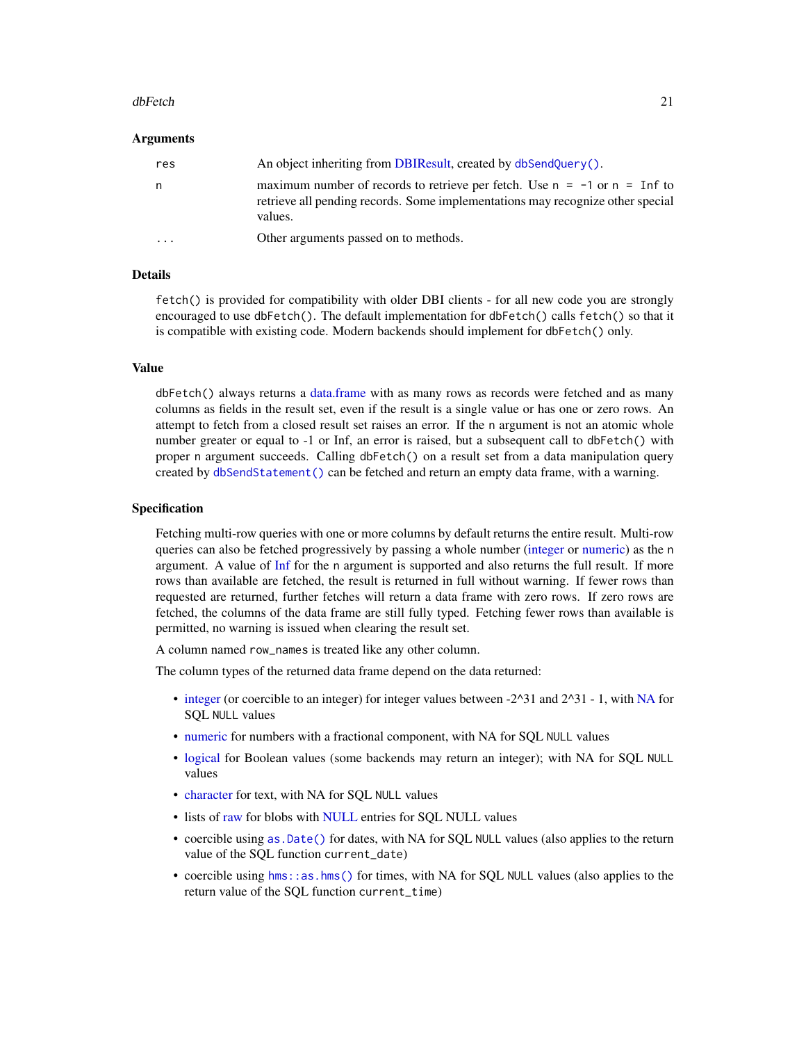#### <span id="page-20-0"></span>dbFetch 21

#### Arguments

| res                     | An object inheriting from DBIResult, created by dbSendQuery().                                                                                                                    |
|-------------------------|-----------------------------------------------------------------------------------------------------------------------------------------------------------------------------------|
| n.                      | maximum number of records to retrieve per fetch. Use $n = -1$ or $n = \text{Inf}$ to<br>retrieve all pending records. Some implementations may recognize other special<br>values. |
| $\cdot$ $\cdot$ $\cdot$ | Other arguments passed on to methods.                                                                                                                                             |

# Details

fetch() is provided for compatibility with older DBI clients - for all new code you are strongly encouraged to use dbFetch(). The default implementation for dbFetch() calls fetch() so that it is compatible with existing code. Modern backends should implement for dbFetch() only.

#### Value

dbFetch() always returns a [data.frame](#page-0-0) with as many rows as records were fetched and as many columns as fields in the result set, even if the result is a single value or has one or zero rows. An attempt to fetch from a closed result set raises an error. If the n argument is not an atomic whole number greater or equal to -1 or Inf, an error is raised, but a subsequent call to dbFetch() with proper n argument succeeds. Calling dbFetch() on a result set from a data manipulation query created by [dbSendStatement\(\)](#page-47-1) can be fetched and return an empty data frame, with a warning.

# Specification

Fetching multi-row queries with one or more columns by default returns the entire result. Multi-row queries can also be fetched progressively by passing a whole number [\(integer](#page-0-0) or [numeric\)](#page-0-0) as the n argument. A value of [Inf](#page-0-0) for the n argument is supported and also returns the full result. If more rows than available are fetched, the result is returned in full without warning. If fewer rows than requested are returned, further fetches will return a data frame with zero rows. If zero rows are fetched, the columns of the data frame are still fully typed. Fetching fewer rows than available is permitted, no warning is issued when clearing the result set.

A column named row\_names is treated like any other column.

The column types of the returned data frame depend on the data returned:

- [integer](#page-0-0) (or coercible to an integer) for integer values between -2^31 and 2^31 1, with [NA](#page-0-0) for SQL NULL values
- [numeric](#page-0-0) for numbers with a fractional component, with NA for SQL NULL values
- [logical](#page-0-0) for Boolean values (some backends may return an integer); with NA for SQL NULL values
- [character](#page-0-0) for text, with NA for SQL NULL values
- lists of [raw](#page-0-0) for blobs with [NULL](#page-0-0) entries for SOL NULL values
- coercible using [as.Date\(\)](#page-0-0) for dates, with NA for SQL NULL values (also applies to the return value of the SQL function current\_date)
- coercible using [hms::as.hms\(\)](#page-0-0) for times, with NA for SQL NULL values (also applies to the return value of the SQL function current\_time)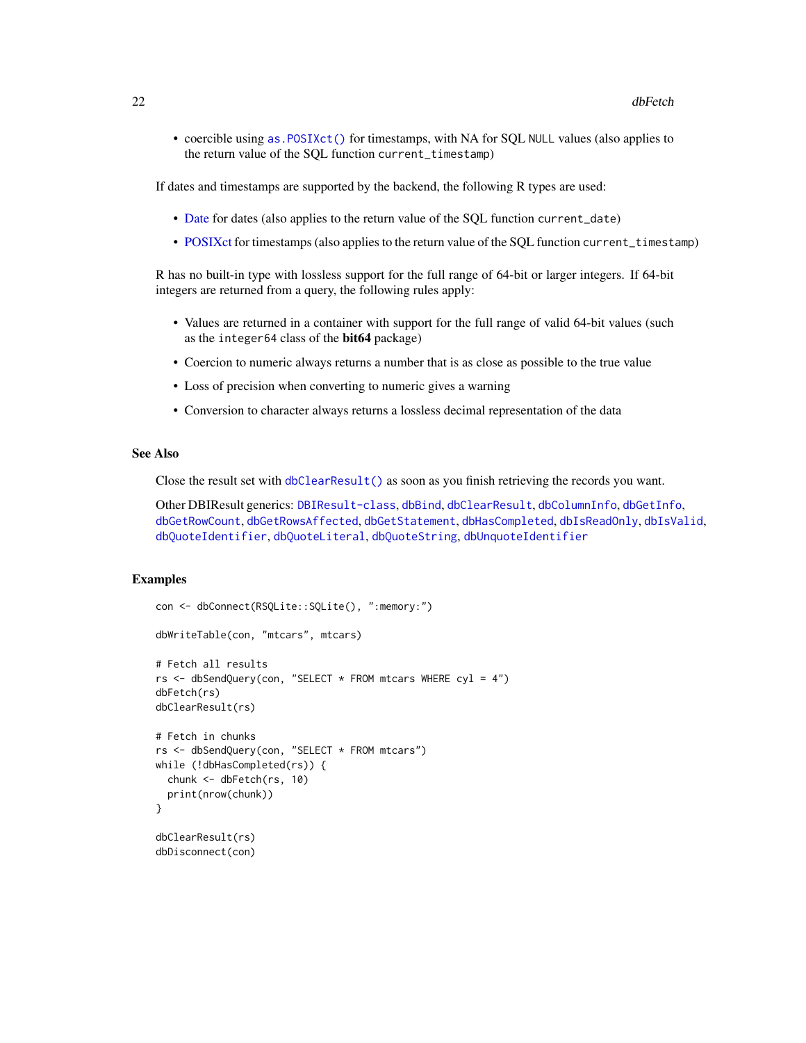<span id="page-21-0"></span>• coercible using as. POSIXct() for timestamps, with NA for SQL NULL values (also applies to the return value of the SQL function current\_timestamp)

If dates and timestamps are supported by the backend, the following R types are used:

- [Date](#page-0-0) for dates (also applies to the return value of the SQL function current\_date)
- [POSIXct](#page-0-0) for timestamps (also applies to the return value of the SQL function current\_timestamp)

R has no built-in type with lossless support for the full range of 64-bit or larger integers. If 64-bit integers are returned from a query, the following rules apply:

- Values are returned in a container with support for the full range of valid 64-bit values (such as the integer64 class of the bit64 package)
- Coercion to numeric always returns a number that is as close as possible to the true value
- Loss of precision when converting to numeric gives a warning
- Conversion to character always returns a lossless decimal representation of the data

# See Also

Close the result set with [dbClearResult\(\)](#page-8-1) as soon as you finish retrieving the records you want.

Other DBIResult generics: [DBIResult-class](#page-31-1), [dbBind](#page-4-1), [dbClearResult](#page-8-1), [dbColumnInfo](#page-9-1), [dbGetInfo](#page-22-2), [dbGetRowCount](#page-25-1), [dbGetRowsAffected](#page-26-1), [dbGetStatement](#page-27-1), [dbHasCompleted](#page-28-1), [dbIsReadOnly](#page-31-2), [dbIsValid](#page-32-1), [dbQuoteIdentifier](#page-38-1), [dbQuoteLiteral](#page-39-1), [dbQuoteString](#page-41-1), [dbUnquoteIdentifier](#page-49-1)

# Examples

```
con <- dbConnect(RSQLite::SQLite(), ":memory:")
dbWriteTable(con, "mtcars", mtcars)
# Fetch all results
rs <- dbSendQuery(con, "SELECT * FROM mtcars WHERE cyl = 4")
dbFetch(rs)
dbClearResult(rs)
# Fetch in chunks
rs <- dbSendQuery(con, "SELECT * FROM mtcars")
while (!dbHasCompleted(rs)) {
 chunk <- dbFetch(rs, 10)
 print(nrow(chunk))
}
dbClearResult(rs)
dbDisconnect(con)
```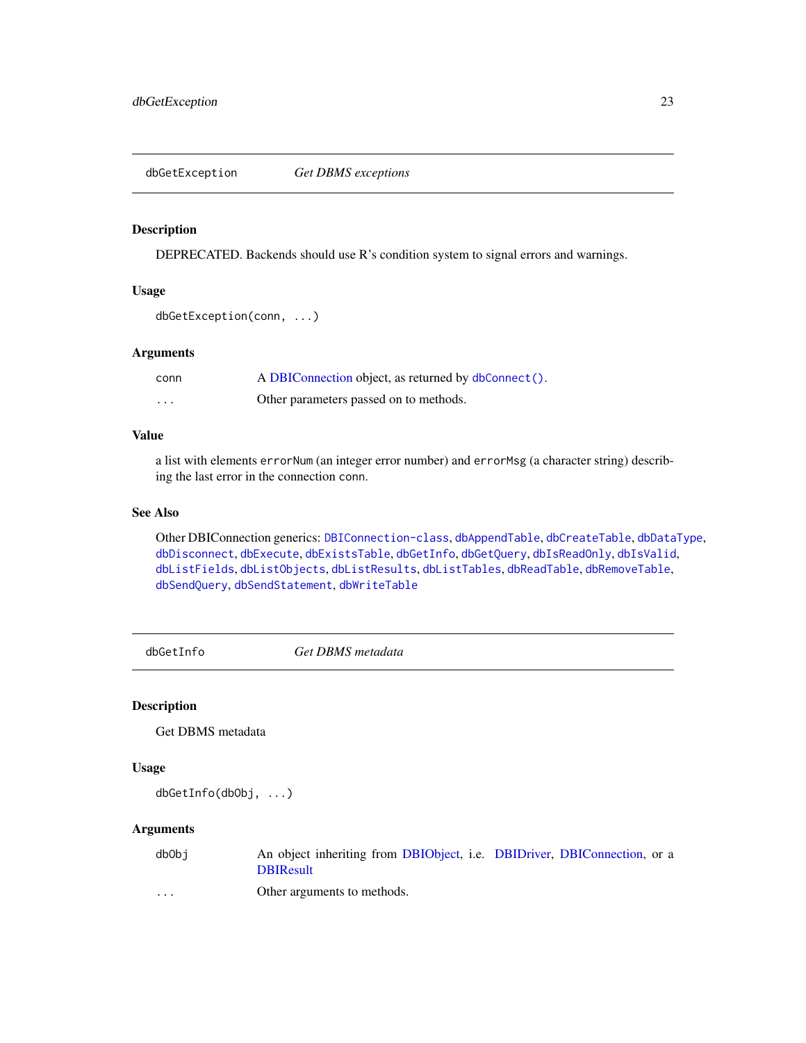<span id="page-22-1"></span><span id="page-22-0"></span>dbGetException *Get DBMS exceptions*

# Description

DEPRECATED. Backends should use R's condition system to signal errors and warnings.

# Usage

```
dbGetException(conn, ...)
```
# Arguments

| conn | A DBIConnection object, as returned by dbConnect(). |
|------|-----------------------------------------------------|
| .    | Other parameters passed on to methods.              |

# Value

a list with elements errorNum (an integer error number) and errorMsg (a character string) describing the last error in the connection conn.

# See Also

Other DBIConnection generics: [DBIConnection-class](#page-29-1), [dbAppendTable](#page-3-1), [dbCreateTable](#page-12-1), [dbDataType](#page-13-1), [dbDisconnect](#page-14-1), [dbExecute](#page-17-1), [dbExistsTable](#page-18-1), [dbGetInfo](#page-22-2), [dbGetQuery](#page-23-1), [dbIsReadOnly](#page-31-2), [dbIsValid](#page-32-1), [dbListFields](#page-34-1), [dbListObjects](#page-35-1), [dbListResults](#page-36-1), [dbListTables](#page-37-1), [dbReadTable](#page-42-1), [dbRemoveTable](#page-44-1), [dbSendQuery](#page-45-1), [dbSendStatement](#page-47-1), [dbWriteTable](#page-52-1)

<span id="page-22-2"></span>dbGetInfo *Get DBMS metadata*

# Description

Get DBMS metadata

#### Usage

dbGetInfo(dbObj, ...)

# Arguments

| dbObi | An object inheriting from DBIObject, i.e. DBIDriver, DBIConnection, or a |
|-------|--------------------------------------------------------------------------|
|       | <b>DBIResult</b>                                                         |
| .     | Other arguments to methods.                                              |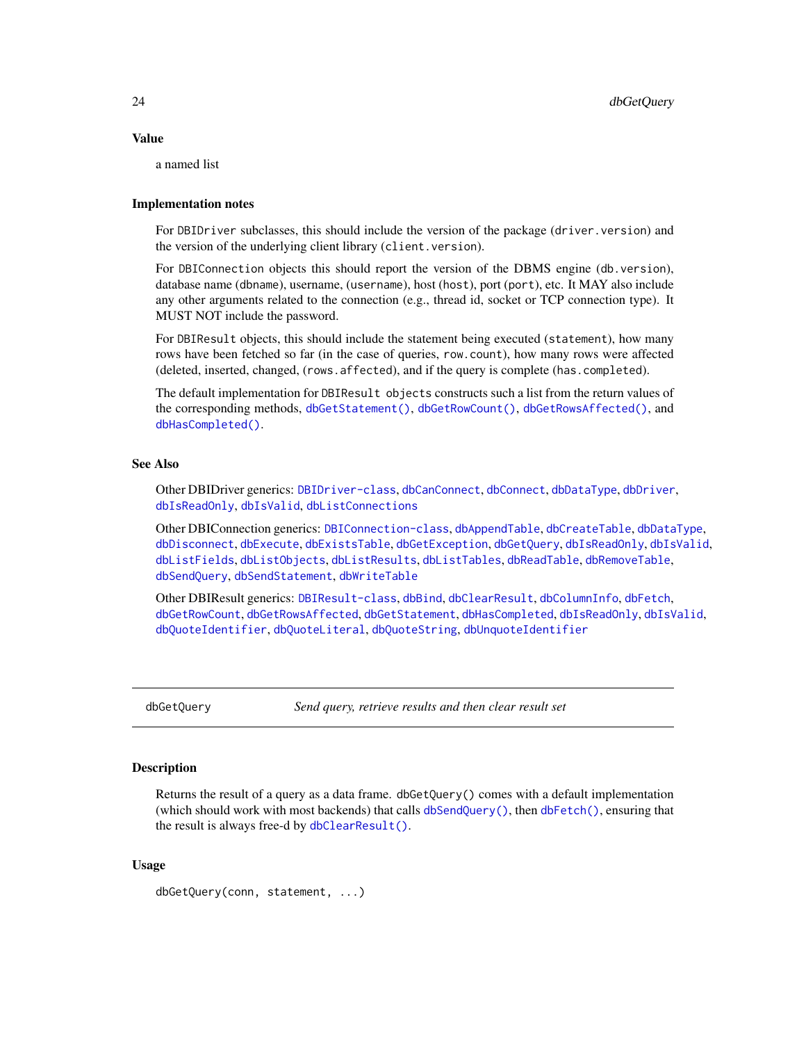#### <span id="page-23-0"></span>Value

a named list

# Implementation notes

For DBIDriver subclasses, this should include the version of the package (driver.version) and the version of the underlying client library (client.version).

For DBIConnection objects this should report the version of the DBMS engine (db.version), database name (dbname), username, (username), host (host), port (port), etc. It MAY also include any other arguments related to the connection (e.g., thread id, socket or TCP connection type). It MUST NOT include the password.

For DBIResult objects, this should include the statement being executed (statement), how many rows have been fetched so far (in the case of queries, row.count), how many rows were affected (deleted, inserted, changed, (rows.affected), and if the query is complete (has.completed).

The default implementation for DBIResult objects constructs such a list from the return values of the corresponding methods, [dbGetStatement\(\)](#page-27-1), [dbGetRowCount\(\)](#page-25-1), [dbGetRowsAffected\(\)](#page-26-1), and [dbHasCompleted\(\)](#page-28-1).

# See Also

Other DBIDriver generics: [DBIDriver-class](#page-30-1), [dbCanConnect](#page-7-1), [dbConnect](#page-10-1), [dbDataType](#page-13-1), [dbDriver](#page-15-1), [dbIsReadOnly](#page-31-2), [dbIsValid](#page-32-1), [dbListConnections](#page-33-1)

Other DBIConnection generics: [DBIConnection-class](#page-29-1), [dbAppendTable](#page-3-1), [dbCreateTable](#page-12-1), [dbDataType](#page-13-1), [dbDisconnect](#page-14-1), [dbExecute](#page-17-1), [dbExistsTable](#page-18-1), [dbGetException](#page-22-1), [dbGetQuery](#page-23-1), [dbIsReadOnly](#page-31-2), [dbIsValid](#page-32-1), [dbListFields](#page-34-1), [dbListObjects](#page-35-1), [dbListResults](#page-36-1), [dbListTables](#page-37-1), [dbReadTable](#page-42-1), [dbRemoveTable](#page-44-1), [dbSendQuery](#page-45-1), [dbSendStatement](#page-47-1), [dbWriteTable](#page-52-1)

Other DBIResult generics: [DBIResult-class](#page-31-1), [dbBind](#page-4-1), [dbClearResult](#page-8-1), [dbColumnInfo](#page-9-1), [dbFetch](#page-19-1), [dbGetRowCount](#page-25-1), [dbGetRowsAffected](#page-26-1), [dbGetStatement](#page-27-1), [dbHasCompleted](#page-28-1), [dbIsReadOnly](#page-31-2), [dbIsValid](#page-32-1), [dbQuoteIdentifier](#page-38-1), [dbQuoteLiteral](#page-39-1), [dbQuoteString](#page-41-1), [dbUnquoteIdentifier](#page-49-1)

<span id="page-23-1"></span>

dbGetQuery *Send query, retrieve results and then clear result set*

# Description

Returns the result of a query as a data frame. dbGetQuery() comes with a default implementation (which should work with most backends) that calls [dbSendQuery\(\)](#page-45-1), then [dbFetch\(\)](#page-19-1), ensuring that the result is always free-d by [dbClearResult\(\)](#page-8-1).

# Usage

```
dbGetQuery(conn, statement, ...)
```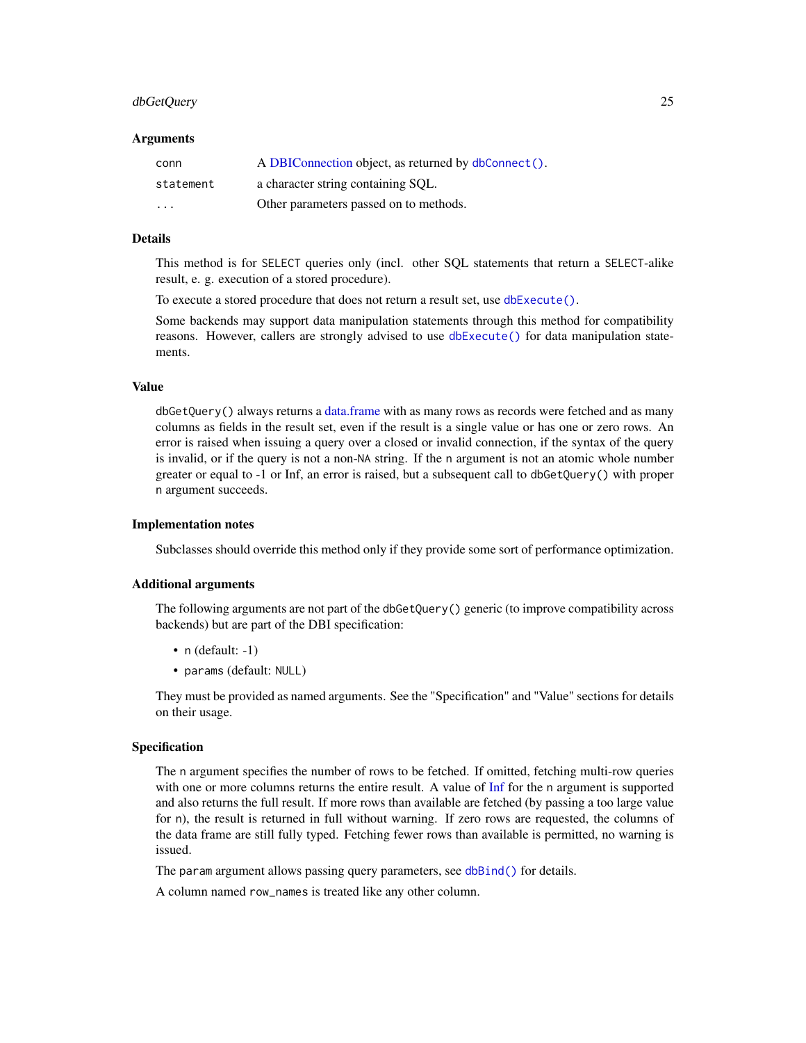# <span id="page-24-0"></span>dbGetQuery 25

#### Arguments

| conn      | A DBIConnection object, as returned by dbConnect(). |
|-----------|-----------------------------------------------------|
| statement | a character string containing SOL.                  |
| $\cdots$  | Other parameters passed on to methods.              |

# Details

This method is for SELECT queries only (incl. other SQL statements that return a SELECT-alike result, e. g. execution of a stored procedure).

To execute a stored procedure that does not return a result set, use [dbExecute\(\)](#page-17-1).

Some backends may support data manipulation statements through this method for compatibility reasons. However, callers are strongly advised to use [dbExecute\(\)](#page-17-1) for data manipulation statements.

# Value

dbGetQuery() always returns a [data.frame](#page-0-0) with as many rows as records were fetched and as many columns as fields in the result set, even if the result is a single value or has one or zero rows. An error is raised when issuing a query over a closed or invalid connection, if the syntax of the query is invalid, or if the query is not a non-NA string. If the n argument is not an atomic whole number greater or equal to -1 or Inf, an error is raised, but a subsequent call to dbGetQuery() with proper n argument succeeds.

#### Implementation notes

Subclasses should override this method only if they provide some sort of performance optimization.

# Additional arguments

The following arguments are not part of the dbGetQuery() generic (to improve compatibility across backends) but are part of the DBI specification:

- $n$  (default: -1)
- params (default: NULL)

They must be provided as named arguments. See the "Specification" and "Value" sections for details on their usage.

# Specification

The n argument specifies the number of rows to be fetched. If omitted, fetching multi-row queries with one or more columns returns the entire result. A value of [Inf](#page-0-0) for the n argument is supported and also returns the full result. If more rows than available are fetched (by passing a too large value for n), the result is returned in full without warning. If zero rows are requested, the columns of the data frame are still fully typed. Fetching fewer rows than available is permitted, no warning is issued.

The param argument allows passing query parameters, see [dbBind\(\)](#page-4-1) for details.

A column named row\_names is treated like any other column.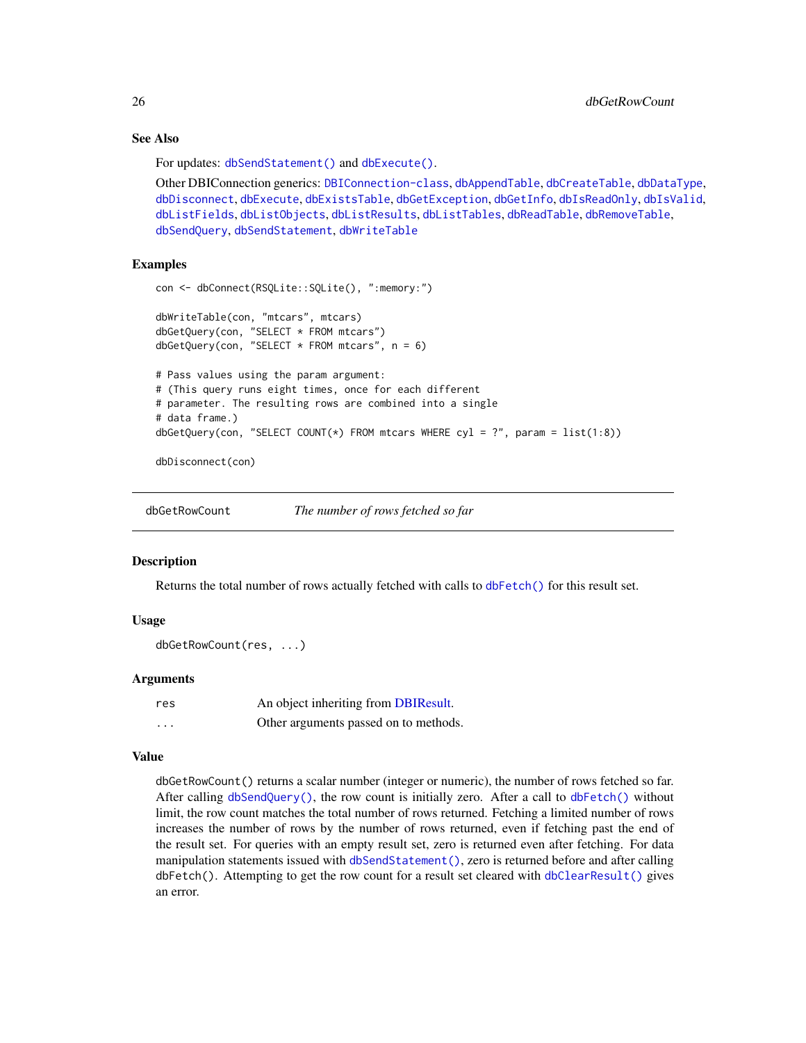# See Also

For updates: [dbSendStatement\(\)](#page-47-1) and [dbExecute\(\)](#page-17-1).

```
Other DBIConnection generics: DBIConnection-class, dbAppendTable, dbCreateTable, dbDataType,
dbDisconnect, dbExecute, dbExistsTable, dbGetException, dbGetInfo, dbIsReadOnly, dbIsValid,
dbListFields, dbListObjects, dbListResults, dbListTables, dbReadTable, dbRemoveTable,
dbSendQuery, dbSendStatement, dbWriteTable
```
# Examples

```
con <- dbConnect(RSQLite::SQLite(), ":memory:")
dbWriteTable(con, "mtcars", mtcars)
dbGetQuery(con, "SELECT * FROM mtcars")
dbGetQuery(con, "SELECT * FROM metcars", n = 6)# Pass values using the param argument:
# (This query runs eight times, once for each different
# parameter. The resulting rows are combined into a single
# data frame.)
dbGetQuery(con, "SELECT COUNT(*) FROM mtcars WHERE cyl = ?", param = list(1:8))
```
dbDisconnect(con)

<span id="page-25-1"></span>dbGetRowCount *The number of rows fetched so far*

#### Description

Returns the total number of rows actually fetched with calls to [dbFetch\(\)](#page-19-1) for this result set.

# Usage

```
dbGetRowCount(res, ...)
```
# Arguments

| res                     | An object inheriting from DBIResult.  |
|-------------------------|---------------------------------------|
| $\cdot$ $\cdot$ $\cdot$ | Other arguments passed on to methods. |

#### Value

dbGetRowCount() returns a scalar number (integer or numeric), the number of rows fetched so far. After calling [dbSendQuery\(\)](#page-45-1), the row count is initially zero. After a call to [dbFetch\(\)](#page-19-1) without limit, the row count matches the total number of rows returned. Fetching a limited number of rows increases the number of rows by the number of rows returned, even if fetching past the end of the result set. For queries with an empty result set, zero is returned even after fetching. For data manipulation statements issued with [dbSendStatement\(\)](#page-47-1), zero is returned before and after calling dbFetch(). Attempting to get the row count for a result set cleared with [dbClearResult\(\)](#page-8-1) gives an error.

<span id="page-25-0"></span>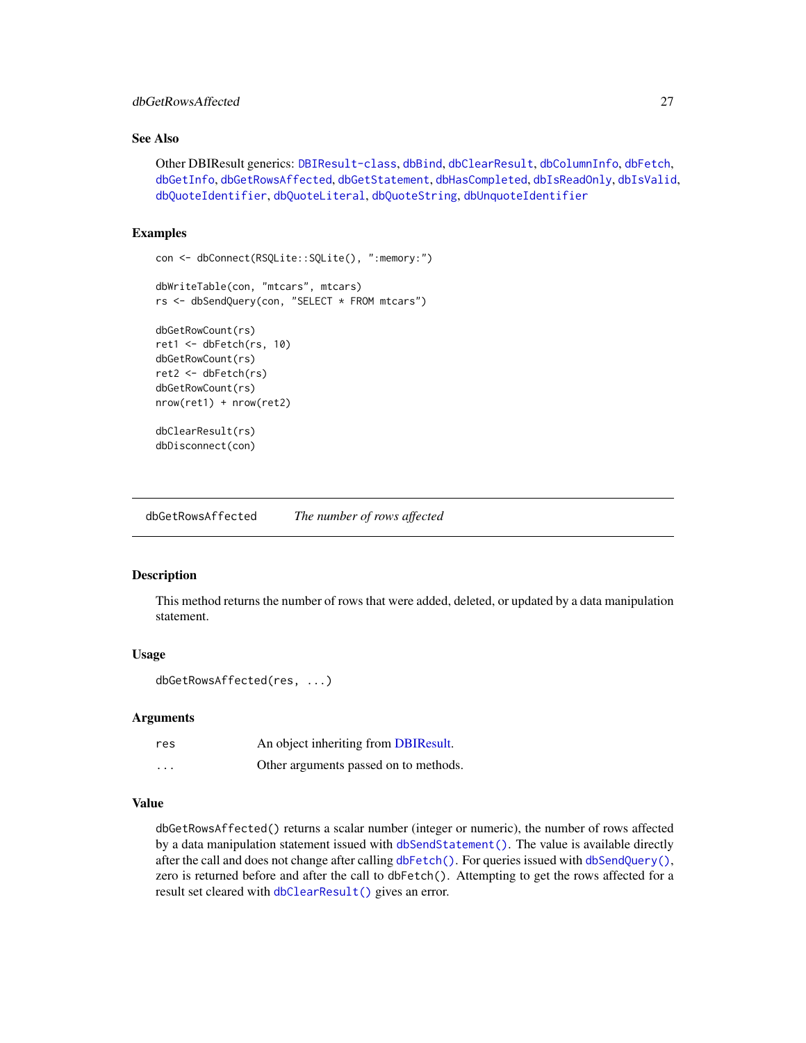# <span id="page-26-0"></span>dbGetRowsAffected 27

# See Also

Other DBIResult generics: [DBIResult-class](#page-31-1), [dbBind](#page-4-1), [dbClearResult](#page-8-1), [dbColumnInfo](#page-9-1), [dbFetch](#page-19-1), [dbGetInfo](#page-22-2), [dbGetRowsAffected](#page-26-1), [dbGetStatement](#page-27-1), [dbHasCompleted](#page-28-1), [dbIsReadOnly](#page-31-2), [dbIsValid](#page-32-1), [dbQuoteIdentifier](#page-38-1), [dbQuoteLiteral](#page-39-1), [dbQuoteString](#page-41-1), [dbUnquoteIdentifier](#page-49-1)

# Examples

```
con <- dbConnect(RSQLite::SQLite(), ":memory:")
dbWriteTable(con, "mtcars", mtcars)
rs <- dbSendQuery(con, "SELECT * FROM mtcars")
dbGetRowCount(rs)
ret1 <- dbFetch(rs, 10)
dbGetRowCount(rs)
ret2 <- dbFetch(rs)
dbGetRowCount(rs)
nrow(ret1) + nrow(ret2)
dbClearResult(rs)
dbDisconnect(con)
```
<span id="page-26-1"></span>dbGetRowsAffected *The number of rows affected*

# Description

This method returns the number of rows that were added, deleted, or updated by a data manipulation statement.

# Usage

```
dbGetRowsAffected(res, ...)
```
#### Arguments

| res      | An object inheriting from DBIResult.  |
|----------|---------------------------------------|
| $\cdots$ | Other arguments passed on to methods. |

#### Value

dbGetRowsAffected() returns a scalar number (integer or numeric), the number of rows affected by a data manipulation statement issued with [dbSendStatement\(\)](#page-47-1). The value is available directly after the call and does not change after calling [dbFetch\(\)](#page-19-1). For queries issued with [dbSendQuery\(\)](#page-45-1), zero is returned before and after the call to dbFetch(). Attempting to get the rows affected for a result set cleared with [dbClearResult\(\)](#page-8-1) gives an error.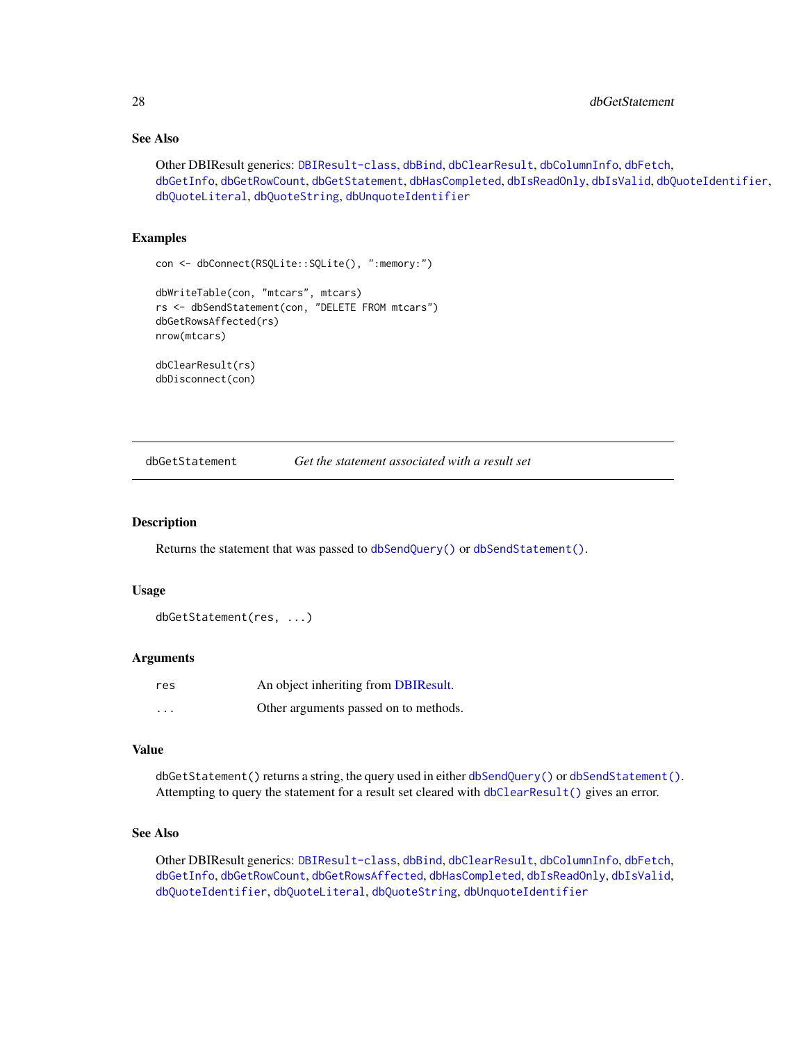# See Also

```
Other DBIResult generics: DBIResult-class, dbBind, dbClearResult, dbColumnInfo, dbFetch,
dbGetInfo, dbGetRowCount, dbGetStatement, dbHasCompleted, dbIsReadOnly, dbIsValid, dbQuoteIdentifier,
dbQuoteLiteral, dbQuoteString, dbUnquoteIdentifier
```
# Examples

```
con <- dbConnect(RSQLite::SQLite(), ":memory:")
dbWriteTable(con, "mtcars", mtcars)
rs <- dbSendStatement(con, "DELETE FROM mtcars")
dbGetRowsAffected(rs)
nrow(mtcars)
dbClearResult(rs)
dbDisconnect(con)
```
<span id="page-27-1"></span>dbGetStatement *Get the statement associated with a result set*

# Description

Returns the statement that was passed to [dbSendQuery\(\)](#page-45-1) or [dbSendStatement\(\)](#page-47-1).

#### Usage

```
dbGetStatement(res, ...)
```
# Arguments

| res                     | An object inheriting from DBIResult.  |
|-------------------------|---------------------------------------|
| $\cdot$ $\cdot$ $\cdot$ | Other arguments passed on to methods. |

# Value

dbGetStatement() returns a string, the query used in either [dbSendQuery\(\)](#page-45-1) or [dbSendStatement\(\)](#page-47-1). Attempting to query the statement for a result set cleared with [dbClearResult\(\)](#page-8-1) gives an error.

# See Also

Other DBIResult generics: [DBIResult-class](#page-31-1), [dbBind](#page-4-1), [dbClearResult](#page-8-1), [dbColumnInfo](#page-9-1), [dbFetch](#page-19-1), [dbGetInfo](#page-22-2), [dbGetRowCount](#page-25-1), [dbGetRowsAffected](#page-26-1), [dbHasCompleted](#page-28-1), [dbIsReadOnly](#page-31-2), [dbIsValid](#page-32-1), [dbQuoteIdentifier](#page-38-1), [dbQuoteLiteral](#page-39-1), [dbQuoteString](#page-41-1), [dbUnquoteIdentifier](#page-49-1)

<span id="page-27-0"></span>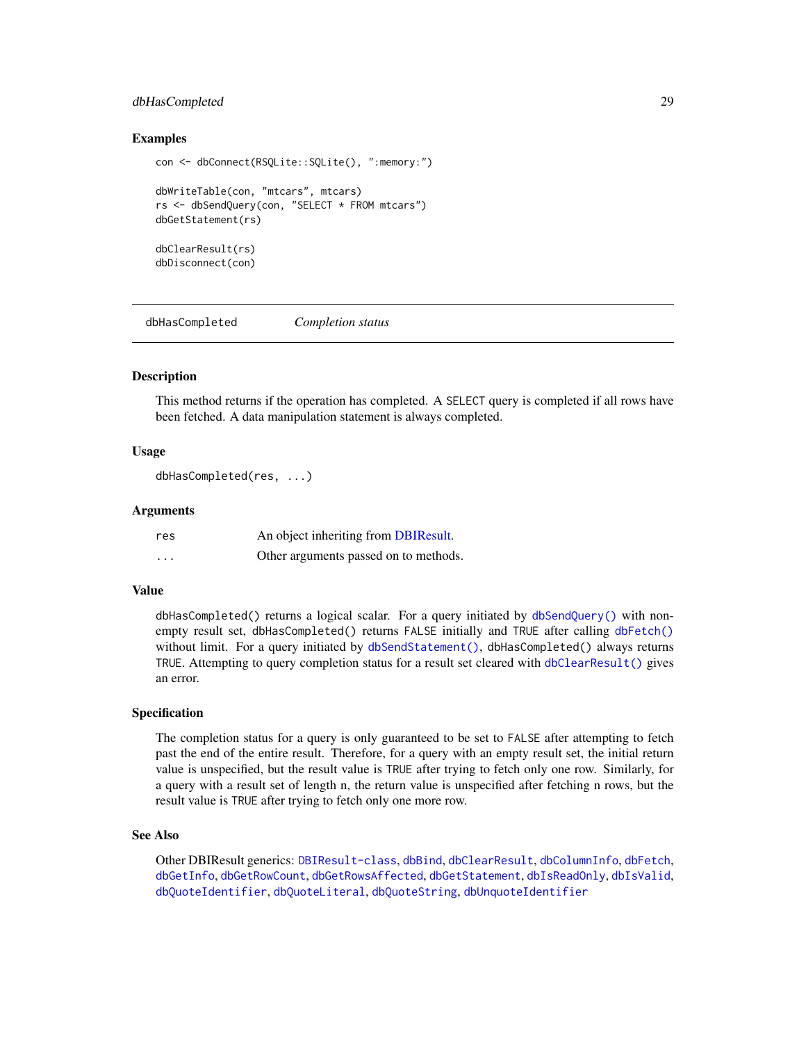# <span id="page-28-0"></span>dbHasCompleted 29

# Examples

```
con <- dbConnect(RSQLite::SQLite(), ":memory:")
dbWriteTable(con, "mtcars", mtcars)
rs <- dbSendQuery(con, "SELECT * FROM mtcars")
dbGetStatement(rs)
dbClearResult(rs)
dbDisconnect(con)
```
<span id="page-28-1"></span>dbHasCompleted *Completion status*

# **Description**

This method returns if the operation has completed. A SELECT query is completed if all rows have been fetched. A data manipulation statement is always completed.

#### Usage

dbHasCompleted(res, ...)

# Arguments

| res      | An object inheriting from DBIResult.  |
|----------|---------------------------------------|
| $\cdots$ | Other arguments passed on to methods. |

# Value

dbHasCompleted() returns a logical scalar. For a query initiated by [dbSendQuery\(\)](#page-45-1) with nonempty result set, dbHasCompleted() returns FALSE initially and TRUE after calling [dbFetch\(\)](#page-19-1) without limit. For a query initiated by [dbSendStatement\(\)](#page-47-1), dbHasCompleted() always returns TRUE. Attempting to query completion status for a result set cleared with [dbClearResult\(\)](#page-8-1) gives an error.

#### Specification

The completion status for a query is only guaranteed to be set to FALSE after attempting to fetch past the end of the entire result. Therefore, for a query with an empty result set, the initial return value is unspecified, but the result value is TRUE after trying to fetch only one row. Similarly, for a query with a result set of length n, the return value is unspecified after fetching n rows, but the result value is TRUE after trying to fetch only one more row.

#### See Also

Other DBIResult generics: [DBIResult-class](#page-31-1), [dbBind](#page-4-1), [dbClearResult](#page-8-1), [dbColumnInfo](#page-9-1), [dbFetch](#page-19-1), [dbGetInfo](#page-22-2), [dbGetRowCount](#page-25-1), [dbGetRowsAffected](#page-26-1), [dbGetStatement](#page-27-1), [dbIsReadOnly](#page-31-2), [dbIsValid](#page-32-1), [dbQuoteIdentifier](#page-38-1), [dbQuoteLiteral](#page-39-1), [dbQuoteString](#page-41-1), [dbUnquoteIdentifier](#page-49-1)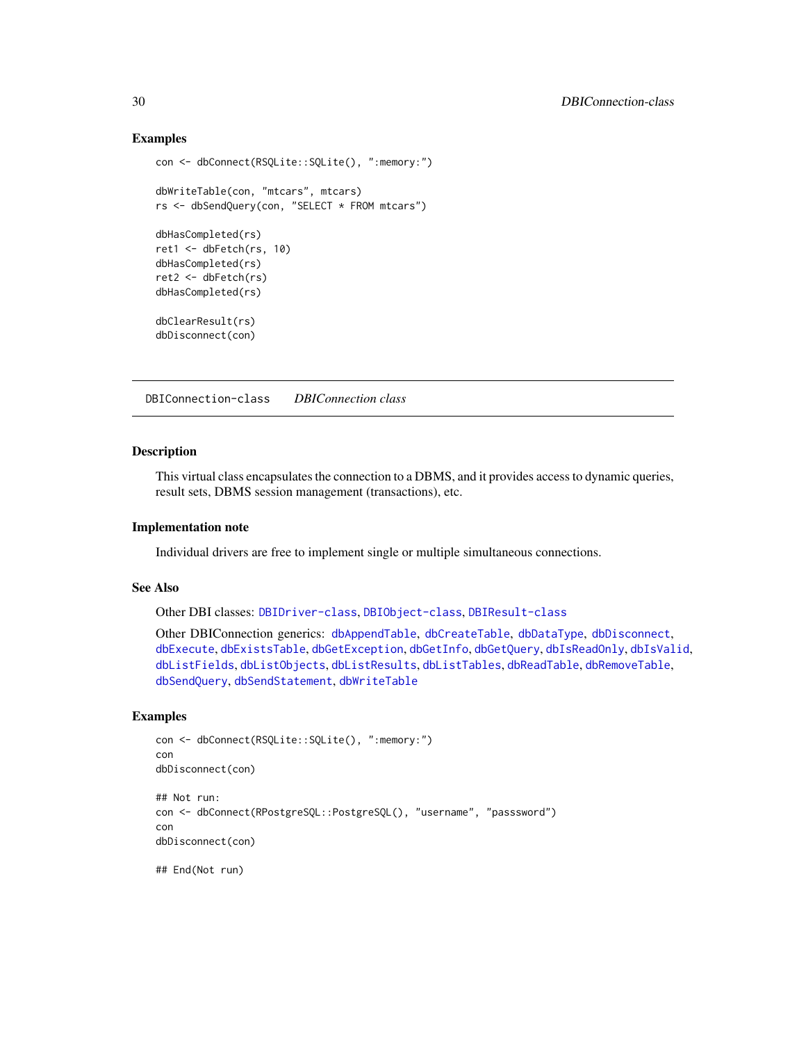# Examples

```
con <- dbConnect(RSQLite::SQLite(), ":memory:")
dbWriteTable(con, "mtcars", mtcars)
rs <- dbSendQuery(con, "SELECT * FROM mtcars")
dbHasCompleted(rs)
ret1 <- dbFetch(rs, 10)
dbHasCompleted(rs)
ret2 <- dbFetch(rs)
dbHasCompleted(rs)
dbClearResult(rs)
dbDisconnect(con)
```
<span id="page-29-1"></span>DBIConnection-class *DBIConnection class*

# Description

This virtual class encapsulates the connection to a DBMS, and it provides access to dynamic queries, result sets, DBMS session management (transactions), etc.

# Implementation note

Individual drivers are free to implement single or multiple simultaneous connections.

# See Also

Other DBI classes: [DBIDriver-class](#page-30-1), [DBIObject-class](#page-30-2), [DBIResult-class](#page-31-1)

Other DBIConnection generics: [dbAppendTable](#page-3-1), [dbCreateTable](#page-12-1), [dbDataType](#page-13-1), [dbDisconnect](#page-14-1), [dbExecute](#page-17-1), [dbExistsTable](#page-18-1), [dbGetException](#page-22-1), [dbGetInfo](#page-22-2), [dbGetQuery](#page-23-1), [dbIsReadOnly](#page-31-2), [dbIsValid](#page-32-1), [dbListFields](#page-34-1), [dbListObjects](#page-35-1), [dbListResults](#page-36-1), [dbListTables](#page-37-1), [dbReadTable](#page-42-1), [dbRemoveTable](#page-44-1), [dbSendQuery](#page-45-1), [dbSendStatement](#page-47-1), [dbWriteTable](#page-52-1)

# Examples

```
con <- dbConnect(RSQLite::SQLite(), ":memory:")
con
dbDisconnect(con)
## Not run:
con <- dbConnect(RPostgreSQL::PostgreSQL(), "username", "passsword")
con
dbDisconnect(con)
## End(Not run)
```
<span id="page-29-0"></span>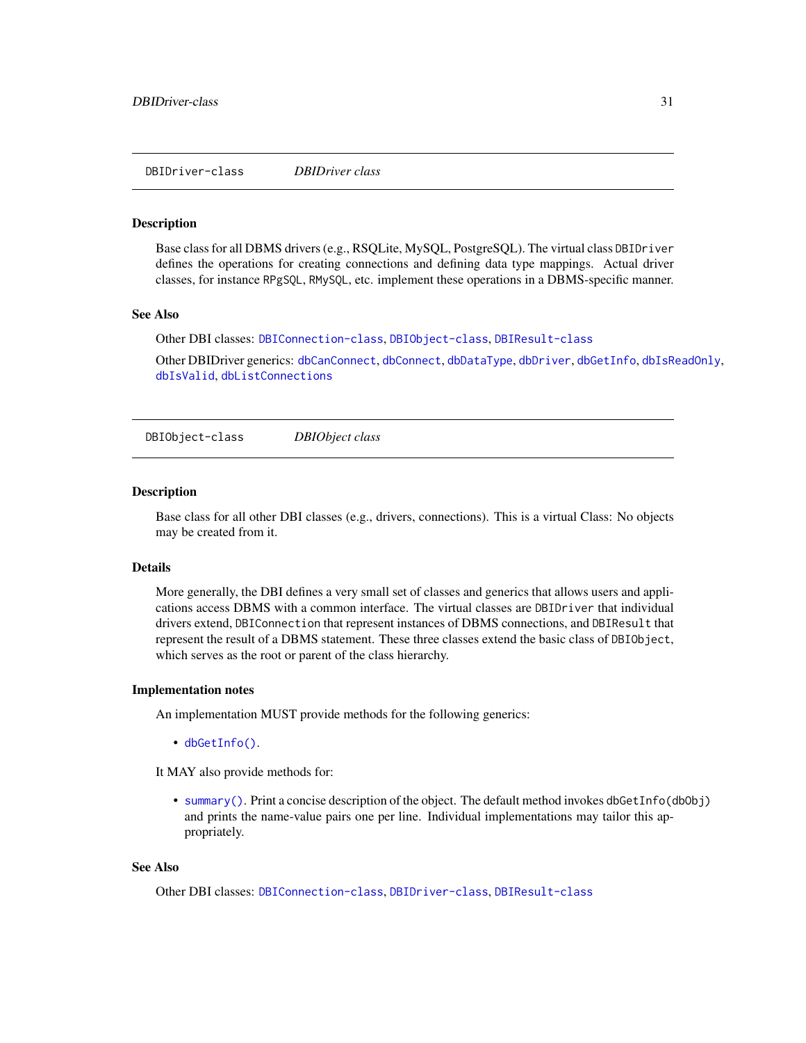<span id="page-30-1"></span><span id="page-30-0"></span>DBIDriver-class *DBIDriver class*

#### Description

Base class for all DBMS drivers (e.g., RSQLite, MySQL, PostgreSQL). The virtual class DBIDriver defines the operations for creating connections and defining data type mappings. Actual driver classes, for instance RPgSQL, RMySQL, etc. implement these operations in a DBMS-specific manner.

# See Also

Other DBI classes: [DBIConnection-class](#page-29-1), [DBIObject-class](#page-30-2), [DBIResult-class](#page-31-1)

Other DBIDriver generics: [dbCanConnect](#page-7-1), [dbConnect](#page-10-1), [dbDataType](#page-13-1), [dbDriver](#page-15-1), [dbGetInfo](#page-22-2), [dbIsReadOnly](#page-31-2), [dbIsValid](#page-32-1), [dbListConnections](#page-33-1)

<span id="page-30-2"></span>DBIObject-class *DBIObject class*

#### Description

Base class for all other DBI classes (e.g., drivers, connections). This is a virtual Class: No objects may be created from it.

# Details

More generally, the DBI defines a very small set of classes and generics that allows users and applications access DBMS with a common interface. The virtual classes are DBIDriver that individual drivers extend, DBIConnection that represent instances of DBMS connections, and DBIResult that represent the result of a DBMS statement. These three classes extend the basic class of DBIObject, which serves as the root or parent of the class hierarchy.

#### Implementation notes

An implementation MUST provide methods for the following generics:

• [dbGetInfo\(\)](#page-22-2).

It MAY also provide methods for:

• [summary\(\)](#page-0-0). Print a concise description of the object. The default method invokes dbGetInfo(dbObj) and prints the name-value pairs one per line. Individual implementations may tailor this appropriately.

# See Also

Other DBI classes: [DBIConnection-class](#page-29-1), [DBIDriver-class](#page-30-1), [DBIResult-class](#page-31-1)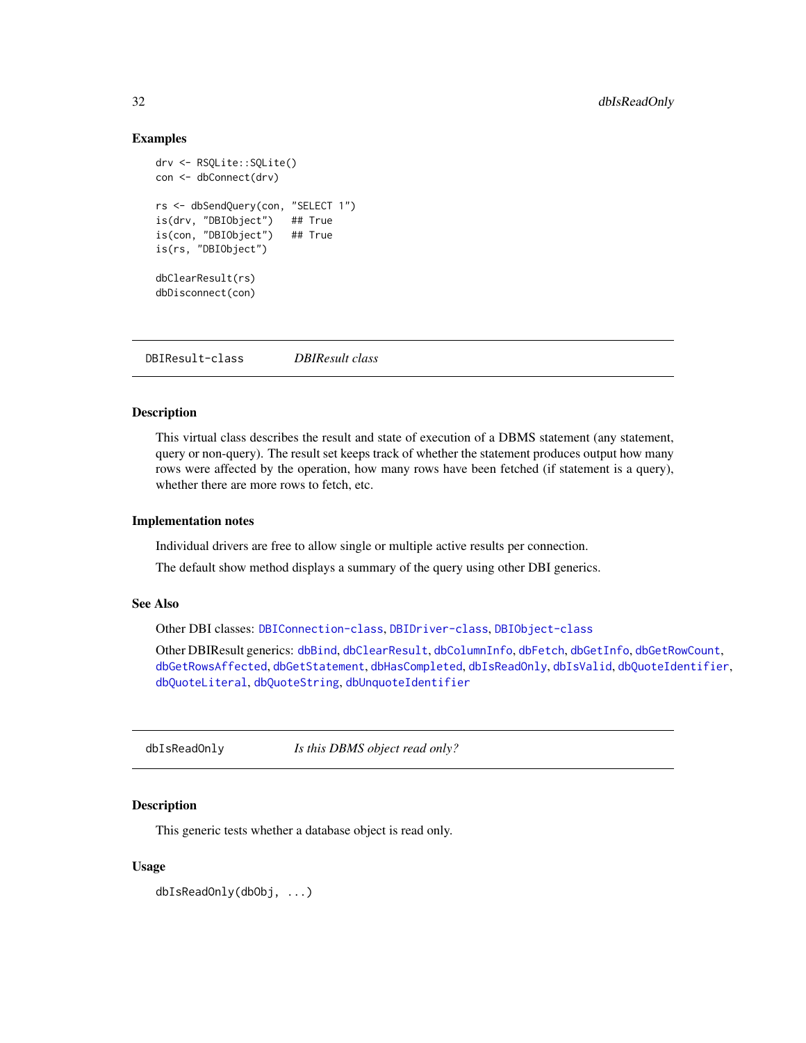# <span id="page-31-0"></span>Examples

```
drv <- RSQLite::SQLite()
con <- dbConnect(drv)
rs <- dbSendQuery(con, "SELECT 1")
is(drv, "DBIObject") ## True
is(con, "DBIObject") ## True
is(rs, "DBIObject")
dbClearResult(rs)
dbDisconnect(con)
```
<span id="page-31-1"></span>DBIResult-class *DBIResult class*

# **Description**

This virtual class describes the result and state of execution of a DBMS statement (any statement, query or non-query). The result set keeps track of whether the statement produces output how many rows were affected by the operation, how many rows have been fetched (if statement is a query), whether there are more rows to fetch, etc.

# Implementation notes

Individual drivers are free to allow single or multiple active results per connection.

The default show method displays a summary of the query using other DBI generics.

# See Also

Other DBI classes: [DBIConnection-class](#page-29-1), [DBIDriver-class](#page-30-1), [DBIObject-class](#page-30-2)

Other DBIResult generics: [dbBind](#page-4-1), [dbClearResult](#page-8-1), [dbColumnInfo](#page-9-1), [dbFetch](#page-19-1), [dbGetInfo](#page-22-2), [dbGetRowCount](#page-25-1), [dbGetRowsAffected](#page-26-1), [dbGetStatement](#page-27-1), [dbHasCompleted](#page-28-1), [dbIsReadOnly](#page-31-2), [dbIsValid](#page-32-1), [dbQuoteIdentifier](#page-38-1), [dbQuoteLiteral](#page-39-1), [dbQuoteString](#page-41-1), [dbUnquoteIdentifier](#page-49-1)

<span id="page-31-2"></span>dbIsReadOnly *Is this DBMS object read only?*

# Description

This generic tests whether a database object is read only.

# Usage

dbIsReadOnly(dbObj, ...)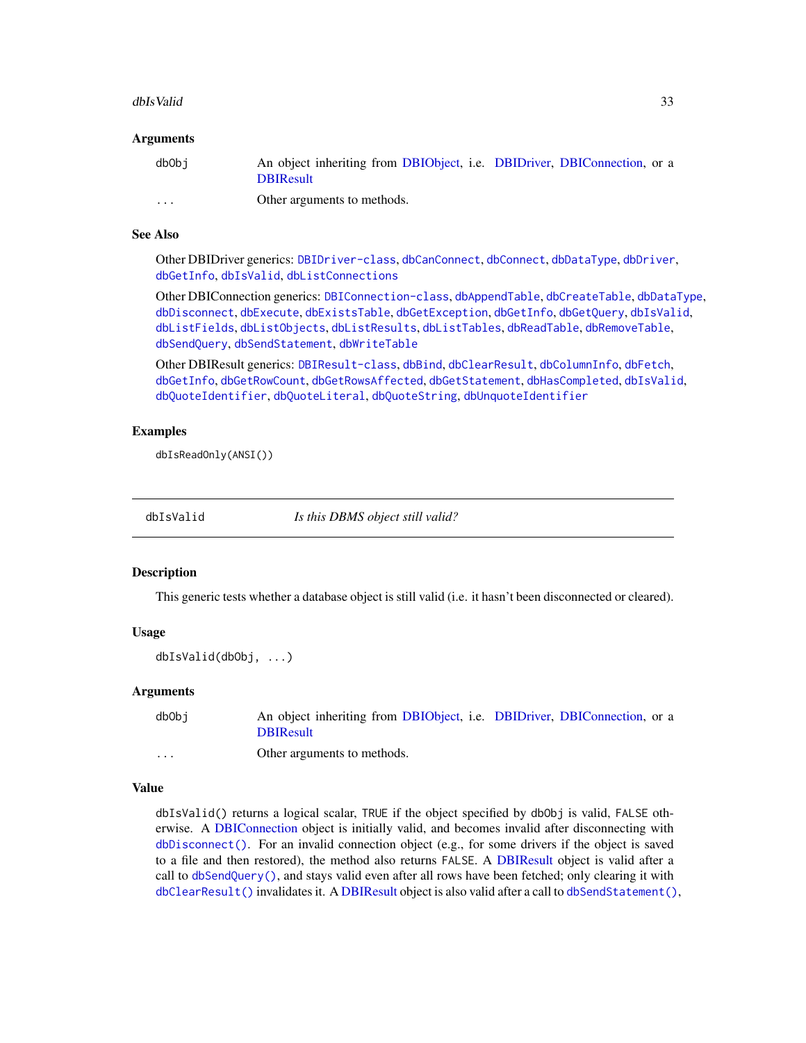#### <span id="page-32-0"></span>dbIsValid 33

# **Arguments**

| dbObi                   | An object inheriting from DBIObject, i.e. DBIDriver, DBIConnection, or a<br><b>DBIResult</b> |
|-------------------------|----------------------------------------------------------------------------------------------|
|                         |                                                                                              |
| $\cdot$ $\cdot$ $\cdot$ | Other arguments to methods.                                                                  |

# See Also

Other DBIDriver generics: [DBIDriver-class](#page-30-1), [dbCanConnect](#page-7-1), [dbConnect](#page-10-1), [dbDataType](#page-13-1), [dbDriver](#page-15-1), [dbGetInfo](#page-22-2), [dbIsValid](#page-32-1), [dbListConnections](#page-33-1)

Other DBIConnection generics: [DBIConnection-class](#page-29-1), [dbAppendTable](#page-3-1), [dbCreateTable](#page-12-1), [dbDataType](#page-13-1), [dbDisconnect](#page-14-1), [dbExecute](#page-17-1), [dbExistsTable](#page-18-1), [dbGetException](#page-22-1), [dbGetInfo](#page-22-2), [dbGetQuery](#page-23-1), [dbIsValid](#page-32-1), [dbListFields](#page-34-1), [dbListObjects](#page-35-1), [dbListResults](#page-36-1), [dbListTables](#page-37-1), [dbReadTable](#page-42-1), [dbRemoveTable](#page-44-1), [dbSendQuery](#page-45-1), [dbSendStatement](#page-47-1), [dbWriteTable](#page-52-1)

Other DBIResult generics: [DBIResult-class](#page-31-1), [dbBind](#page-4-1), [dbClearResult](#page-8-1), [dbColumnInfo](#page-9-1), [dbFetch](#page-19-1), [dbGetInfo](#page-22-2), [dbGetRowCount](#page-25-1), [dbGetRowsAffected](#page-26-1), [dbGetStatement](#page-27-1), [dbHasCompleted](#page-28-1), [dbIsValid](#page-32-1), [dbQuoteIdentifier](#page-38-1), [dbQuoteLiteral](#page-39-1), [dbQuoteString](#page-41-1), [dbUnquoteIdentifier](#page-49-1)

# Examples

dbIsReadOnly(ANSI())

<span id="page-32-1"></span>

dbIsValid *Is this DBMS object still valid?*

# Description

This generic tests whether a database object is still valid (i.e. it hasn't been disconnected or cleared).

#### Usage

```
dbIsValid(dbObj, ...)
```
#### Arguments

| dbObi    | An object inheriting from DBIObject, i.e. DBIDriver, DBIConnection, or a |  |  |
|----------|--------------------------------------------------------------------------|--|--|
|          | <b>DBIResult</b>                                                         |  |  |
| $\cdots$ | Other arguments to methods.                                              |  |  |

#### Value

dbIsValid() returns a logical scalar, TRUE if the object specified by dbObj is valid, FALSE otherwise. A [DBIConnection](#page-29-1) object is initially valid, and becomes invalid after disconnecting with [dbDisconnect\(\)](#page-14-1). For an invalid connection object (e.g., for some drivers if the object is saved to a file and then restored), the method also returns FALSE. A [DBIResult](#page-31-1) object is valid after a call to [dbSendQuery\(\)](#page-45-1), and stays valid even after all rows have been fetched; only clearing it with [dbClearResult\(\)](#page-8-1) invalidates it. A [DBIResult](#page-31-1) object is also valid after a call to [dbSendStatement\(\)](#page-47-1),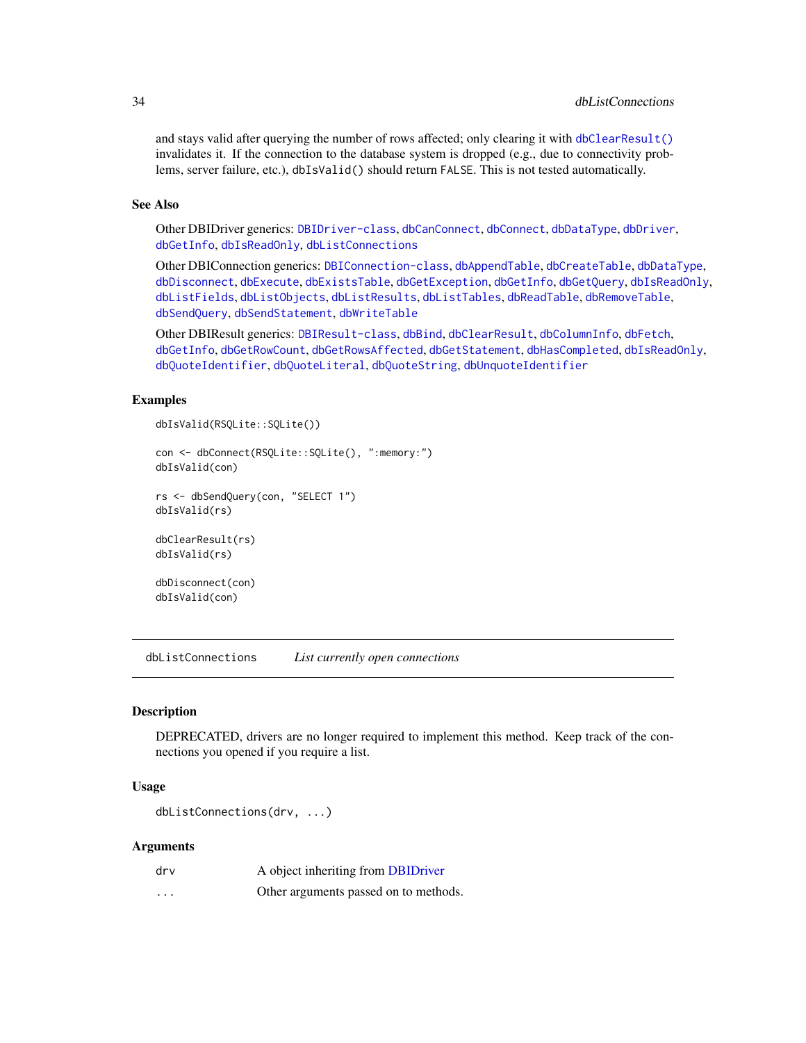and stays valid after querying the number of rows affected; only clearing it with [dbClearResult\(\)](#page-8-1) invalidates it. If the connection to the database system is dropped (e.g., due to connectivity problems, server failure, etc.), dbIsValid() should return FALSE. This is not tested automatically.

# See Also

Other DBIDriver generics: [DBIDriver-class](#page-30-1), [dbCanConnect](#page-7-1), [dbConnect](#page-10-1), [dbDataType](#page-13-1), [dbDriver](#page-15-1), [dbGetInfo](#page-22-2), [dbIsReadOnly](#page-31-2), [dbListConnections](#page-33-1)

Other DBIConnection generics: [DBIConnection-class](#page-29-1), [dbAppendTable](#page-3-1), [dbCreateTable](#page-12-1), [dbDataType](#page-13-1), [dbDisconnect](#page-14-1), [dbExecute](#page-17-1), [dbExistsTable](#page-18-1), [dbGetException](#page-22-1), [dbGetInfo](#page-22-2), [dbGetQuery](#page-23-1), [dbIsReadOnly](#page-31-2), [dbListFields](#page-34-1), [dbListObjects](#page-35-1), [dbListResults](#page-36-1), [dbListTables](#page-37-1), [dbReadTable](#page-42-1), [dbRemoveTable](#page-44-1), [dbSendQuery](#page-45-1), [dbSendStatement](#page-47-1), [dbWriteTable](#page-52-1)

Other DBIResult generics: [DBIResult-class](#page-31-1), [dbBind](#page-4-1), [dbClearResult](#page-8-1), [dbColumnInfo](#page-9-1), [dbFetch](#page-19-1), [dbGetInfo](#page-22-2), [dbGetRowCount](#page-25-1), [dbGetRowsAffected](#page-26-1), [dbGetStatement](#page-27-1), [dbHasCompleted](#page-28-1), [dbIsReadOnly](#page-31-2), [dbQuoteIdentifier](#page-38-1), [dbQuoteLiteral](#page-39-1), [dbQuoteString](#page-41-1), [dbUnquoteIdentifier](#page-49-1)

# Examples

```
dbIsValid(RSQLite::SQLite())
```

```
con <- dbConnect(RSQLite::SQLite(), ":memory:")
dbIsValid(con)
```

```
rs <- dbSendQuery(con, "SELECT 1")
dbIsValid(rs)
```
dbClearResult(rs) dbIsValid(rs)

```
dbDisconnect(con)
dbIsValid(con)
```
<span id="page-33-1"></span>dbListConnections *List currently open connections*

## **Description**

DEPRECATED, drivers are no longer required to implement this method. Keep track of the connections you opened if you require a list.

# Usage

```
dbListConnections(drv, ...)
```
# Arguments

| drv                     | A object inheriting from DBIDriver    |
|-------------------------|---------------------------------------|
| $\cdot$ $\cdot$ $\cdot$ | Other arguments passed on to methods. |

<span id="page-33-0"></span>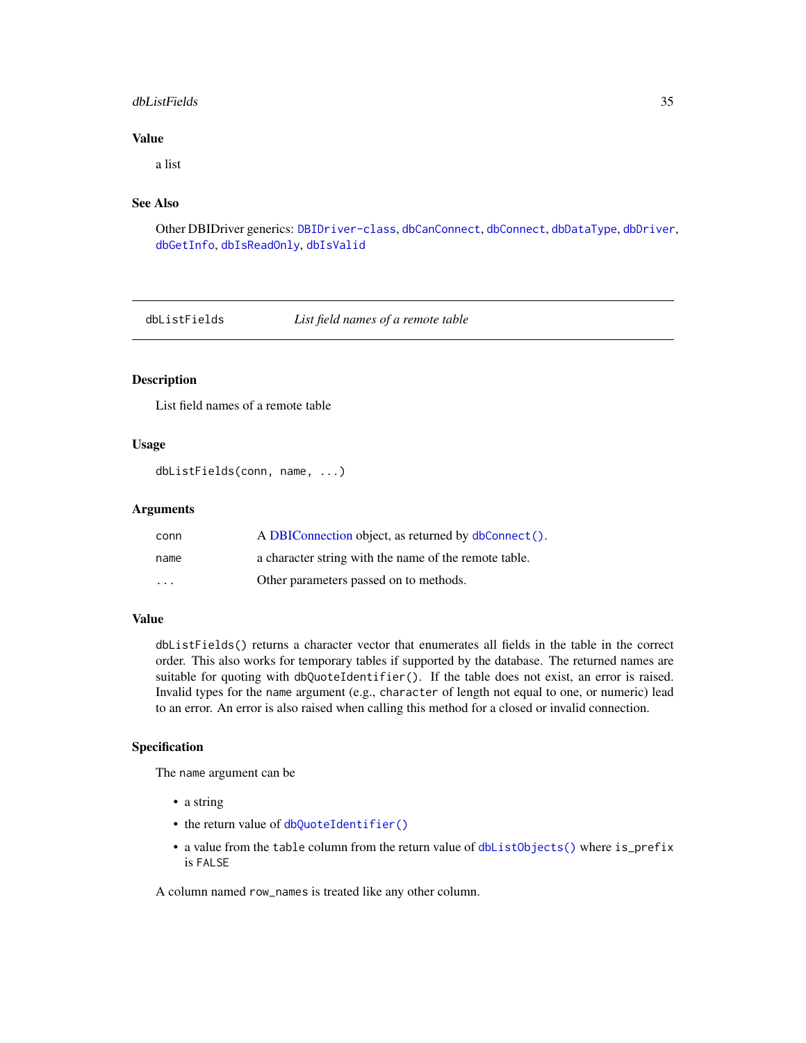# <span id="page-34-0"></span>dbListFields 35

# Value

a list

# See Also

Other DBIDriver generics: [DBIDriver-class](#page-30-1), [dbCanConnect](#page-7-1), [dbConnect](#page-10-1), [dbDataType](#page-13-1), [dbDriver](#page-15-1), [dbGetInfo](#page-22-2), [dbIsReadOnly](#page-31-2), [dbIsValid](#page-32-1)

<span id="page-34-1"></span>dbListFields *List field names of a remote table*

# Description

List field names of a remote table

# Usage

```
dbListFields(conn, name, ...)
```
# Arguments

| conn    | A DBIConnection object, as returned by dbConnect().   |
|---------|-------------------------------------------------------|
| name    | a character string with the name of the remote table. |
| $\cdot$ | Other parameters passed on to methods.                |

# Value

dbListFields() returns a character vector that enumerates all fields in the table in the correct order. This also works for temporary tables if supported by the database. The returned names are suitable for quoting with dbQuoteIdentifier(). If the table does not exist, an error is raised. Invalid types for the name argument (e.g., character of length not equal to one, or numeric) lead to an error. An error is also raised when calling this method for a closed or invalid connection.

# Specification

The name argument can be

- a string
- the return value of [dbQuoteIdentifier\(\)](#page-38-1)
- a value from the table column from the return value of [dbListObjects\(\)](#page-35-1) where is\_prefix is FALSE

A column named row\_names is treated like any other column.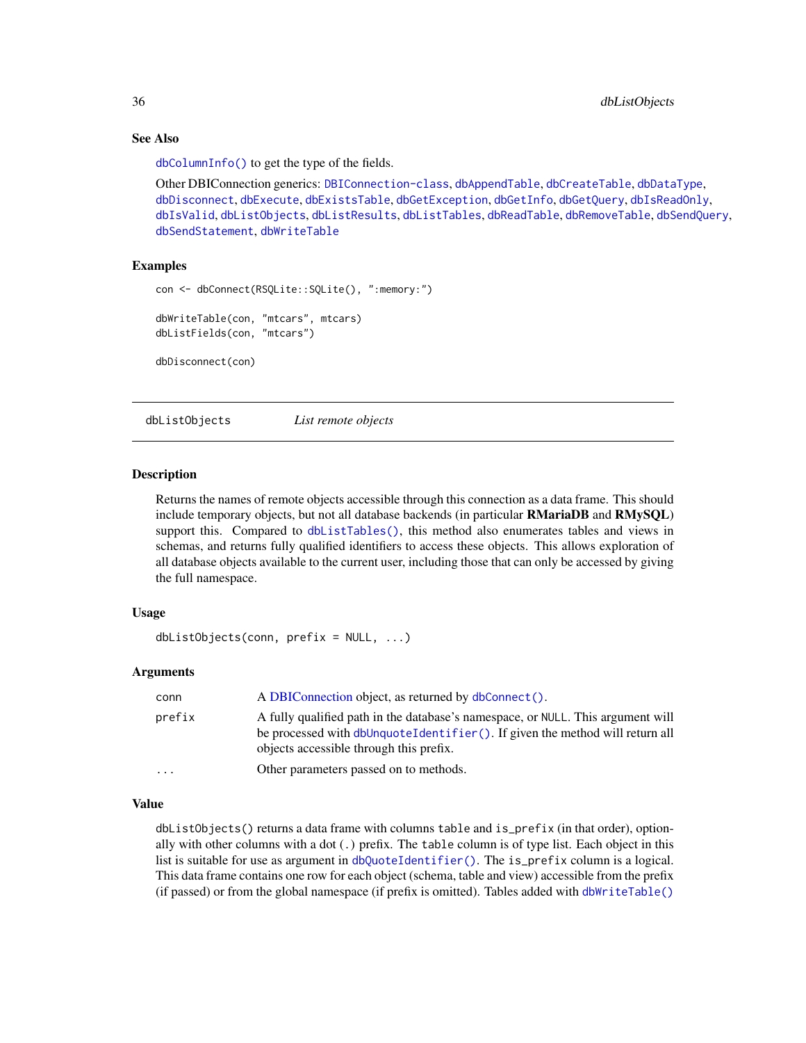# See Also

[dbColumnInfo\(\)](#page-9-1) to get the type of the fields.

```
Other DBIConnection generics: DBIConnection-class, dbAppendTable, dbCreateTable, dbDataType,
dbDisconnect, dbExecute, dbExistsTable, dbGetException, dbGetInfo, dbGetQuery, dbIsReadOnly,
dbIsValid, dbListObjects, dbListResults, dbListTables, dbReadTable, dbRemoveTable, dbSendQuery,
dbSendStatement, dbWriteTable
```
# Examples

```
con <- dbConnect(RSQLite::SQLite(), ":memory:")
dbWriteTable(con, "mtcars", mtcars)
dbListFields(con, "mtcars")
dbDisconnect(con)
```
<span id="page-35-1"></span>dbListObjects *List remote objects*

#### Description

Returns the names of remote objects accessible through this connection as a data frame. This should include temporary objects, but not all database backends (in particular RMariaDB and RMySQL) support this. Compared to [dbListTables\(\)](#page-37-1), this method also enumerates tables and views in schemas, and returns fully qualified identifiers to access these objects. This allows exploration of all database objects available to the current user, including those that can only be accessed by giving the full namespace.

## Usage

dbListObjects(conn, prefix = NULL, ...)

# Arguments

| conn                    | A DBIConnection object, as returned by dbConnect().                                                                                                                                                        |
|-------------------------|------------------------------------------------------------------------------------------------------------------------------------------------------------------------------------------------------------|
| prefix                  | A fully qualified path in the database's namespace, or NULL. This argument will<br>be processed with dbUnquoteIdentifier(). If given the method will return all<br>objects accessible through this prefix. |
| $\cdot$ $\cdot$ $\cdot$ | Other parameters passed on to methods.                                                                                                                                                                     |

# Value

dbListObjects() returns a data frame with columns table and is\_prefix (in that order), optionally with other columns with a dot (.) prefix. The table column is of type list. Each object in this list is suitable for use as argument in [dbQuoteIdentifier\(\)](#page-38-1). The is\_prefix column is a logical. This data frame contains one row for each object (schema, table and view) accessible from the prefix (if passed) or from the global namespace (if prefix is omitted). Tables added with [dbWriteTable\(\)](#page-52-1)

<span id="page-35-0"></span>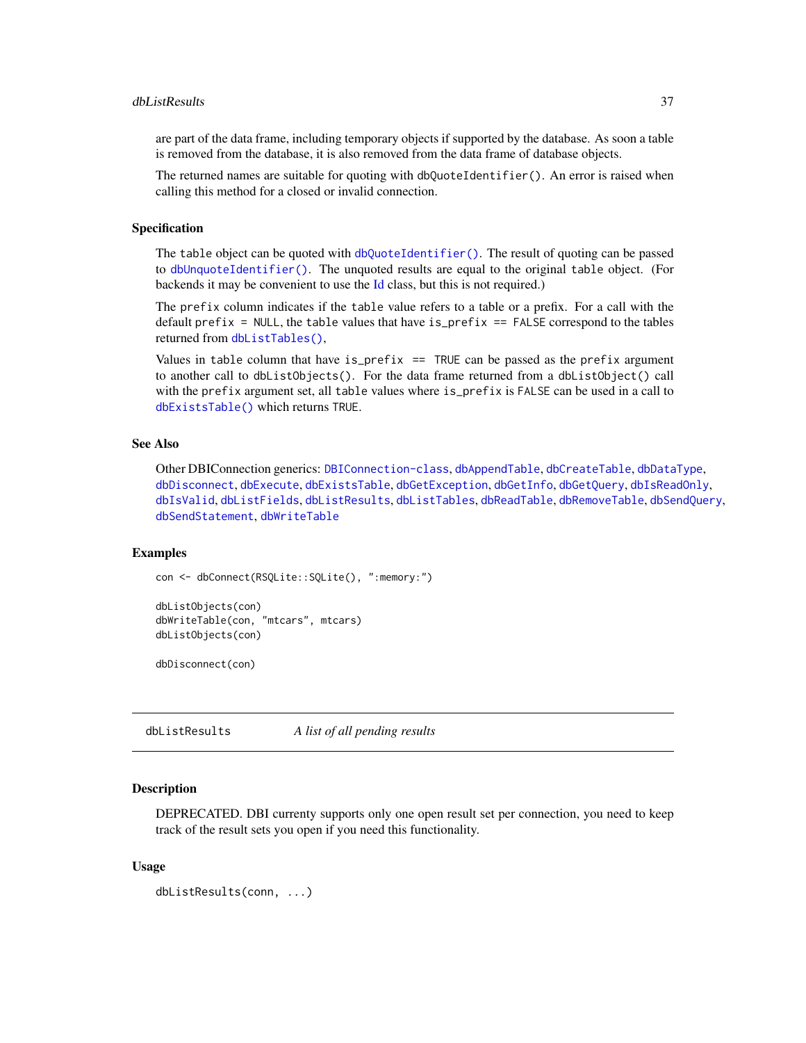# <span id="page-36-0"></span>dbListResults 37

are part of the data frame, including temporary objects if supported by the database. As soon a table is removed from the database, it is also removed from the data frame of database objects.

The returned names are suitable for quoting with dbQuoteIdentifier(). An error is raised when calling this method for a closed or invalid connection.

# Specification

The table object can be quoted with [dbQuoteIdentifier\(\)](#page-38-1). The result of quoting can be passed to [dbUnquoteIdentifier\(\)](#page-49-1). The unquoted results are equal to the original table object. (For backends it may be convenient to use the [Id](#page-55-1) class, but this is not required.)

The prefix column indicates if the table value refers to a table or a prefix. For a call with the default prefix = NULL, the table values that have  $is\_prefix ==$  FALSE correspond to the tables returned from [dbListTables\(\)](#page-37-1),

Values in table column that have is\_prefix  $==$  TRUE can be passed as the prefix argument to another call to dbListObjects(). For the data frame returned from a dbListObject() call with the prefix argument set, all table values where is\_prefix is FALSE can be used in a call to [dbExistsTable\(\)](#page-18-1) which returns TRUE.

# See Also

Other DBIConnection generics: [DBIConnection-class](#page-29-1), [dbAppendTable](#page-3-1), [dbCreateTable](#page-12-1), [dbDataType](#page-13-1), [dbDisconnect](#page-14-1), [dbExecute](#page-17-1), [dbExistsTable](#page-18-1), [dbGetException](#page-22-1), [dbGetInfo](#page-22-2), [dbGetQuery](#page-23-1), [dbIsReadOnly](#page-31-2), [dbIsValid](#page-32-1), [dbListFields](#page-34-1), [dbListResults](#page-36-1), [dbListTables](#page-37-1), [dbReadTable](#page-42-1), [dbRemoveTable](#page-44-1), [dbSendQuery](#page-45-1), [dbSendStatement](#page-47-1), [dbWriteTable](#page-52-1)

# Examples

```
con <- dbConnect(RSQLite::SQLite(), ":memory:")
```

```
dbListObjects(con)
dbWriteTable(con, "mtcars", mtcars)
dbListObjects(con)
```
dbDisconnect(con)

<span id="page-36-1"></span>dbListResults *A list of all pending results*

#### Description

DEPRECATED. DBI currenty supports only one open result set per connection, you need to keep track of the result sets you open if you need this functionality.

# Usage

```
dbListResults(conn, ...)
```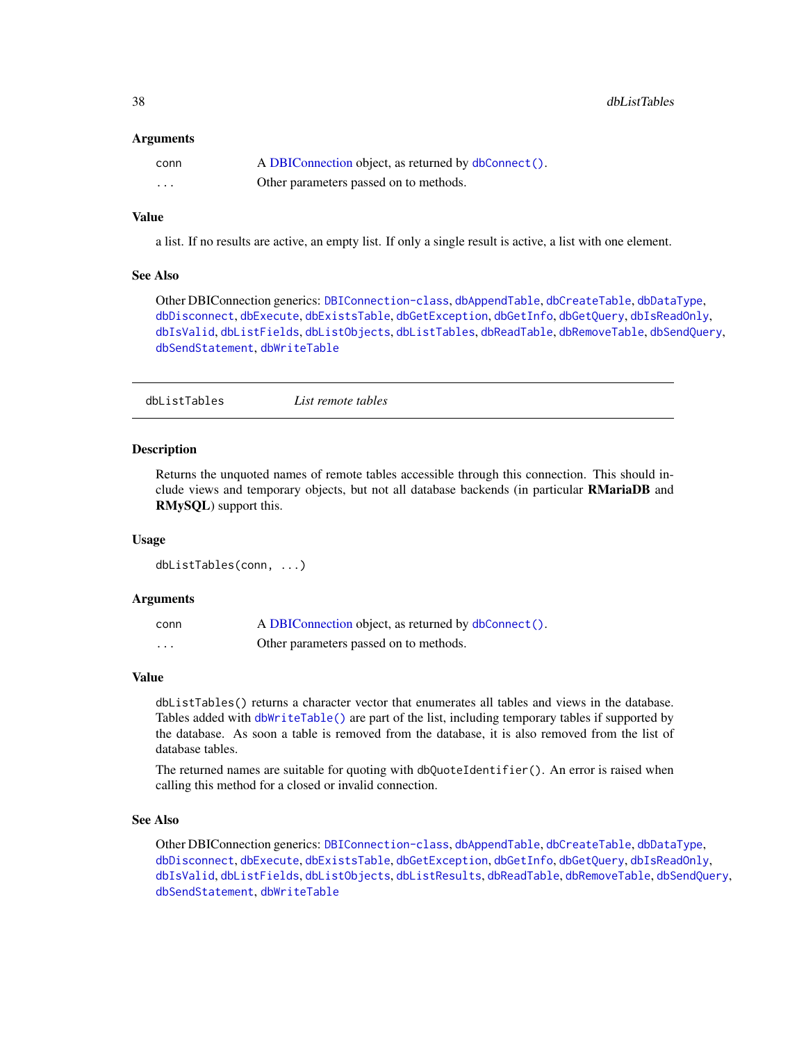<span id="page-37-0"></span>38 dbListTables

# **Arguments**

| conn     | A DBIConnection object, as returned by dbConnect(). |
|----------|-----------------------------------------------------|
| $\cdots$ | Other parameters passed on to methods.              |

# Value

a list. If no results are active, an empty list. If only a single result is active, a list with one element.

# See Also

Other DBIConnection generics: [DBIConnection-class](#page-29-1), [dbAppendTable](#page-3-1), [dbCreateTable](#page-12-1), [dbDataType](#page-13-1), [dbDisconnect](#page-14-1), [dbExecute](#page-17-1), [dbExistsTable](#page-18-1), [dbGetException](#page-22-1), [dbGetInfo](#page-22-2), [dbGetQuery](#page-23-1), [dbIsReadOnly](#page-31-2), [dbIsValid](#page-32-1), [dbListFields](#page-34-1), [dbListObjects](#page-35-1), [dbListTables](#page-37-1), [dbReadTable](#page-42-1), [dbRemoveTable](#page-44-1), [dbSendQuery](#page-45-1), [dbSendStatement](#page-47-1), [dbWriteTable](#page-52-1)

<span id="page-37-1"></span>dbListTables *List remote tables*

#### Description

Returns the unquoted names of remote tables accessible through this connection. This should include views and temporary objects, but not all database backends (in particular RMariaDB and RMySQL) support this.

# Usage

dbListTables(conn, ...)

# Arguments

| conn | A DBIConnection object, as returned by dbConnect(). |
|------|-----------------------------------------------------|
| .    | Other parameters passed on to methods.              |

#### Value

dbListTables() returns a character vector that enumerates all tables and views in the database. Tables added with [dbWriteTable\(\)](#page-52-1) are part of the list, including temporary tables if supported by the database. As soon a table is removed from the database, it is also removed from the list of database tables.

The returned names are suitable for quoting with dbQuoteIdentifier(). An error is raised when calling this method for a closed or invalid connection.

#### See Also

Other DBIConnection generics: [DBIConnection-class](#page-29-1), [dbAppendTable](#page-3-1), [dbCreateTable](#page-12-1), [dbDataType](#page-13-1), [dbDisconnect](#page-14-1), [dbExecute](#page-17-1), [dbExistsTable](#page-18-1), [dbGetException](#page-22-1), [dbGetInfo](#page-22-2), [dbGetQuery](#page-23-1), [dbIsReadOnly](#page-31-2), [dbIsValid](#page-32-1), [dbListFields](#page-34-1), [dbListObjects](#page-35-1), [dbListResults](#page-36-1), [dbReadTable](#page-42-1), [dbRemoveTable](#page-44-1), [dbSendQuery](#page-45-1), [dbSendStatement](#page-47-1), [dbWriteTable](#page-52-1)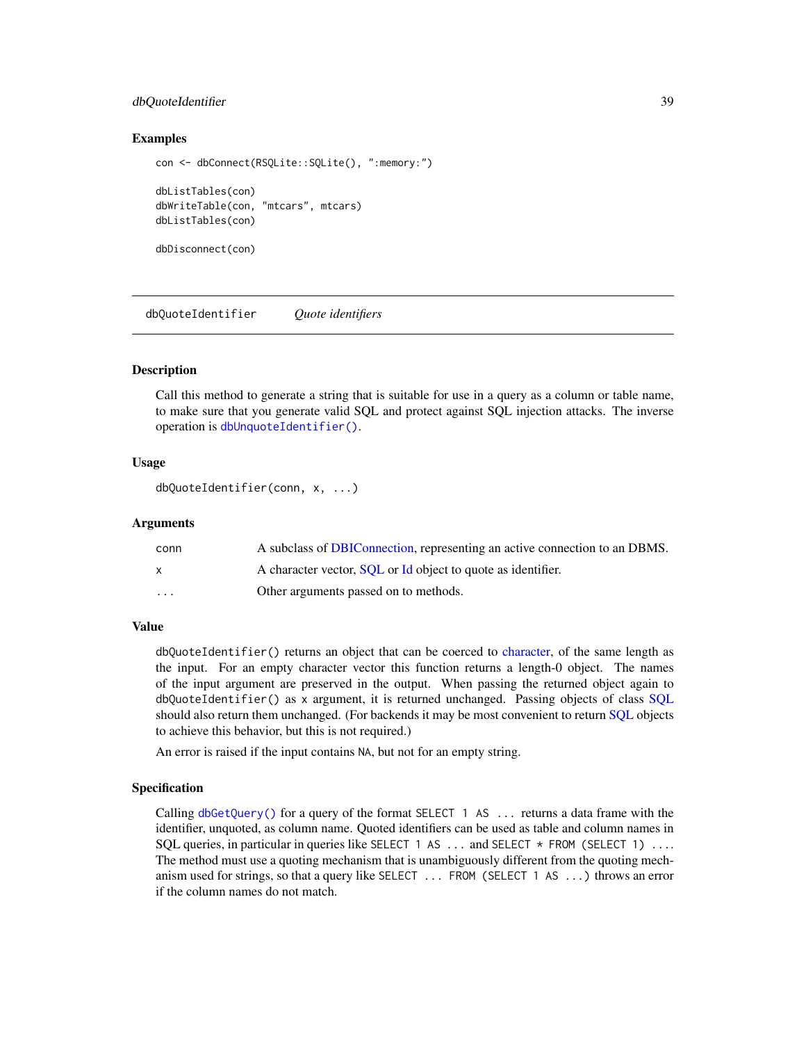# <span id="page-38-0"></span>dbQuoteIdentifier 39

# Examples

```
con <- dbConnect(RSQLite::SQLite(), ":memory:")
dbListTables(con)
dbWriteTable(con, "mtcars", mtcars)
dbListTables(con)
dbDisconnect(con)
```
<span id="page-38-1"></span>dbQuoteIdentifier *Quote identifiers*

# **Description**

Call this method to generate a string that is suitable for use in a query as a column or table name, to make sure that you generate valid SQL and protect against SQL injection attacks. The inverse operation is [dbUnquoteIdentifier\(\)](#page-49-1).

# Usage

```
dbQuoteIdentifier(conn, x, ...)
```
#### Arguments

| conn                    | A subclass of DBIConnection, representing an active connection to an DBMS. |
|-------------------------|----------------------------------------------------------------------------|
|                         | A character vector, SQL or Id object to quote as identifier.               |
| $\cdot$ $\cdot$ $\cdot$ | Other arguments passed on to methods.                                      |

# Value

dbQuoteIdentifier() returns an object that can be coerced to [character,](#page-0-0) of the same length as the input. For an empty character vector this function returns a length-0 object. The names of the input argument are preserved in the output. When passing the returned object again to dbQuoteIdentifier() as x argument, it is returned unchanged. Passing objects of class [SQL](#page-58-1) should also return them unchanged. (For backends it may be most convenient to return [SQL](#page-58-1) objects to achieve this behavior, but this is not required.)

An error is raised if the input contains NA, but not for an empty string.

# Specification

Calling [dbGetQuery\(\)](#page-23-1) for a query of the format SELECT 1 AS  $\ldots$  returns a data frame with the identifier, unquoted, as column name. Quoted identifiers can be used as table and column names in SOL queries, in particular in queries like SELECT 1 AS  $\dots$  and SELECT  $*$  FROM (SELECT 1)  $\dots$ The method must use a quoting mechanism that is unambiguously different from the quoting mechanism used for strings, so that a query like SELECT ... FROM (SELECT 1 AS ...) throws an error if the column names do not match.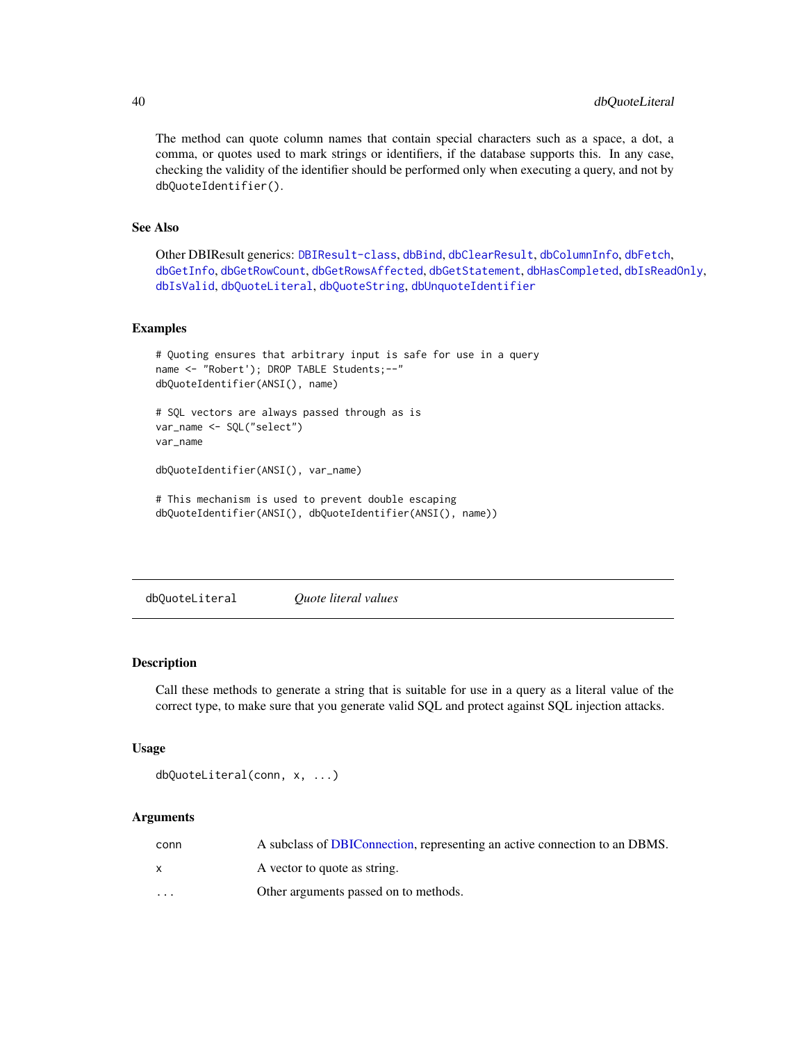The method can quote column names that contain special characters such as a space, a dot, a comma, or quotes used to mark strings or identifiers, if the database supports this. In any case, checking the validity of the identifier should be performed only when executing a query, and not by dbQuoteIdentifier().

# See Also

Other DBIResult generics: [DBIResult-class](#page-31-1), [dbBind](#page-4-1), [dbClearResult](#page-8-1), [dbColumnInfo](#page-9-1), [dbFetch](#page-19-1), [dbGetInfo](#page-22-2), [dbGetRowCount](#page-25-1), [dbGetRowsAffected](#page-26-1), [dbGetStatement](#page-27-1), [dbHasCompleted](#page-28-1), [dbIsReadOnly](#page-31-2), [dbIsValid](#page-32-1), [dbQuoteLiteral](#page-39-1), [dbQuoteString](#page-41-1), [dbUnquoteIdentifier](#page-49-1)

## Examples

```
# Quoting ensures that arbitrary input is safe for use in a query
name <- "Robert'); DROP TABLE Students;--"
dbQuoteIdentifier(ANSI(), name)
# SQL vectors are always passed through as is
var_name <- SQL("select")
var_name
dbQuoteIdentifier(ANSI(), var_name)
# This mechanism is used to prevent double escaping
```

```
dbQuoteIdentifier(ANSI(), dbQuoteIdentifier(ANSI(), name))
```
<span id="page-39-1"></span>dbQuoteLiteral *Quote literal values*

# Description

Call these methods to generate a string that is suitable for use in a query as a literal value of the correct type, to make sure that you generate valid SQL and protect against SQL injection attacks.

# Usage

```
dbQuoteLiteral(conn, x, ...)
```
# Arguments

| conn     | A subclass of DBIConnection, representing an active connection to an DBMS. |
|----------|----------------------------------------------------------------------------|
|          | A vector to quote as string.                                               |
| $\cdots$ | Other arguments passed on to methods.                                      |

<span id="page-39-0"></span>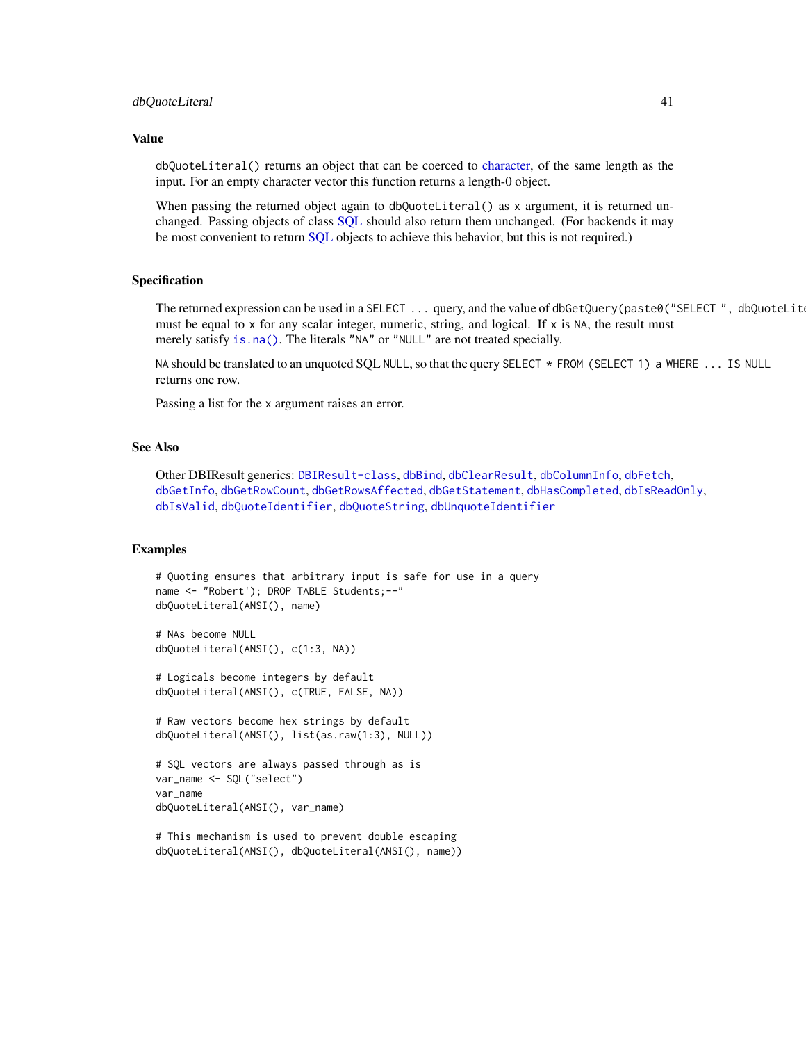#### <span id="page-40-0"></span>dbQuoteLiteral 41

# Value

dbQuoteLiteral() returns an object that can be coerced to [character,](#page-0-0) of the same length as the input. For an empty character vector this function returns a length-0 object.

When passing the returned object again to dbQuoteLiteral() as x argument, it is returned unchanged. Passing objects of class [SQL](#page-58-1) should also return them unchanged. (For backends it may be most convenient to return [SQL](#page-58-1) objects to achieve this behavior, but this is not required.)

#### Specification

The returned expression can be used in a SELECT  $\ldots$  query, and the value of dbGetQuery(paste0("SELECT", dbQuoteLiteral(x) must be equal to x for any scalar integer, numeric, string, and logical. If  $x$  is NA, the result must merely satisfy [is.na\(\)](#page-0-0). The literals "NA" or "NULL" are not treated specially.

NA should be translated to an unquoted SQL NULL, so that the query SELECT \* FROM (SELECT 1) a WHERE ... IS NULL returns one row.

Passing a list for the x argument raises an error.

#### See Also

Other DBIResult generics: [DBIResult-class](#page-31-1), [dbBind](#page-4-1), [dbClearResult](#page-8-1), [dbColumnInfo](#page-9-1), [dbFetch](#page-19-1), [dbGetInfo](#page-22-2), [dbGetRowCount](#page-25-1), [dbGetRowsAffected](#page-26-1), [dbGetStatement](#page-27-1), [dbHasCompleted](#page-28-1), [dbIsReadOnly](#page-31-2), [dbIsValid](#page-32-1), [dbQuoteIdentifier](#page-38-1), [dbQuoteString](#page-41-1), [dbUnquoteIdentifier](#page-49-1)

# Examples

```
# Quoting ensures that arbitrary input is safe for use in a query
name <- "Robert'); DROP TABLE Students;--"
dbQuoteLiteral(ANSI(), name)
```

```
# NAs become NULL
dbQuoteLiteral(ANSI(), c(1:3, NA))
```

```
# Logicals become integers by default
dbQuoteLiteral(ANSI(), c(TRUE, FALSE, NA))
```

```
# Raw vectors become hex strings by default
dbQuoteLiteral(ANSI(), list(as.raw(1:3), NULL))
```

```
# SQL vectors are always passed through as is
var_name <- SQL("select")
var_name
dbQuoteLiteral(ANSI(), var_name)
```

```
# This mechanism is used to prevent double escaping
dbQuoteLiteral(ANSI(), dbQuoteLiteral(ANSI(), name))
```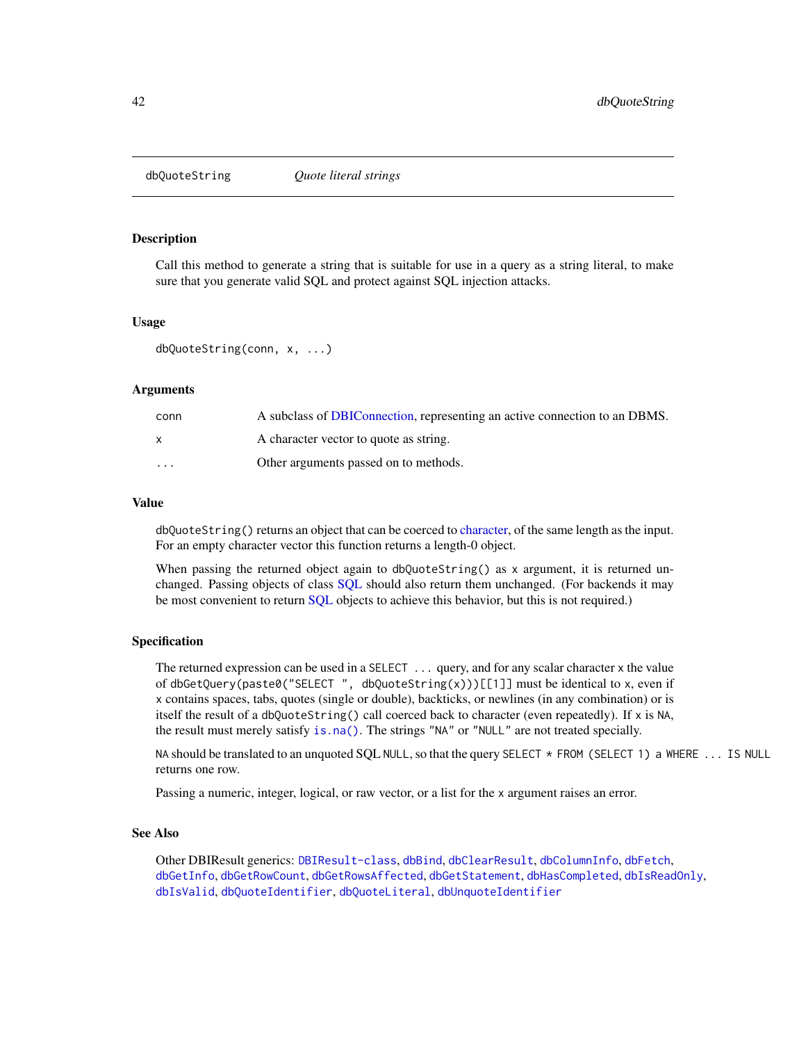<span id="page-41-1"></span><span id="page-41-0"></span>

# **Description**

Call this method to generate a string that is suitable for use in a query as a string literal, to make sure that you generate valid SQL and protect against SQL injection attacks.

# Usage

dbQuoteString(conn, x, ...)

# **Arguments**

| conn     | A subclass of DBIConnection, representing an active connection to an DBMS. |
|----------|----------------------------------------------------------------------------|
|          | A character vector to quote as string.                                     |
| $\cdots$ | Other arguments passed on to methods.                                      |

#### Value

dbQuoteString() returns an object that can be coerced to [character,](#page-0-0) of the same length as the input. For an empty character vector this function returns a length-0 object.

When passing the returned object again to dbQuoteString() as x argument, it is returned unchanged. Passing objects of class [SQL](#page-58-1) should also return them unchanged. (For backends it may be most convenient to return [SQL](#page-58-1) objects to achieve this behavior, but this is not required.)

#### Specification

The returned expression can be used in a SELECT ... query, and for any scalar character x the value of dbGetQuery(paste0("SELECT", dbQuoteString(x)))[[1]] must be identical to x, even if x contains spaces, tabs, quotes (single or double), backticks, or newlines (in any combination) or is itself the result of a dbQuoteString() call coerced back to character (even repeatedly). If x is NA, the result must merely satisfy [is.na\(\)](#page-0-0). The strings "NA" or "NULL" are not treated specially.

NA should be translated to an unquoted SQL NULL, so that the query SELECT  $*$  FROM (SELECT 1) a WHERE ... IS NULL returns one row.

Passing a numeric, integer, logical, or raw vector, or a list for the x argument raises an error.

#### See Also

Other DBIResult generics: [DBIResult-class](#page-31-1), [dbBind](#page-4-1), [dbClearResult](#page-8-1), [dbColumnInfo](#page-9-1), [dbFetch](#page-19-1), [dbGetInfo](#page-22-2), [dbGetRowCount](#page-25-1), [dbGetRowsAffected](#page-26-1), [dbGetStatement](#page-27-1), [dbHasCompleted](#page-28-1), [dbIsReadOnly](#page-31-2), [dbIsValid](#page-32-1), [dbQuoteIdentifier](#page-38-1), [dbQuoteLiteral](#page-39-1), [dbUnquoteIdentifier](#page-49-1)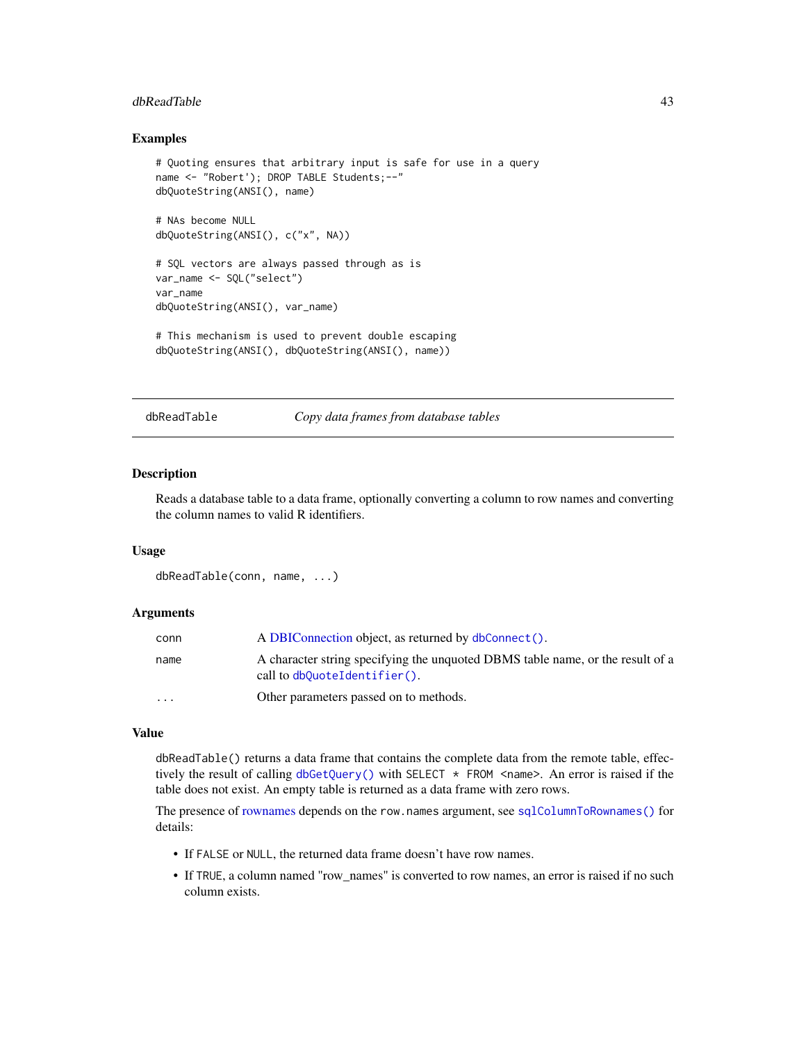#### <span id="page-42-0"></span>dbReadTable 43

# Examples

```
# Quoting ensures that arbitrary input is safe for use in a query
name <- "Robert'); DROP TABLE Students;--"
dbQuoteString(ANSI(), name)
# NAs become NULL
dbQuoteString(ANSI(), c("x", NA))
# SQL vectors are always passed through as is
var_name <- SQL("select")
var_name
dbQuoteString(ANSI(), var_name)
# This mechanism is used to prevent double escaping
dbQuoteString(ANSI(), dbQuoteString(ANSI(), name))
```
<span id="page-42-1"></span>

dbReadTable *Copy data frames from database tables*

#### Description

Reads a database table to a data frame, optionally converting a column to row names and converting the column names to valid R identifiers.

# Usage

```
dbReadTable(conn, name, ...)
```
# Arguments

| conn     | A DBIConnection object, as returned by dbConnect().                                                            |
|----------|----------------------------------------------------------------------------------------------------------------|
| name     | A character string specifying the unquoted DBMS table name, or the result of a<br>call to dbQuoteIdentifier(). |
| $\cdots$ | Other parameters passed on to methods.                                                                         |

# Value

dbReadTable() returns a data frame that contains the complete data from the remote table, effectively the result of calling  $dbGetQuery()$  with SELECT  $\star$  FROM <name>. An error is raised if the table does not exist. An empty table is returned as a data frame with zero rows.

The presence of [rownames](#page-57-2) depends on the row.names argument, see [sqlColumnToRownames\(\)](#page-57-1) for details:

- If FALSE or NULL, the returned data frame doesn't have row names.
- If TRUE, a column named "row\_names" is converted to row names, an error is raised if no such column exists.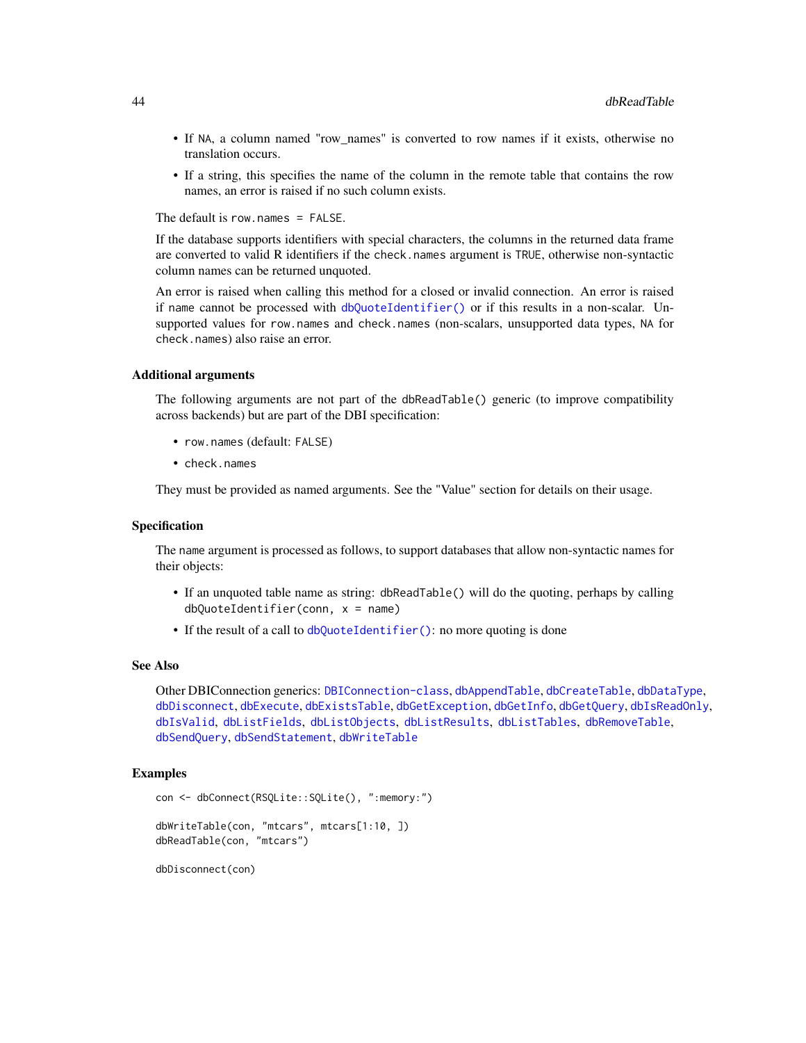- <span id="page-43-0"></span>• If NA, a column named "row\_names" is converted to row names if it exists, otherwise no translation occurs.
- If a string, this specifies the name of the column in the remote table that contains the row names, an error is raised if no such column exists.

The default is row.names = FALSE.

If the database supports identifiers with special characters, the columns in the returned data frame are converted to valid R identifiers if the check.names argument is TRUE, otherwise non-syntactic column names can be returned unquoted.

An error is raised when calling this method for a closed or invalid connection. An error is raised if name cannot be processed with [dbQuoteIdentifier\(\)](#page-38-1) or if this results in a non-scalar. Unsupported values for row.names and check.names (non-scalars, unsupported data types, NA for check.names) also raise an error.

# Additional arguments

The following arguments are not part of the dbReadTable() generic (to improve compatibility across backends) but are part of the DBI specification:

- row.names (default: FALSE)
- check.names

They must be provided as named arguments. See the "Value" section for details on their usage.

# Specification

The name argument is processed as follows, to support databases that allow non-syntactic names for their objects:

- If an unquoted table name as string: dbReadTable() will do the quoting, perhaps by calling dbQuoteIdentifier(conn, x = name)
- If the result of a call to [dbQuoteIdentifier\(\)](#page-38-1): no more quoting is done

# See Also

Other DBIConnection generics: [DBIConnection-class](#page-29-1), [dbAppendTable](#page-3-1), [dbCreateTable](#page-12-1), [dbDataType](#page-13-1), [dbDisconnect](#page-14-1), [dbExecute](#page-17-1), [dbExistsTable](#page-18-1), [dbGetException](#page-22-1), [dbGetInfo](#page-22-2), [dbGetQuery](#page-23-1), [dbIsReadOnly](#page-31-2), [dbIsValid](#page-32-1), [dbListFields](#page-34-1), [dbListObjects](#page-35-1), [dbListResults](#page-36-1), [dbListTables](#page-37-1), [dbRemoveTable](#page-44-1), [dbSendQuery](#page-45-1), [dbSendStatement](#page-47-1), [dbWriteTable](#page-52-1)

# Examples

```
con <- dbConnect(RSQLite::SQLite(), ":memory:")
dbWriteTable(con, "mtcars", mtcars[1:10, ])
dbReadTable(con, "mtcars")
```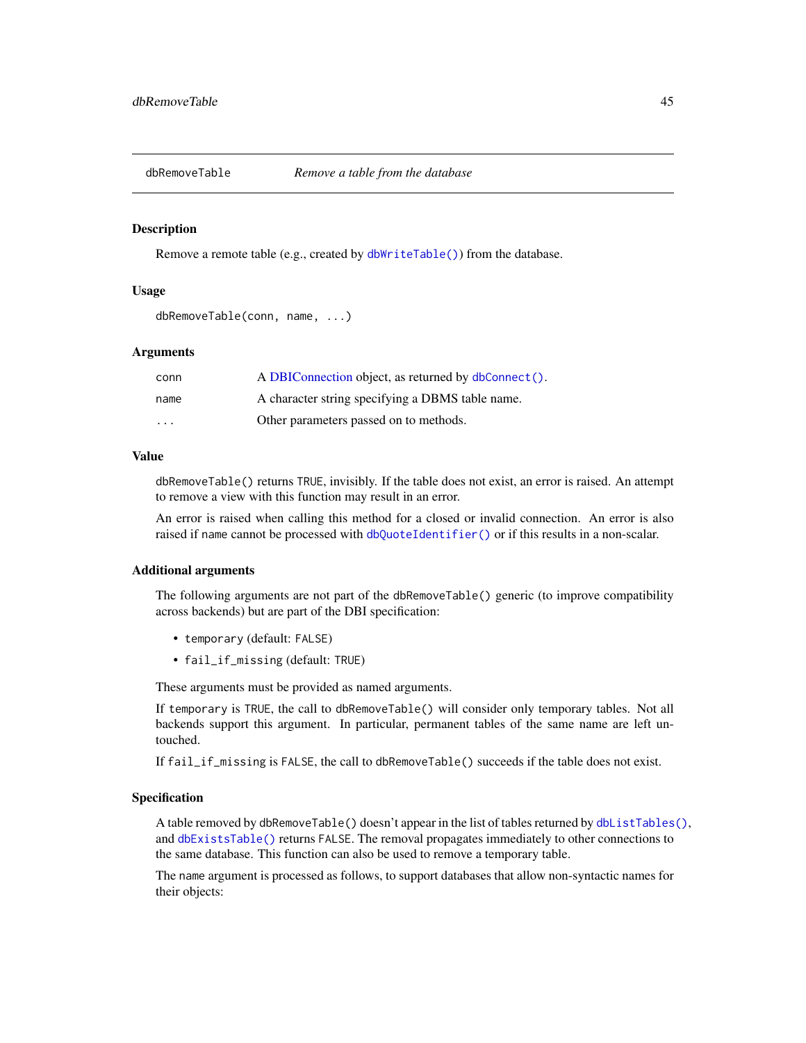<span id="page-44-1"></span><span id="page-44-0"></span>

#### Description

Remove a remote table (e.g., created by [dbWriteTable\(\)](#page-52-1)) from the database.

# Usage

```
dbRemoveTable(conn, name, ...)
```
# Arguments

| conn                    | A DBIConnection object, as returned by dbConnect(). |
|-------------------------|-----------------------------------------------------|
| name                    | A character string specifying a DBMS table name.    |
| $\cdot$ $\cdot$ $\cdot$ | Other parameters passed on to methods.              |

# Value

dbRemoveTable() returns TRUE, invisibly. If the table does not exist, an error is raised. An attempt to remove a view with this function may result in an error.

An error is raised when calling this method for a closed or invalid connection. An error is also raised if name cannot be processed with [dbQuoteIdentifier\(\)](#page-38-1) or if this results in a non-scalar.

#### Additional arguments

The following arguments are not part of the dbRemoveTable() generic (to improve compatibility across backends) but are part of the DBI specification:

- temporary (default: FALSE)
- fail\_if\_missing (default: TRUE)

These arguments must be provided as named arguments.

If temporary is TRUE, the call to dbRemoveTable() will consider only temporary tables. Not all backends support this argument. In particular, permanent tables of the same name are left untouched.

If fail\_if\_missing is FALSE, the call to dbRemoveTable() succeeds if the table does not exist.

# Specification

A table removed by dbRemoveTable() doesn't appear in the list of tables returned by [dbListTables\(\)](#page-37-1), and [dbExistsTable\(\)](#page-18-1) returns FALSE. The removal propagates immediately to other connections to the same database. This function can also be used to remove a temporary table.

The name argument is processed as follows, to support databases that allow non-syntactic names for their objects: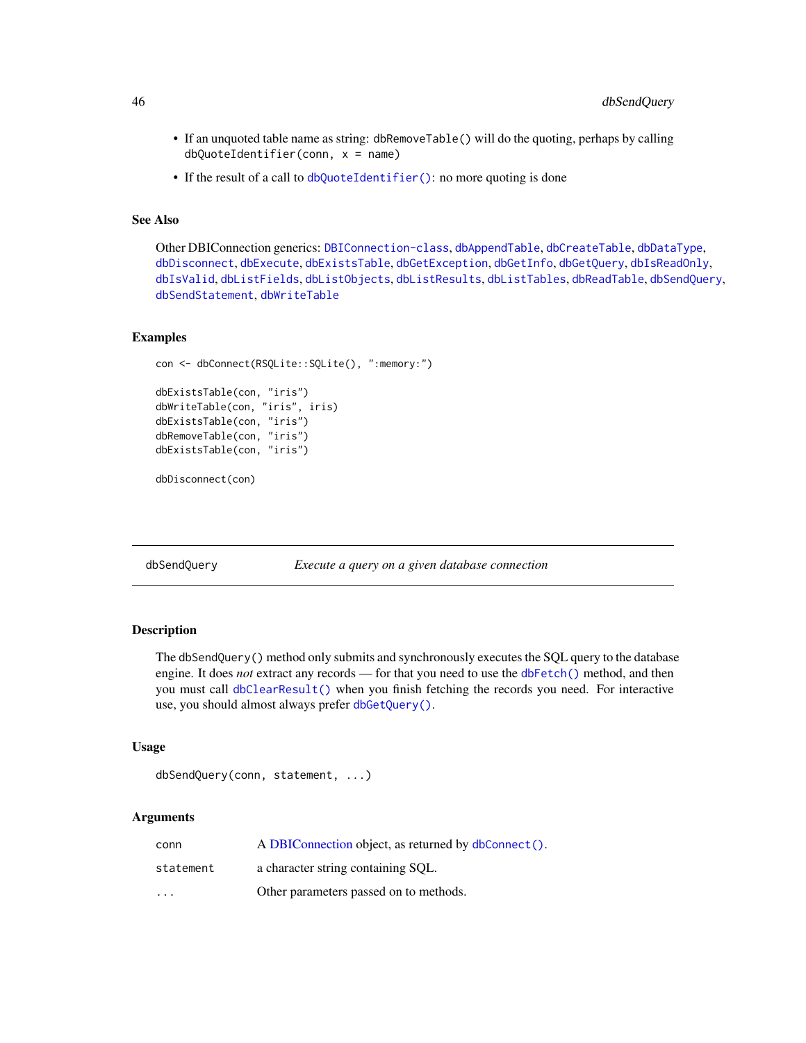- If an unquoted table name as string: dbRemoveTable() will do the quoting, perhaps by calling  $dbQuoteIdentifier(conn, x = name)$
- If the result of a call to [dbQuoteIdentifier\(\)](#page-38-1): no more quoting is done

# See Also

Other DBIConnection generics: [DBIConnection-class](#page-29-1), [dbAppendTable](#page-3-1), [dbCreateTable](#page-12-1), [dbDataType](#page-13-1), [dbDisconnect](#page-14-1), [dbExecute](#page-17-1), [dbExistsTable](#page-18-1), [dbGetException](#page-22-1), [dbGetInfo](#page-22-2), [dbGetQuery](#page-23-1), [dbIsReadOnly](#page-31-2), [dbIsValid](#page-32-1), [dbListFields](#page-34-1), [dbListObjects](#page-35-1), [dbListResults](#page-36-1), [dbListTables](#page-37-1), [dbReadTable](#page-42-1), [dbSendQuery](#page-45-1), [dbSendStatement](#page-47-1), [dbWriteTable](#page-52-1)

#### Examples

```
con <- dbConnect(RSQLite::SQLite(), ":memory:")
dbExistsTable(con, "iris")
dbWriteTable(con, "iris", iris)
dbExistsTable(con, "iris")
dbRemoveTable(con, "iris")
dbExistsTable(con, "iris")
```
dbDisconnect(con)

<span id="page-45-1"></span>dbSendQuery *Execute a query on a given database connection*

# Description

The dbSendQuery() method only submits and synchronously executes the SQL query to the database engine. It does *not* extract any records — for that you need to use the [dbFetch\(\)](#page-19-1) method, and then you must call [dbClearResult\(\)](#page-8-1) when you finish fetching the records you need. For interactive use, you should almost always prefer [dbGetQuery\(\)](#page-23-1).

#### Usage

```
dbSendQuery(conn, statement, ...)
```
# Arguments

| conn                    | A DBIConnection object, as returned by dbConnect(). |
|-------------------------|-----------------------------------------------------|
| statement               | a character string containing SOL.                  |
| $\cdot$ $\cdot$ $\cdot$ | Other parameters passed on to methods.              |

<span id="page-45-0"></span>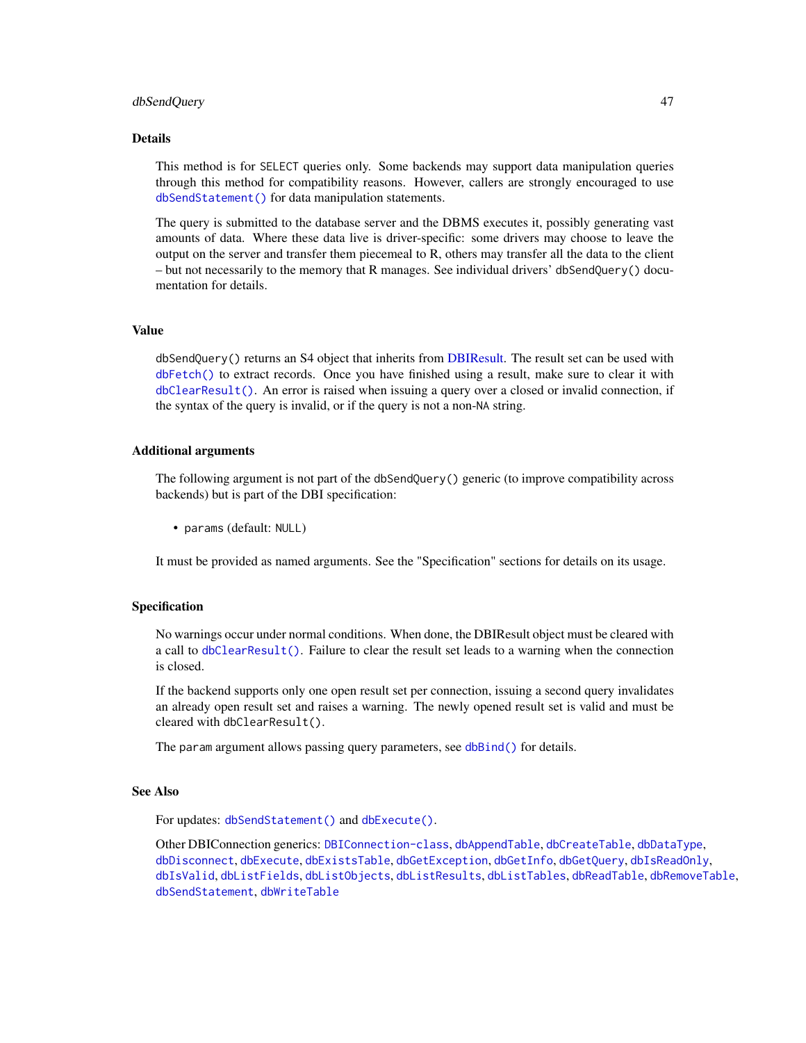#### <span id="page-46-0"></span>dbSendQuery 47

#### Details

This method is for SELECT queries only. Some backends may support data manipulation queries through this method for compatibility reasons. However, callers are strongly encouraged to use [dbSendStatement\(\)](#page-47-1) for data manipulation statements.

The query is submitted to the database server and the DBMS executes it, possibly generating vast amounts of data. Where these data live is driver-specific: some drivers may choose to leave the output on the server and transfer them piecemeal to R, others may transfer all the data to the client – but not necessarily to the memory that R manages. See individual drivers' dbSendQuery() documentation for details.

# Value

dbSendQuery() returns an S4 object that inherits from [DBIResult.](#page-31-1) The result set can be used with [dbFetch\(\)](#page-19-1) to extract records. Once you have finished using a result, make sure to clear it with [dbClearResult\(\)](#page-8-1). An error is raised when issuing a query over a closed or invalid connection, if the syntax of the query is invalid, or if the query is not a non-NA string.

#### Additional arguments

The following argument is not part of the dbSendQuery() generic (to improve compatibility across backends) but is part of the DBI specification:

• params (default: NULL)

It must be provided as named arguments. See the "Specification" sections for details on its usage.

# Specification

No warnings occur under normal conditions. When done, the DBIResult object must be cleared with a call to [dbClearResult\(\)](#page-8-1). Failure to clear the result set leads to a warning when the connection is closed.

If the backend supports only one open result set per connection, issuing a second query invalidates an already open result set and raises a warning. The newly opened result set is valid and must be cleared with dbClearResult().

The param argument allows passing query parameters, see [dbBind\(\)](#page-4-1) for details.

#### See Also

For updates: [dbSendStatement\(\)](#page-47-1) and [dbExecute\(\)](#page-17-1).

Other DBIConnection generics: [DBIConnection-class](#page-29-1), [dbAppendTable](#page-3-1), [dbCreateTable](#page-12-1), [dbDataType](#page-13-1), [dbDisconnect](#page-14-1), [dbExecute](#page-17-1), [dbExistsTable](#page-18-1), [dbGetException](#page-22-1), [dbGetInfo](#page-22-2), [dbGetQuery](#page-23-1), [dbIsReadOnly](#page-31-2), [dbIsValid](#page-32-1), [dbListFields](#page-34-1), [dbListObjects](#page-35-1), [dbListResults](#page-36-1), [dbListTables](#page-37-1), [dbReadTable](#page-42-1), [dbRemoveTable](#page-44-1), [dbSendStatement](#page-47-1), [dbWriteTable](#page-52-1)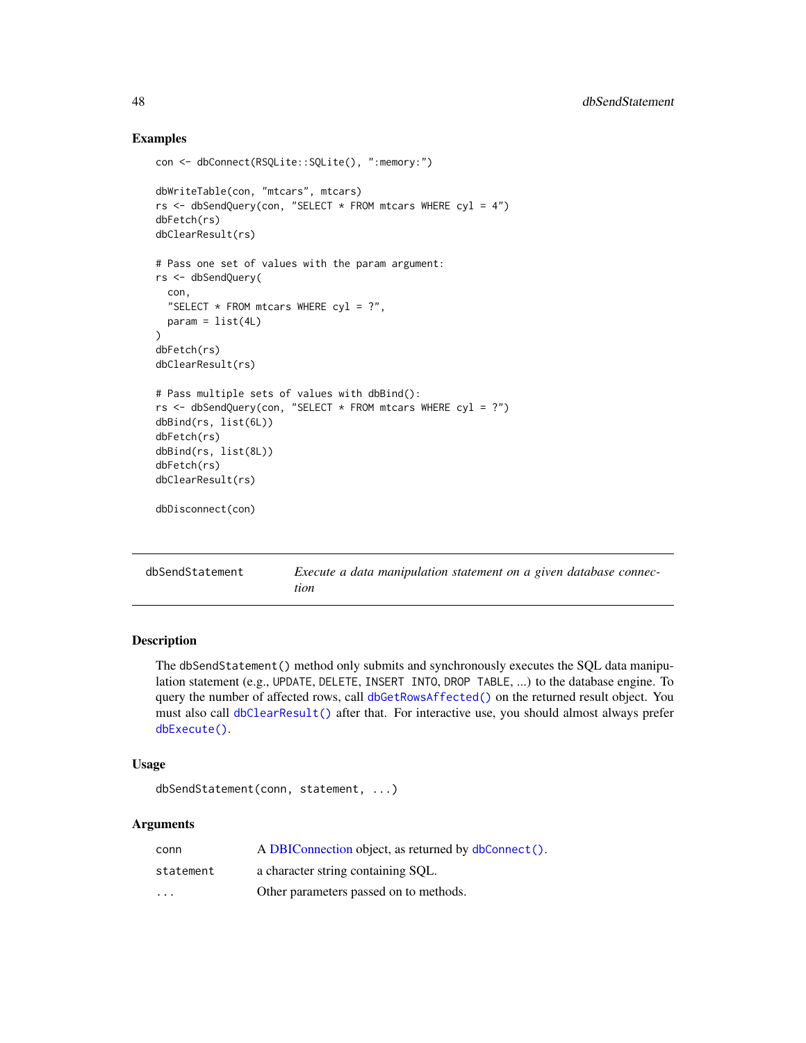# Examples

```
con <- dbConnect(RSQLite::SQLite(), ":memory:")
dbWriteTable(con, "mtcars", mtcars)
rs <- dbSendQuery(con, "SELECT * FROM mtcars WHERE cyl = 4")
dbFetch(rs)
dbClearResult(rs)
# Pass one set of values with the param argument:
rs <- dbSendQuery(
  con,
  "SELECT * FROM mtcars WHERE cyl = ?",
  param = list(4L))
dbFetch(rs)
dbClearResult(rs)
# Pass multiple sets of values with dbBind():
rs <- dbSendQuery(con, "SELECT * FROM mtcars WHERE cyl = ?")
dbBind(rs, list(6L))
dbFetch(rs)
dbBind(rs, list(8L))
dbFetch(rs)
dbClearResult(rs)
dbDisconnect(con)
```
<span id="page-47-1"></span>

| dbSendStatement | Execute a data manipulation statement on a given database connec- |
|-----------------|-------------------------------------------------------------------|
|                 | tion                                                              |

# Description

The dbSendStatement() method only submits and synchronously executes the SQL data manipulation statement (e.g., UPDATE, DELETE, INSERT INTO, DROP TABLE, ...) to the database engine. To query the number of affected rows, call [dbGetRowsAffected\(\)](#page-26-1) on the returned result object. You must also call [dbClearResult\(\)](#page-8-1) after that. For interactive use, you should almost always prefer [dbExecute\(\)](#page-17-1).

# Usage

```
dbSendStatement(conn, statement, ...)
```
# Arguments

| conn                    | A DBIConnection object, as returned by dbConnect(). |
|-------------------------|-----------------------------------------------------|
| statement               | a character string containing SOL.                  |
| $\cdot$ $\cdot$ $\cdot$ | Other parameters passed on to methods.              |

<span id="page-47-0"></span>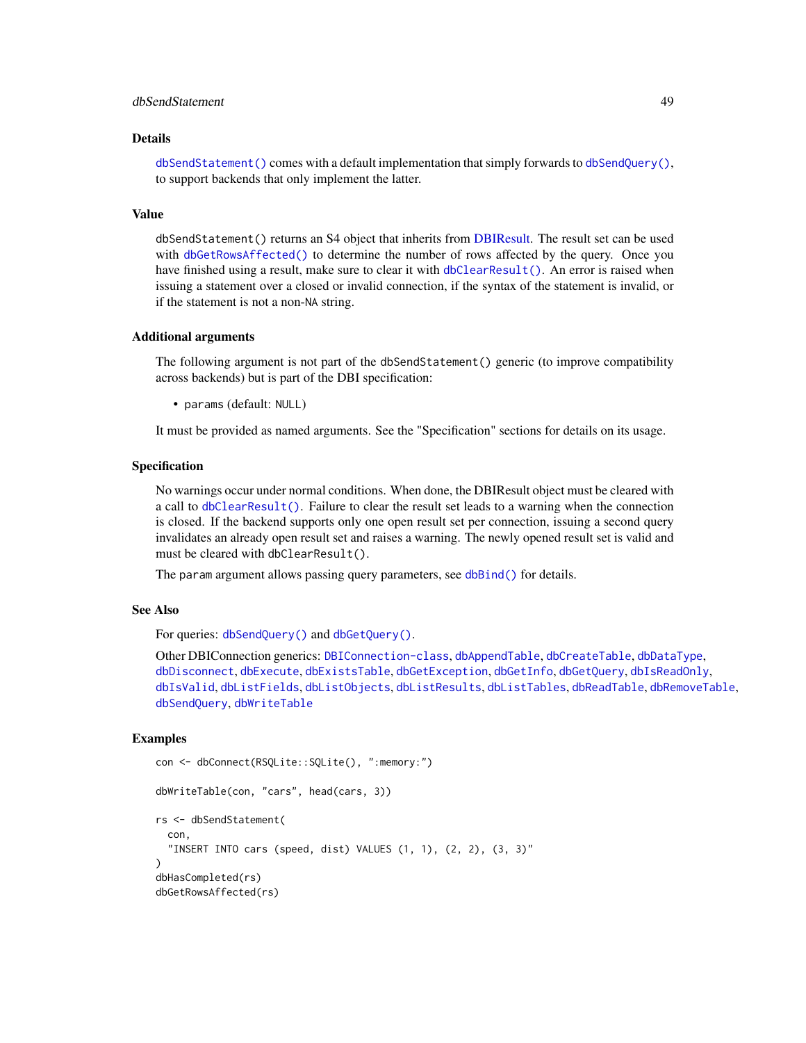# <span id="page-48-0"></span>dbSendStatement 49

#### Details

 $dbSendStatement() comes with a default implementation that simply forwards to dbSendQuery(),$  $dbSendStatement() comes with a default implementation that simply forwards to dbSendQuery(),$  $dbSendStatement() comes with a default implementation that simply forwards to dbSendQuery(),$  $dbSendStatement() comes with a default implementation that simply forwards to dbSendQuery(),$ to support backends that only implement the latter.

#### Value

dbSendStatement() returns an S4 object that inherits from [DBIResult.](#page-31-1) The result set can be used with [dbGetRowsAffected\(\)](#page-26-1) to determine the number of rows affected by the query. Once you have finished using a result, make sure to clear it with [dbClearResult\(\)](#page-8-1). An error is raised when issuing a statement over a closed or invalid connection, if the syntax of the statement is invalid, or if the statement is not a non-NA string.

# Additional arguments

The following argument is not part of the dbSendStatement() generic (to improve compatibility across backends) but is part of the DBI specification:

• params (default: NULL)

It must be provided as named arguments. See the "Specification" sections for details on its usage.

# Specification

No warnings occur under normal conditions. When done, the DBIResult object must be cleared with a call to [dbClearResult\(\)](#page-8-1). Failure to clear the result set leads to a warning when the connection is closed. If the backend supports only one open result set per connection, issuing a second query invalidates an already open result set and raises a warning. The newly opened result set is valid and must be cleared with dbClearResult().

The param argument allows passing query parameters, see [dbBind\(\)](#page-4-1) for details.

# See Also

For queries: [dbSendQuery\(\)](#page-45-1) and [dbGetQuery\(\)](#page-23-1).

Other DBIConnection generics: [DBIConnection-class](#page-29-1), [dbAppendTable](#page-3-1), [dbCreateTable](#page-12-1), [dbDataType](#page-13-1), [dbDisconnect](#page-14-1), [dbExecute](#page-17-1), [dbExistsTable](#page-18-1), [dbGetException](#page-22-1), [dbGetInfo](#page-22-2), [dbGetQuery](#page-23-1), [dbIsReadOnly](#page-31-2), [dbIsValid](#page-32-1), [dbListFields](#page-34-1), [dbListObjects](#page-35-1), [dbListResults](#page-36-1), [dbListTables](#page-37-1), [dbReadTable](#page-42-1), [dbRemoveTable](#page-44-1), [dbSendQuery](#page-45-1), [dbWriteTable](#page-52-1)

# Examples

```
con <- dbConnect(RSQLite::SQLite(), ":memory:")
dbWriteTable(con, "cars", head(cars, 3))
rs <- dbSendStatement(
 con,
  "INSERT INTO cars (speed, dist) VALUES (1, 1), (2, 2), (3, 3)"
)
dbHasCompleted(rs)
dbGetRowsAffected(rs)
```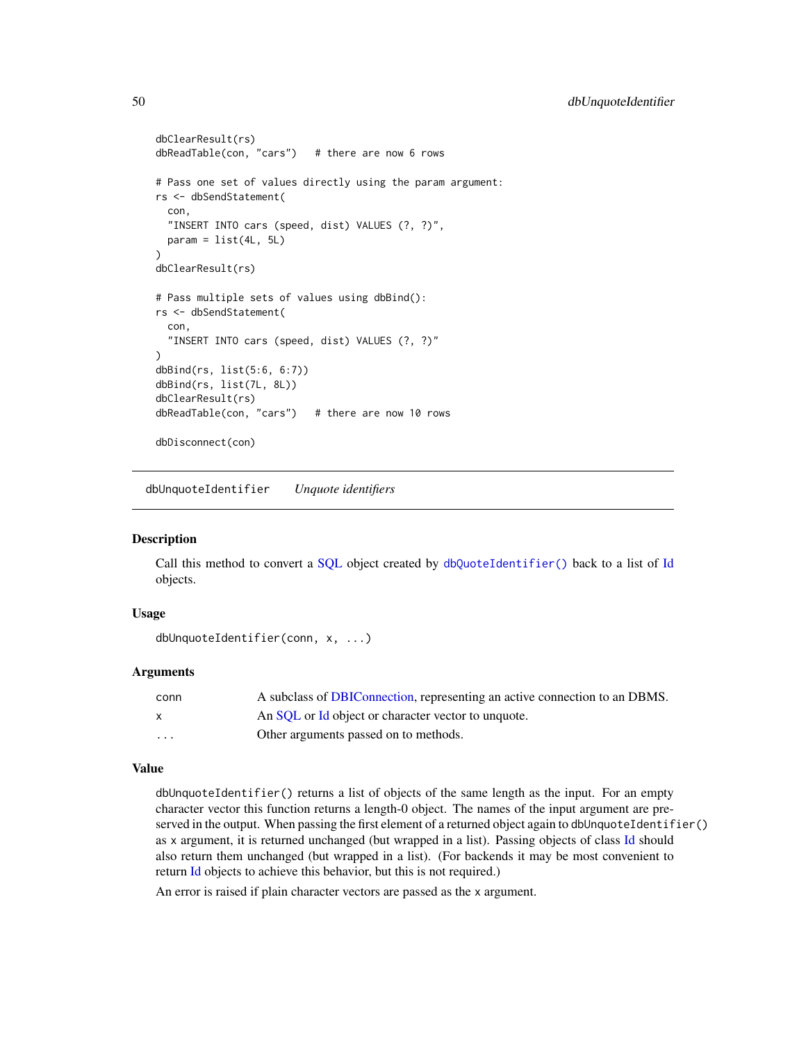```
dbClearResult(rs)
dbReadTable(con, "cars") # there are now 6 rows
# Pass one set of values directly using the param argument:
rs <- dbSendStatement(
 con,
 "INSERT INTO cars (speed, dist) VALUES (?, ?)",
 param = list(4L, 5L)\mathcal{L}dbClearResult(rs)
# Pass multiple sets of values using dbBind():
rs <- dbSendStatement(
 con,
  "INSERT INTO cars (speed, dist) VALUES (?, ?)"
)
dbBind(rs, list(5:6, 6:7))
dbBind(rs, list(7L, 8L))
dbClearResult(rs)
dbReadTable(con, "cars") # there are now 10 rows
dbDisconnect(con)
```
<span id="page-49-1"></span>dbUnquoteIdentifier *Unquote identifiers*

# **Description**

Call this method to convert a [SQL](#page-58-1) object created by [dbQuoteIdentifier\(\)](#page-38-1) back to a list of [Id](#page-55-1) objects.

## Usage

```
dbUnquoteIdentifier(conn, x, ...)
```
# Arguments

| conn         | A subclass of DBIConnection, representing an active connection to an DBMS. |
|--------------|----------------------------------------------------------------------------|
| $\mathsf{x}$ | An SOL or Id object or character vector to unquote.                        |
| .            | Other arguments passed on to methods.                                      |

# Value

dbUnquoteIdentifier() returns a list of objects of the same length as the input. For an empty character vector this function returns a length-0 object. The names of the input argument are preserved in the output. When passing the first element of a returned object again to dbUnquoteIdentifier() as x argument, it is returned unchanged (but wrapped in a list). Passing objects of class [Id](#page-55-1) should also return them unchanged (but wrapped in a list). (For backends it may be most convenient to return [Id](#page-55-1) objects to achieve this behavior, but this is not required.)

An error is raised if plain character vectors are passed as the x argument.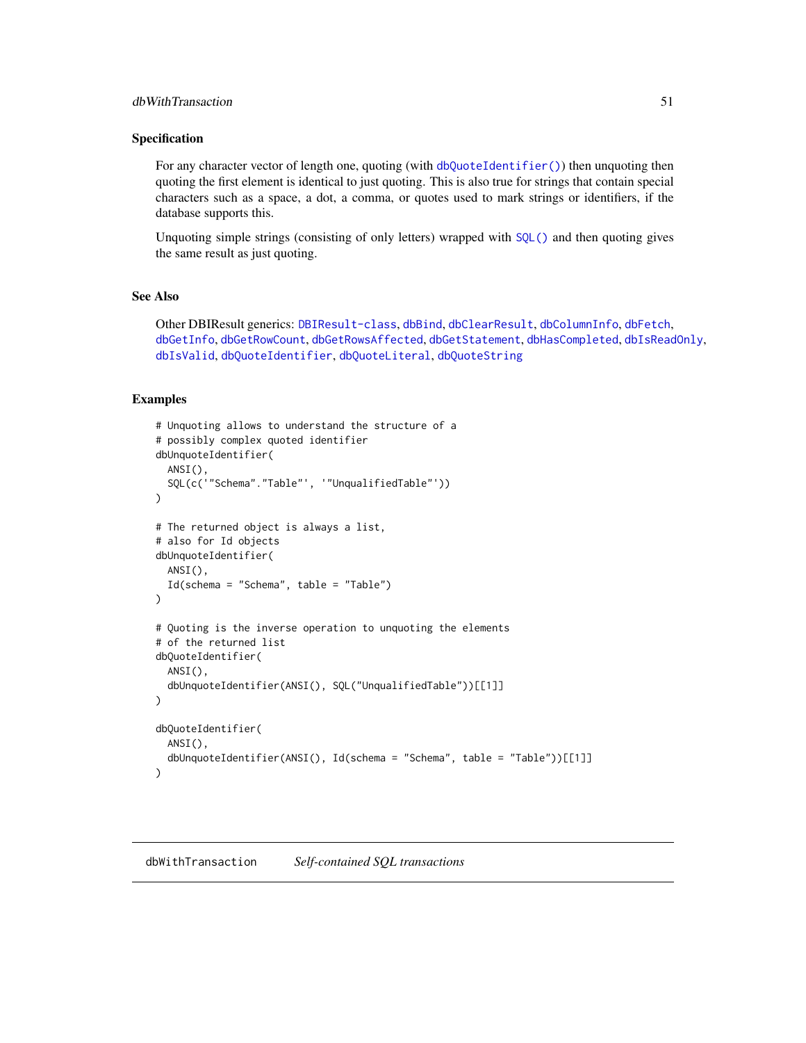# <span id="page-50-0"></span>Specification

For any character vector of length one, quoting (with [dbQuoteIdentifier\(\)](#page-38-1)) then unquoting then quoting the first element is identical to just quoting. This is also true for strings that contain special characters such as a space, a dot, a comma, or quotes used to mark strings or identifiers, if the database supports this.

Unquoting simple strings (consisting of only letters) wrapped with [SQL\(\)](#page-58-1) and then quoting gives the same result as just quoting.

# See Also

Other DBIResult generics: [DBIResult-class](#page-31-1), [dbBind](#page-4-1), [dbClearResult](#page-8-1), [dbColumnInfo](#page-9-1), [dbFetch](#page-19-1), [dbGetInfo](#page-22-2), [dbGetRowCount](#page-25-1), [dbGetRowsAffected](#page-26-1), [dbGetStatement](#page-27-1), [dbHasCompleted](#page-28-1), [dbIsReadOnly](#page-31-2), [dbIsValid](#page-32-1), [dbQuoteIdentifier](#page-38-1), [dbQuoteLiteral](#page-39-1), [dbQuoteString](#page-41-1)

# Examples

```
# Unquoting allows to understand the structure of a
# possibly complex quoted identifier
dbUnquoteIdentifier(
 ANSI(),
 SQL(c('"Schema"."Table"', '"UnqualifiedTable"'))
\mathcal{L}# The returned object is always a list,
# also for Id objects
dbUnquoteIdentifier(
 ANSI(),
 Id(schema = "Schema", table = "Table")
)
# Quoting is the inverse operation to unquoting the elements
# of the returned list
dbQuoteIdentifier(
 ANSI(),
 dbUnquoteIdentifier(ANSI(), SQL("UnqualifiedTable"))[[1]]
)
dbQuoteIdentifier(
 ANSI(),
 dbUnquoteIdentifier(ANSI(), Id(schema = "Schema", table = "Table"))[[1]]
)
```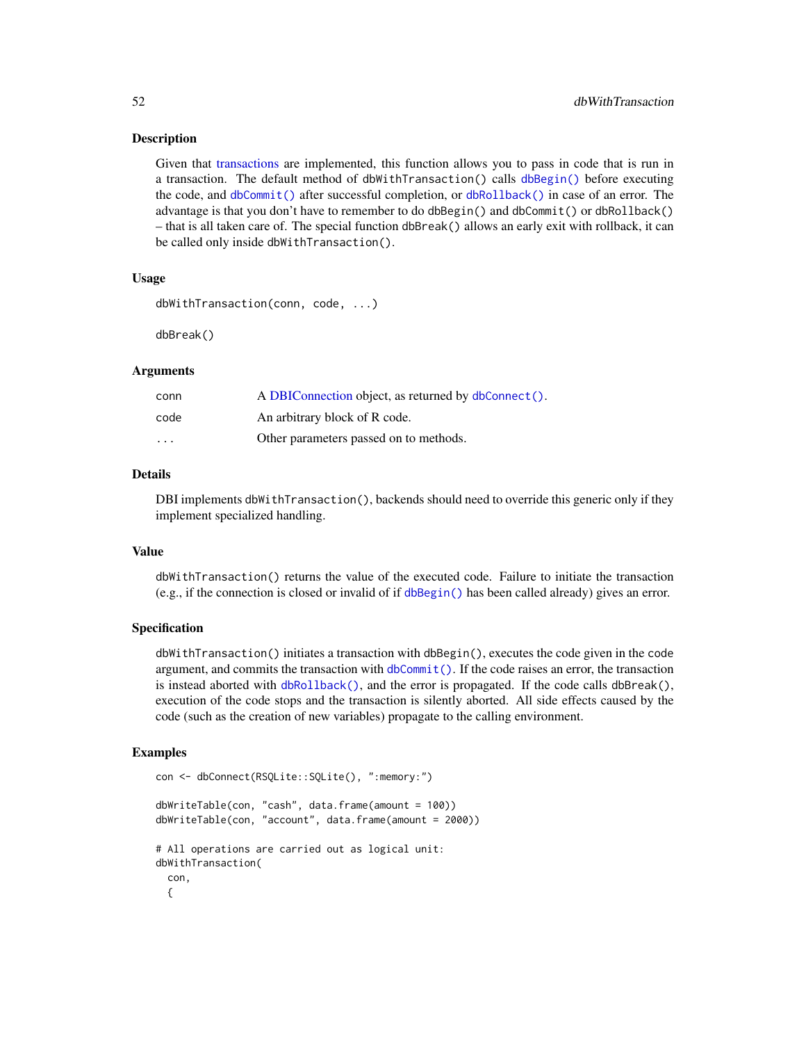# Description

Given that [transactions](#page-63-1) are implemented, this function allows you to pass in code that is run in a transaction. The default method of dbWithTransaction() calls [dbBegin\(\)](#page-63-2) before executing the code, and [dbCommit\(\)](#page-63-2) after successful completion, or [dbRollback\(\)](#page-63-2) in case of an error. The advantage is that you don't have to remember to do dbBegin() and dbCommit() or dbRollback() – that is all taken care of. The special function dbBreak() allows an early exit with rollback, it can be called only inside dbWithTransaction().

# Usage

```
dbWithTransaction(conn, code, ...)
```
dbBreak()

# Arguments

| conn     | A DBIConnection object, as returned by dbConnect(). |
|----------|-----------------------------------------------------|
| code     | An arbitrary block of R code.                       |
| $\cdots$ | Other parameters passed on to methods.              |

# Details

DBI implements dbWithTransaction(), backends should need to override this generic only if they implement specialized handling.

# Value

dbWithTransaction() returns the value of the executed code. Failure to initiate the transaction (e.g., if the connection is closed or invalid of if [dbBegin\(\)](#page-63-2) has been called already) gives an error.

#### Specification

dbWithTransaction() initiates a transaction with dbBegin(), executes the code given in the code argument, and commits the transaction with  $dbCommit()$ . If the code raises an error, the transaction is instead aborted with [dbRollback\(\)](#page-63-2), and the error is propagated. If the code calls dbBreak(), execution of the code stops and the transaction is silently aborted. All side effects caused by the code (such as the creation of new variables) propagate to the calling environment.

#### Examples

```
con <- dbConnect(RSQLite::SQLite(), ":memory:")
dbWriteTable(con, "cash", data.frame(amount = 100))
dbWriteTable(con, "account", data.frame(amount = 2000))
# All operations are carried out as logical unit:
dbWithTransaction(
 con,
 {
```
<span id="page-51-0"></span>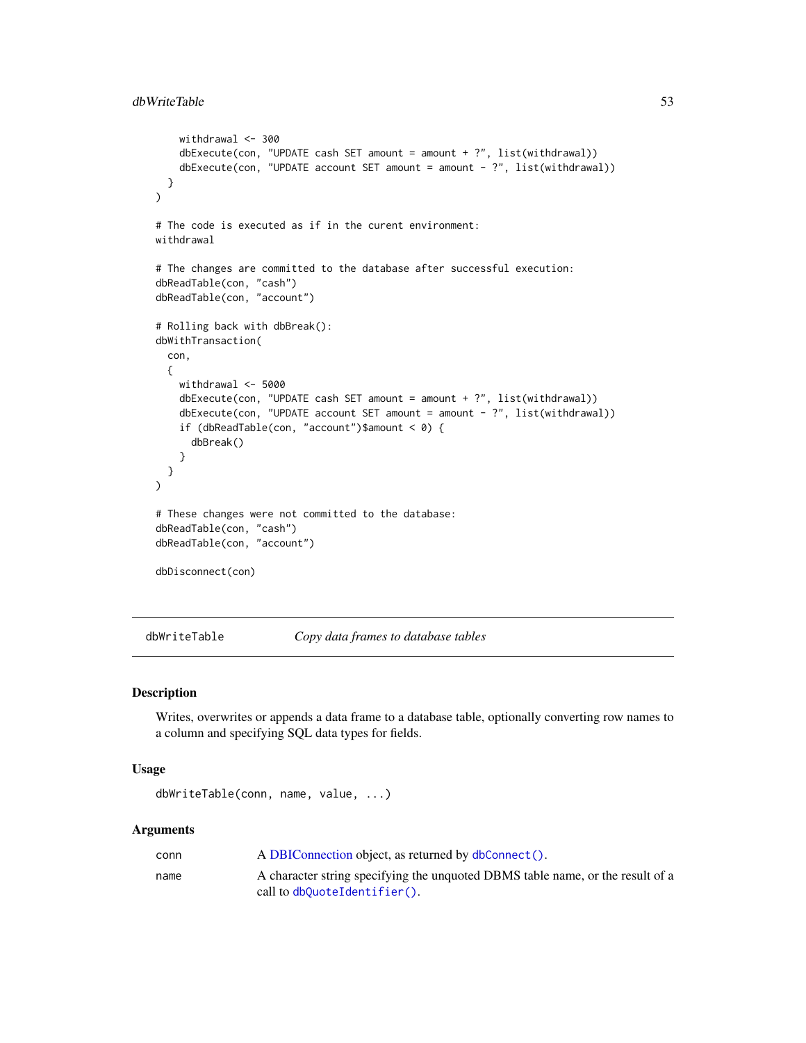```
withdrawal <-300dbExecute(con, "UPDATE cash SET amount = amount + ?", list(withthdrawal))dbExecute(con, "UPDATE account SET amount = amount - ?", list(withdrawal))
 }
)
# The code is executed as if in the curent environment:
withdrawal
# The changes are committed to the database after successful execution:
dbReadTable(con, "cash")
dbReadTable(con, "account")
# Rolling back with dbBreak():
dbWithTransaction(
 con,
 {
   withdrawal <- 5000
   dbExecute(con, "UPDATE cash SET amount = amount + ?", list(withdrawal))
   dbExecute(con, "UPDATE account SET amount = amount - ?", list(withdrawal))if (dbReadTable(con, "account")$amount < 0) {
     dbBreak()
    }
 }
)
# These changes were not committed to the database:
dbReadTable(con, "cash")
dbReadTable(con, "account")
dbDisconnect(con)
```
<span id="page-52-1"></span>dbWriteTable *Copy data frames to database tables*

# Description

Writes, overwrites or appends a data frame to a database table, optionally converting row names to a column and specifying SQL data types for fields.

# Usage

```
dbWriteTable(conn, name, value, ...)
```
#### **Arguments**

| conn | A DBIConnection object, as returned by dbConnect().                            |
|------|--------------------------------------------------------------------------------|
| name | A character string specifying the unquoted DBMS table name, or the result of a |
|      | call to $dbQuoteIdentifier()$ .                                                |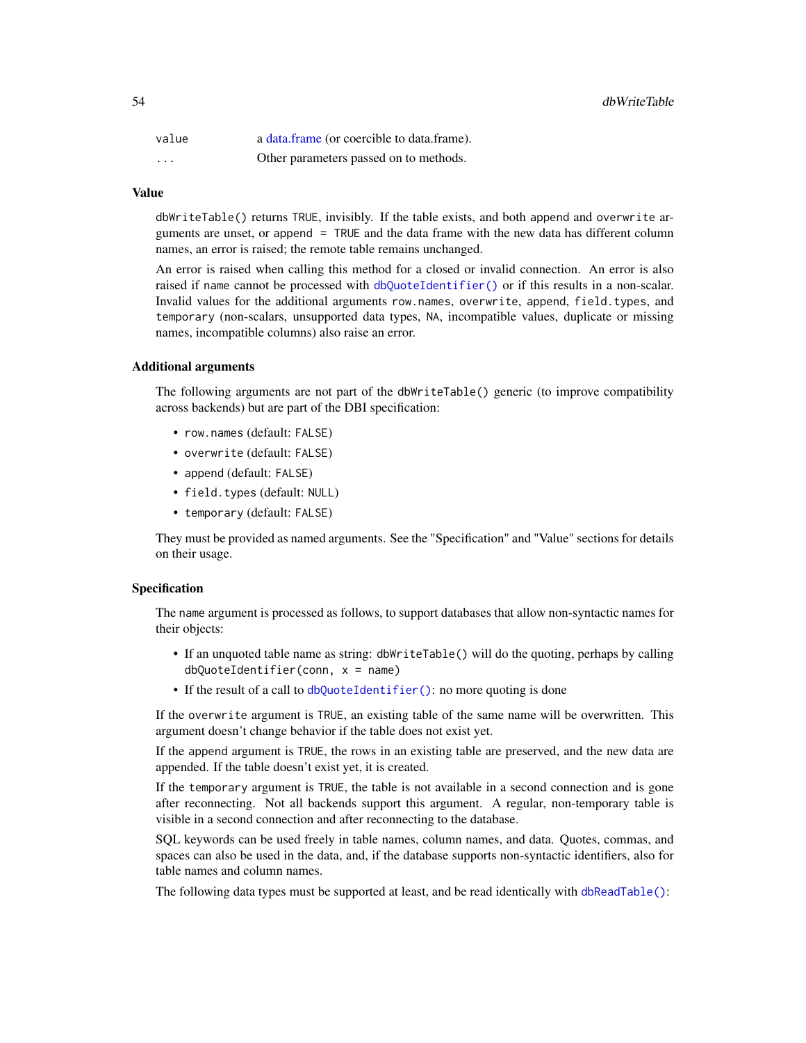<span id="page-53-0"></span>

| value    | a data.frame (or coercible to data.frame). |
|----------|--------------------------------------------|
| $\cdots$ | Other parameters passed on to methods.     |

#### Value

dbWriteTable() returns TRUE, invisibly. If the table exists, and both append and overwrite arguments are unset, or append = TRUE and the data frame with the new data has different column names, an error is raised; the remote table remains unchanged.

An error is raised when calling this method for a closed or invalid connection. An error is also raised if name cannot be processed with [dbQuoteIdentifier\(\)](#page-38-1) or if this results in a non-scalar. Invalid values for the additional arguments row.names, overwrite, append, field.types, and temporary (non-scalars, unsupported data types, NA, incompatible values, duplicate or missing names, incompatible columns) also raise an error.

#### Additional arguments

The following arguments are not part of the dbWriteTable() generic (to improve compatibility across backends) but are part of the DBI specification:

- row.names (default: FALSE)
- overwrite (default: FALSE)
- append (default: FALSE)
- field.types (default: NULL)
- temporary (default: FALSE)

They must be provided as named arguments. See the "Specification" and "Value" sections for details on their usage.

# Specification

The name argument is processed as follows, to support databases that allow non-syntactic names for their objects:

- If an unquoted table name as string: dbWriteTable() will do the quoting, perhaps by calling  $dbQuoteIdentifier(conn, x = name)$
- If the result of a call to [dbQuoteIdentifier\(\)](#page-38-1): no more quoting is done

If the overwrite argument is TRUE, an existing table of the same name will be overwritten. This argument doesn't change behavior if the table does not exist yet.

If the append argument is TRUE, the rows in an existing table are preserved, and the new data are appended. If the table doesn't exist yet, it is created.

If the temporary argument is TRUE, the table is not available in a second connection and is gone after reconnecting. Not all backends support this argument. A regular, non-temporary table is visible in a second connection and after reconnecting to the database.

SQL keywords can be used freely in table names, column names, and data. Quotes, commas, and spaces can also be used in the data, and, if the database supports non-syntactic identifiers, also for table names and column names.

The following data types must be supported at least, and be read identically with [dbReadTable\(\)](#page-42-1):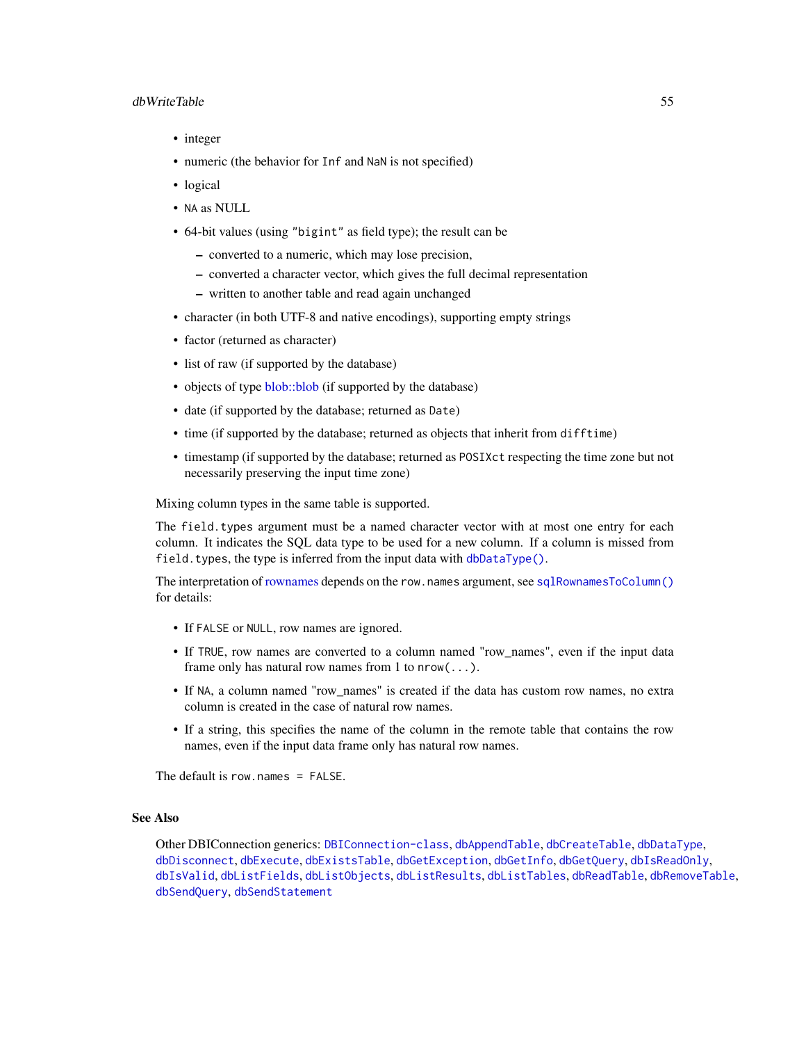#### <span id="page-54-0"></span>dbWriteTable 55

- integer
- numeric (the behavior for Inf and NaN is not specified)
- logical
- NA as NULL
- 64-bit values (using "bigint" as field type); the result can be
	- converted to a numeric, which may lose precision,
	- converted a character vector, which gives the full decimal representation
	- written to another table and read again unchanged
- character (in both UTF-8 and native encodings), supporting empty strings
- factor (returned as character)
- list of raw (if supported by the database)
- objects of type [blob::blob](#page-0-0) (if supported by the database)
- date (if supported by the database; returned as Date)
- time (if supported by the database; returned as objects that inherit from difftime)
- timestamp (if supported by the database; returned as POSIXct respecting the time zone but not necessarily preserving the input time zone)

Mixing column types in the same table is supported.

The field.types argument must be a named character vector with at most one entry for each column. It indicates the SQL data type to be used for a new column. If a column is missed from field.types, the type is inferred from the input data with [dbDataType\(\)](#page-13-1).

The interpretation of [rownames](#page-57-2) depends on the row.names argument, see [sqlRownamesToColumn\(\)](#page-57-1) for details:

- If FALSE or NULL, row names are ignored.
- If TRUE, row names are converted to a column named "row\_names", even if the input data frame only has natural row names from 1 to  $nrow(\ldots)$ .
- If NA, a column named "row\_names" is created if the data has custom row names, no extra column is created in the case of natural row names.
- If a string, this specifies the name of the column in the remote table that contains the row names, even if the input data frame only has natural row names.

The default is row. names  $=$  FALSE.

# See Also

Other DBIConnection generics: [DBIConnection-class](#page-29-1), [dbAppendTable](#page-3-1), [dbCreateTable](#page-12-1), [dbDataType](#page-13-1), [dbDisconnect](#page-14-1), [dbExecute](#page-17-1), [dbExistsTable](#page-18-1), [dbGetException](#page-22-1), [dbGetInfo](#page-22-2), [dbGetQuery](#page-23-1), [dbIsReadOnly](#page-31-2), [dbIsValid](#page-32-1), [dbListFields](#page-34-1), [dbListObjects](#page-35-1), [dbListResults](#page-36-1), [dbListTables](#page-37-1), [dbReadTable](#page-42-1), [dbRemoveTable](#page-44-1), [dbSendQuery](#page-45-1), [dbSendStatement](#page-47-1)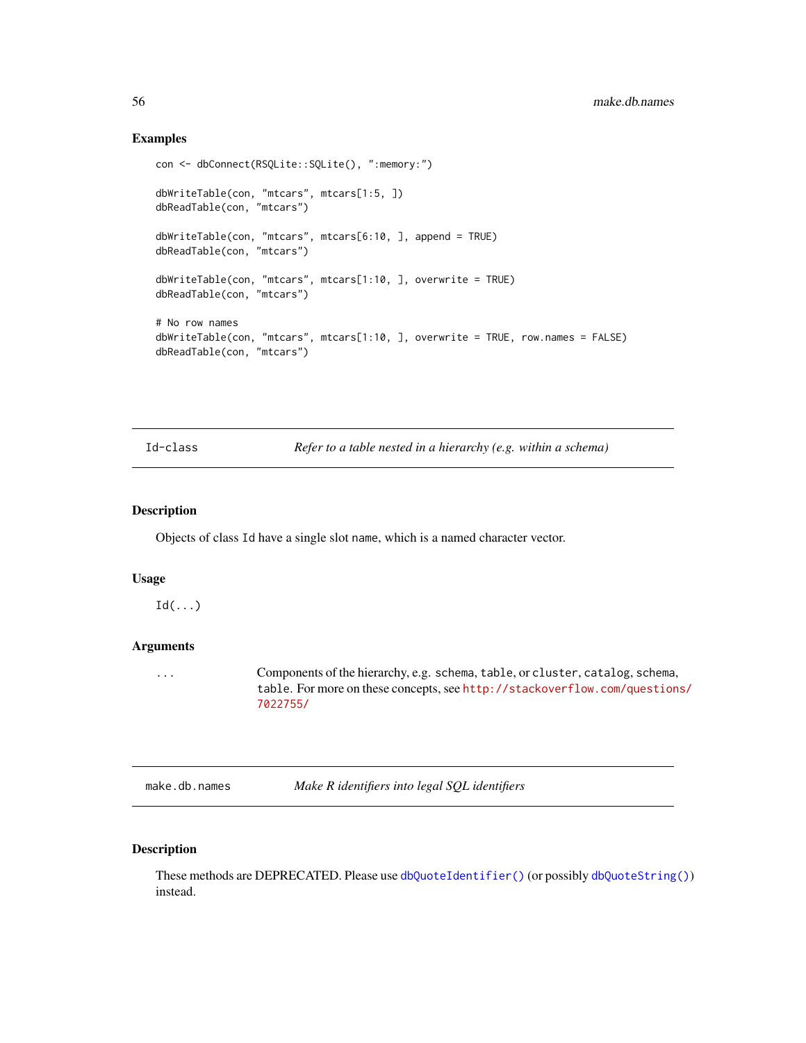# Examples

```
con <- dbConnect(RSQLite::SQLite(), ":memory:")
dbWriteTable(con, "mtcars", mtcars[1:5, ])
dbReadTable(con, "mtcars")
dbWriteTable(con, "mtcars", mtcars[6:10, ], append = TRUE)
dbReadTable(con, "mtcars")
dbWriteTable(con, "mtcars", mtcars[1:10, ], overwrite = TRUE)
dbReadTable(con, "mtcars")
# No row names
dbWriteTable(con, "mtcars", mtcars[1:10, ], overwrite = TRUE, row.names = FALSE)
dbReadTable(con, "mtcars")
```
Id-class *Refer to a table nested in a hierarchy (e.g. within a schema)*

# <span id="page-55-1"></span>Description

Objects of class Id have a single slot name, which is a named character vector.

# Usage

 $Id(...)$ 

# **Arguments**

... Components of the hierarchy, e.g. schema, table, or cluster, catalog, schema, table. For more on these concepts, see [http://stackoverflow.com/question](http://stackoverflow.com/questions/7022755/)s/ [7022755/](http://stackoverflow.com/questions/7022755/)

<span id="page-55-2"></span>make.db.names *Make R identifiers into legal SQL identifiers*

# Description

These methods are DEPRECATED. Please use [dbQuoteIdentifier\(\)](#page-38-1) (or possibly [dbQuoteString\(\)](#page-41-1)) instead.

<span id="page-55-0"></span>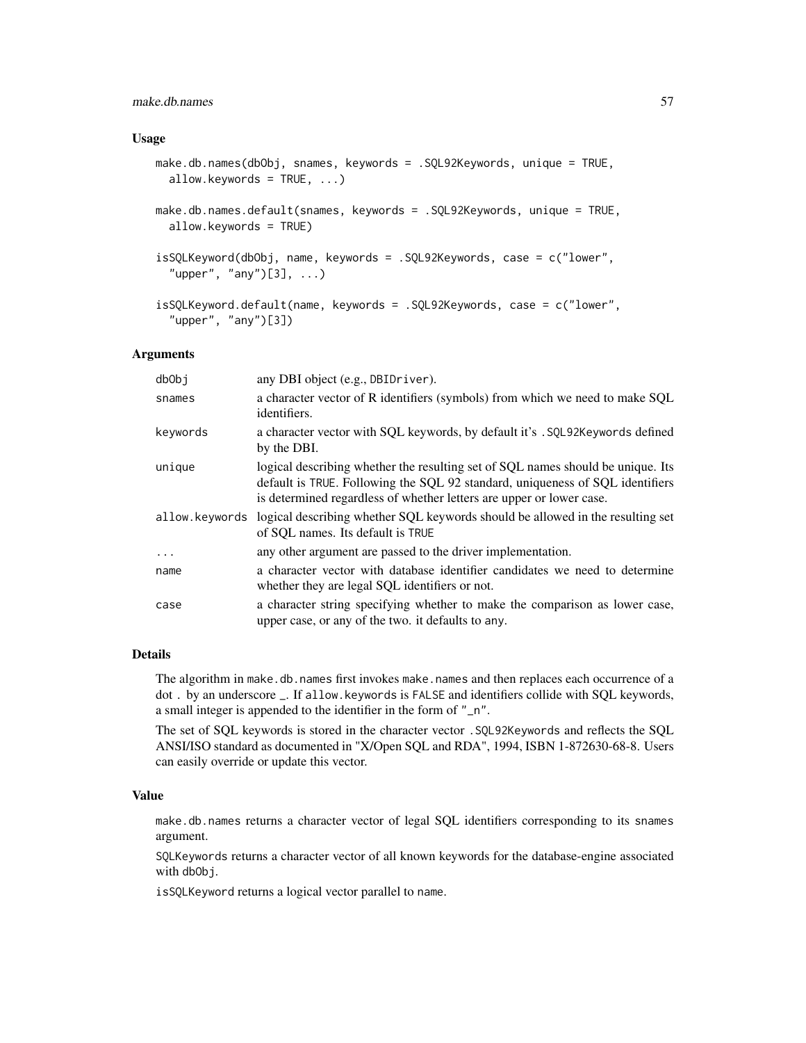# make.db.names 57

# Usage

```
make.db.names(dbObj, snames, keywords = .SQL92Keywords, unique = TRUE,
  allow.keywords = TRUE, ...)
```

```
make.db.names.default(snames, keywords = .SQL92Keywords, unique = TRUE,
  allow.keywords = TRUE)
```

```
isSQLKeyword(dbObj, name, keywords = .SQL92Keywords, case = c("lower",
 "upper", "any")[3], ...)
```

```
isSQLKeyword.default(name, keywords = .SQL92Keywords, case = c("lower",
 "upper", "any")[3])
```
# Arguments

| db0bj          | any DBI object (e.g., DBIDriver).                                                                                                                                                                                                        |
|----------------|------------------------------------------------------------------------------------------------------------------------------------------------------------------------------------------------------------------------------------------|
| snames         | a character vector of R identifiers (symbols) from which we need to make SQL<br>identifiers.                                                                                                                                             |
| keywords       | a character vector with SQL keywords, by default it's . SQL92Keywords defined<br>by the DBI.                                                                                                                                             |
| unique         | logical describing whether the resulting set of SQL names should be unique. Its<br>default is TRUE. Following the SQL 92 standard, uniqueness of SQL identifiers<br>is determined regardless of whether letters are upper or lower case. |
| allow.keywords | logical describing whether SQL keywords should be allowed in the resulting set<br>of SOL names. Its default is TRUE                                                                                                                      |
| $\cdots$       | any other argument are passed to the driver implementation.                                                                                                                                                                              |
| name           | a character vector with database identifier candidates we need to determine<br>whether they are legal SQL identifiers or not.                                                                                                            |
| case           | a character string specifying whether to make the comparison as lower case,<br>upper case, or any of the two. it defaults to any.                                                                                                        |

# Details

The algorithm in make.db.names first invokes make.names and then replaces each occurrence of a dot . by an underscore \_. If allow.keywords is FALSE and identifiers collide with SQL keywords, a small integer is appended to the identifier in the form of "\_n".

The set of SQL keywords is stored in the character vector .SQL92Keywords and reflects the SQL ANSI/ISO standard as documented in "X/Open SQL and RDA", 1994, ISBN 1-872630-68-8. Users can easily override or update this vector.

#### Value

make.db.names returns a character vector of legal SQL identifiers corresponding to its snames argument.

SQLKeywords returns a character vector of all known keywords for the database-engine associated with db<sub>Obj</sub>.

isSQLKeyword returns a logical vector parallel to name.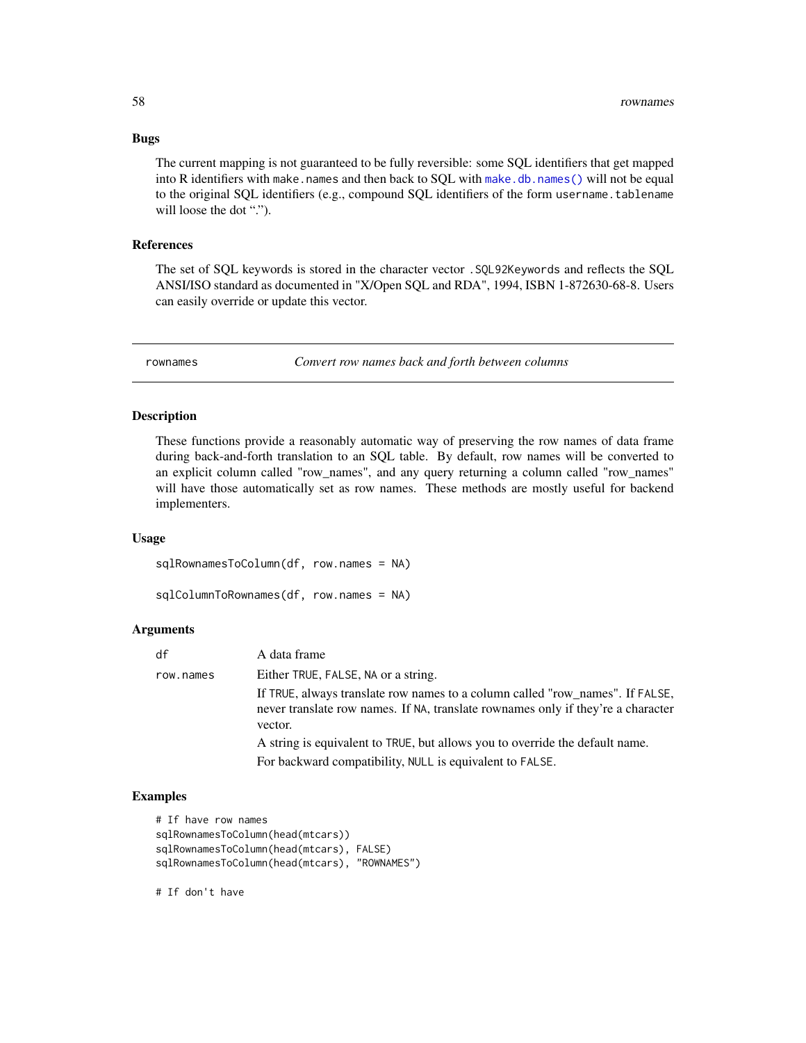The current mapping is not guaranteed to be fully reversible: some SQL identifiers that get mapped into R identifiers with make.names and then back to SQL with [make.db.names\(\)](#page-55-2) will not be equal to the original SQL identifiers (e.g., compound SQL identifiers of the form username.tablename will loose the dot ".").

#### References

The set of SQL keywords is stored in the character vector .SQL92Keywords and reflects the SQL ANSI/ISO standard as documented in "X/Open SQL and RDA", 1994, ISBN 1-872630-68-8. Users can easily override or update this vector.

<span id="page-57-2"></span>

rownames *Convert row names back and forth between columns*

# <span id="page-57-1"></span>**Description**

These functions provide a reasonably automatic way of preserving the row names of data frame during back-and-forth translation to an SQL table. By default, row names will be converted to an explicit column called "row\_names", and any query returning a column called "row\_names" will have those automatically set as row names. These methods are mostly useful for backend implementers.

# Usage

sqlRownamesToColumn(df, row.names = NA)

```
sqlColumnToRownames(df, row.names = NA)
```
# Arguments

| df        | A data frame                                                                                                                                                                 |
|-----------|------------------------------------------------------------------------------------------------------------------------------------------------------------------------------|
| row.names | Either TRUE, FALSE, NA or a string.                                                                                                                                          |
|           | If TRUE, always translate row names to a column called "row_names". If FALSE,<br>never translate row names. If NA, translate rownames only if they're a character<br>vector. |
|           | A string is equivalent to TRUE, but allows you to override the default name.                                                                                                 |
|           | For backward compatibility, NULL is equivalent to FALSE.                                                                                                                     |

# Examples

```
# If have row names
sqlRownamesToColumn(head(mtcars))
sqlRownamesToColumn(head(mtcars), FALSE)
sqlRownamesToColumn(head(mtcars), "ROWNAMES")
```
# If don't have

<span id="page-57-0"></span>

# Bugs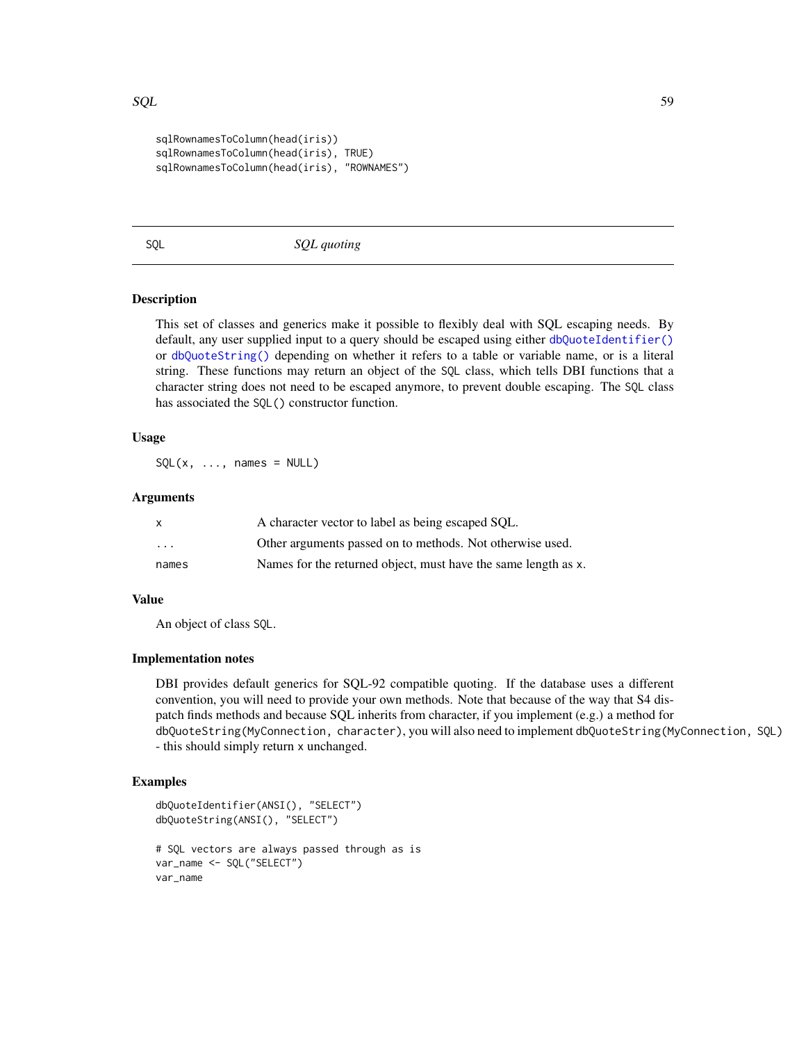#### <span id="page-58-0"></span> $SQL$  59

```
sqlRownamesToColumn(head(iris))
sqlRownamesToColumn(head(iris), TRUE)
sqlRownamesToColumn(head(iris), "ROWNAMES")
```
<span id="page-58-1"></span>

SQL *SQL quoting*

# **Description**

This set of classes and generics make it possible to flexibly deal with SQL escaping needs. By default, any user supplied input to a query should be escaped using either [dbQuoteIdentifier\(\)](#page-38-1) or [dbQuoteString\(\)](#page-41-1) depending on whether it refers to a table or variable name, or is a literal string. These functions may return an object of the SQL class, which tells DBI functions that a character string does not need to be escaped anymore, to prevent double escaping. The SQL class has associated the SQL() constructor function.

# Usage

 $SQL(x, ..., names = NULL)$ 

# Arguments

| X       | A character vector to label as being escaped SOL.              |
|---------|----------------------------------------------------------------|
| $\cdot$ | Other arguments passed on to methods. Not otherwise used.      |
| names   | Names for the returned object, must have the same length as x. |

#### Value

An object of class SQL.

# Implementation notes

DBI provides default generics for SQL-92 compatible quoting. If the database uses a different convention, you will need to provide your own methods. Note that because of the way that S4 dispatch finds methods and because SQL inherits from character, if you implement (e.g.) a method for dbQuoteString(MyConnection, character), you will also need to implement dbQuoteString(MyConnection, SQL) - this should simply return x unchanged.

# Examples

```
dbQuoteIdentifier(ANSI(), "SELECT")
dbQuoteString(ANSI(), "SELECT")
# SQL vectors are always passed through as is
var_name <- SQL("SELECT")
var_name
```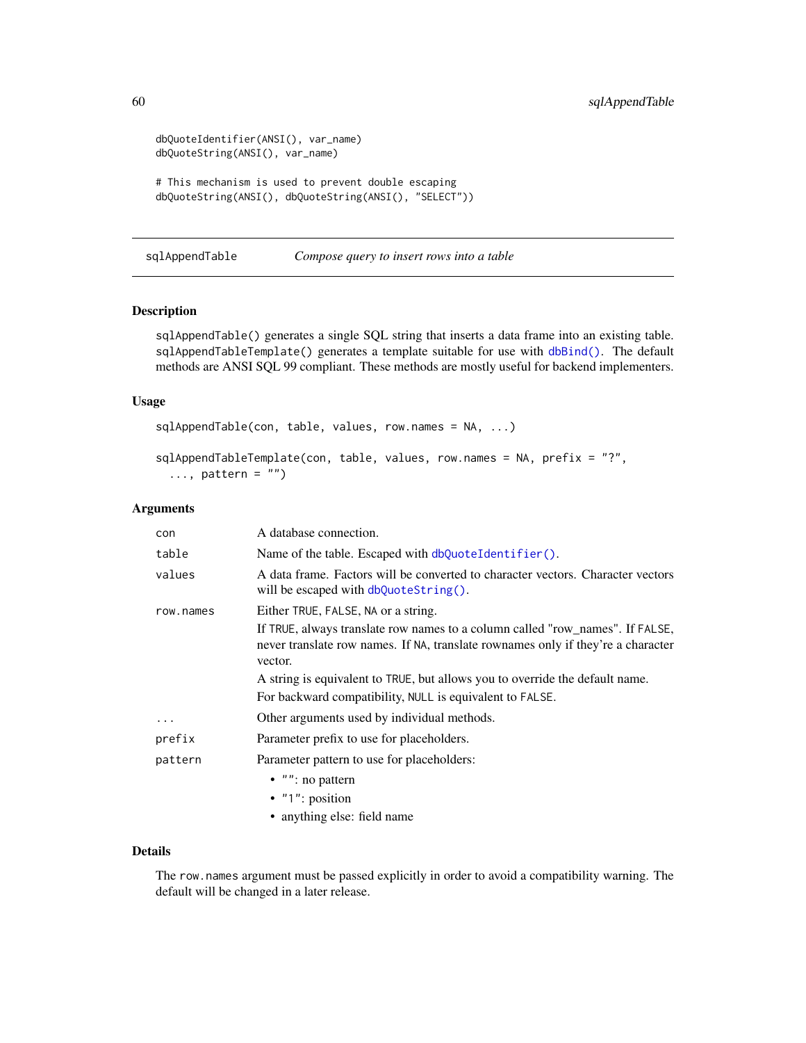```
dbQuoteIdentifier(ANSI(), var_name)
dbQuoteString(ANSI(), var_name)
# This mechanism is used to prevent double escaping
dbQuoteString(ANSI(), dbQuoteString(ANSI(), "SELECT"))
```
<span id="page-59-2"></span>sqlAppendTable *Compose query to insert rows into a table*

# <span id="page-59-1"></span>Description

sqlAppendTable() generates a single SQL string that inserts a data frame into an existing table. sqlAppendTableTemplate() generates a template suitable for use with [dbBind\(\)](#page-4-1). The default methods are ANSI SQL 99 compliant. These methods are mostly useful for backend implementers.

# Usage

```
sqlAppendTable(con, table, values, row.names = NA, ...)
```

```
sqlAppendTableTemplate(con, table, values, row.names = NA, prefix = "?",
  \ldots, pattern = "")
```
# Arguments

| con       | A database connection.                                                                                                                                                       |
|-----------|------------------------------------------------------------------------------------------------------------------------------------------------------------------------------|
| table     | Name of the table. Escaped with dbQuoteIdentifier().                                                                                                                         |
| values    | A data frame. Factors will be converted to character vectors. Character vectors<br>will be escaped with $dbQuotefstring()$ .                                                 |
| row.names | Either TRUE, FALSE, NA or a string.                                                                                                                                          |
|           | If TRUE, always translate row names to a column called "row_names". If FALSE,<br>never translate row names. If NA, translate rownames only if they're a character<br>vector. |
|           | A string is equivalent to TRUE, but allows you to override the default name.                                                                                                 |
|           | For backward compatibility, NULL is equivalent to FALSE.                                                                                                                     |
| $\cdots$  | Other arguments used by individual methods.                                                                                                                                  |
| prefix    | Parameter prefix to use for placeholders.                                                                                                                                    |
| pattern   | Parameter pattern to use for placeholders:                                                                                                                                   |
|           | $\bullet$ "": no pattern                                                                                                                                                     |
|           | $\bullet$ "1": position                                                                                                                                                      |
|           | • anything else: field name                                                                                                                                                  |

# Details

The row.names argument must be passed explicitly in order to avoid a compatibility warning. The default will be changed in a later release.

<span id="page-59-0"></span>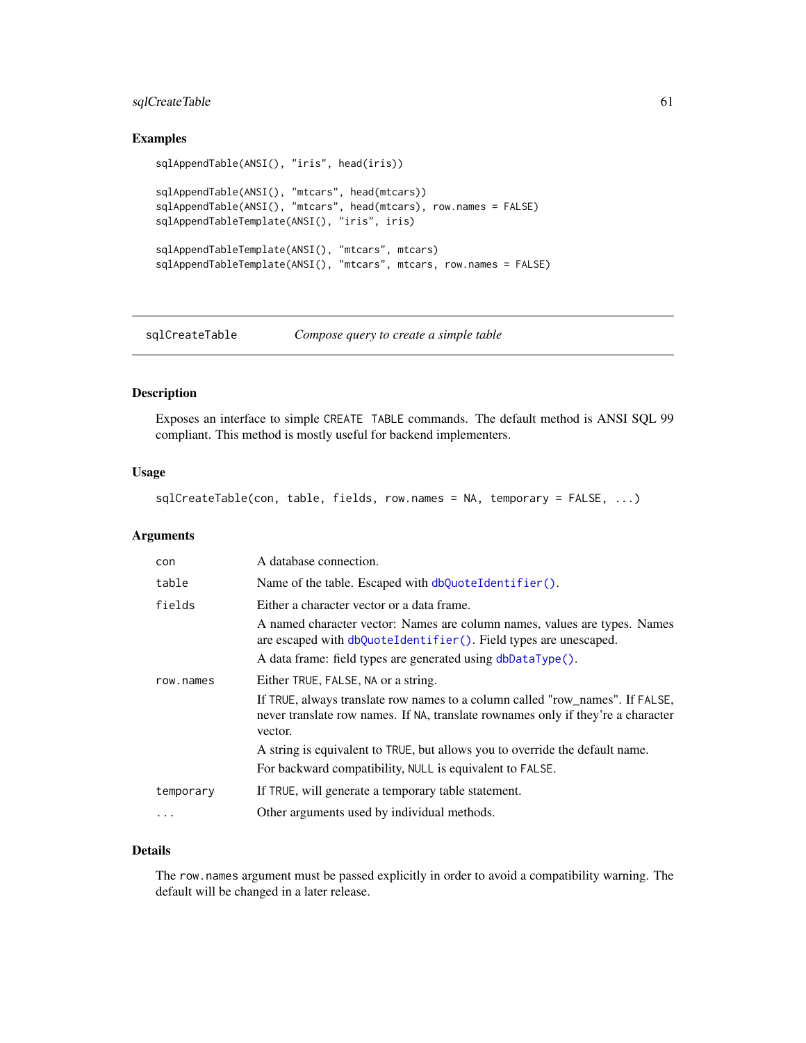# <span id="page-60-0"></span>sqlCreateTable 61

# Examples

```
sqlAppendTable(ANSI(), "iris", head(iris))
sqlAppendTable(ANSI(), "mtcars", head(mtcars))
sqlAppendTable(ANSI(), "mtcars", head(mtcars), row.names = FALSE)
sqlAppendTableTemplate(ANSI(), "iris", iris)
sqlAppendTableTemplate(ANSI(), "mtcars", mtcars)
sqlAppendTableTemplate(ANSI(), "mtcars", mtcars, row.names = FALSE)
```
<span id="page-60-1"></span>sqlCreateTable *Compose query to create a simple table*

# Description

Exposes an interface to simple CREATE TABLE commands. The default method is ANSI SQL 99 compliant. This method is mostly useful for backend implementers.

# Usage

sqlCreateTable(con, table, fields, row.names = NA, temporary = FALSE, ...)

# Arguments

| con       | A database connection.                                                                                                                                                       |
|-----------|------------------------------------------------------------------------------------------------------------------------------------------------------------------------------|
| table     | Name of the table. Escaped with dbQuoteIdentifier().                                                                                                                         |
| fields    | Either a character vector or a data frame.                                                                                                                                   |
|           | A named character vector: Names are column names, values are types. Names<br>are escaped with dbQuoteIdentifier(). Field types are unescaped.                                |
|           | A data frame: field types are generated using dbDataType().                                                                                                                  |
| row.names | Either TRUE, FALSE, NA or a string.                                                                                                                                          |
|           | If TRUE, always translate row names to a column called "row_names". If FALSE,<br>never translate row names. If NA, translate rownames only if they're a character<br>vector. |
|           | A string is equivalent to TRUE, but allows you to override the default name.                                                                                                 |
|           | For backward compatibility, NULL is equivalent to FALSE.                                                                                                                     |
| temporary | If TRUE, will generate a temporary table statement.                                                                                                                          |
| .         | Other arguments used by individual methods.                                                                                                                                  |

# Details

The row.names argument must be passed explicitly in order to avoid a compatibility warning. The default will be changed in a later release.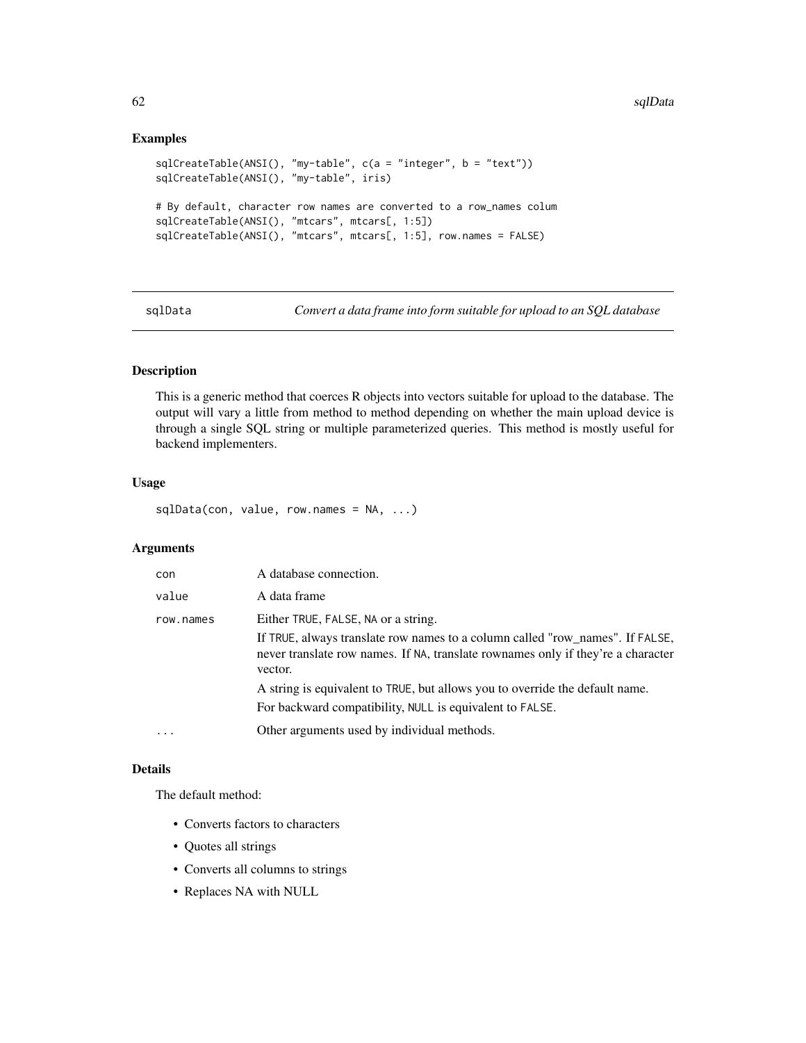# Examples

```
sqlCreateTable(ANSI(), "my-table", c(a = "integer", b = "text"))
sqlCreateTable(ANSI(), "my-table", iris)
# By default, character row names are converted to a row_names colum
sqlCreateTable(ANSI(), "mtcars", mtcars[, 1:5])
sqlCreateTable(ANSI(), "mtcars", mtcars[, 1:5], row.names = FALSE)
```
sqlData *Convert a data frame into form suitable for upload to an SQL database*

# Description

This is a generic method that coerces R objects into vectors suitable for upload to the database. The output will vary a little from method to method depending on whether the main upload device is through a single SQL string or multiple parameterized queries. This method is mostly useful for backend implementers.

# Usage

sqlData(con, value, row.names = NA, ...)

# Arguments

| con       | A database connection.                                                                                                                                                       |
|-----------|------------------------------------------------------------------------------------------------------------------------------------------------------------------------------|
| value     | A data frame                                                                                                                                                                 |
| row.names | Either TRUE, FALSE, NA or a string.                                                                                                                                          |
|           | If TRUE, always translate row names to a column called "row_names". If FALSE,<br>never translate row names. If NA, translate rownames only if they're a character<br>vector. |
|           | A string is equivalent to TRUE, but allows you to override the default name.                                                                                                 |
|           | For backward compatibility, NULL is equivalent to FALSE.                                                                                                                     |
| $\ddotsc$ | Other arguments used by individual methods.                                                                                                                                  |

# Details

The default method:

- Converts factors to characters
- Quotes all strings
- Converts all columns to strings
- Replaces NA with NULL

<span id="page-61-0"></span>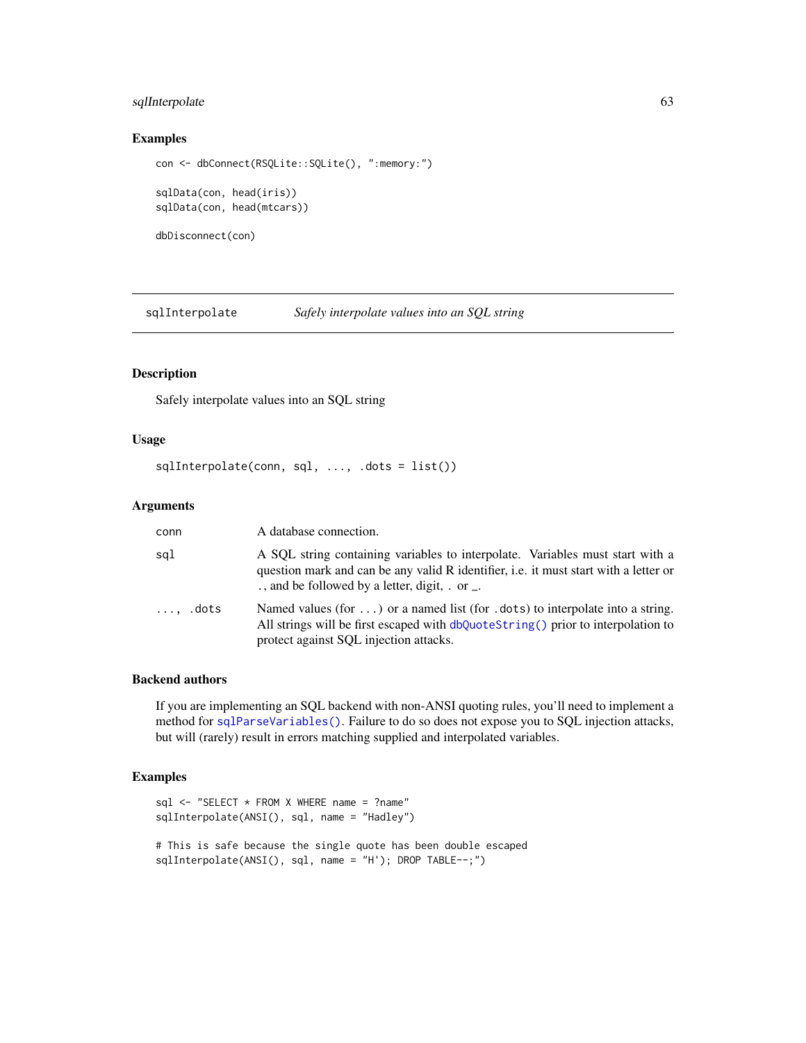# <span id="page-62-0"></span>sqlInterpolate 63

# Examples

```
con <- dbConnect(RSQLite::SQLite(), ":memory:")
sqlData(con, head(iris))
sqlData(con, head(mtcars))
dbDisconnect(con)
```
sqlInterpolate *Safely interpolate values into an SQL string*

# Description

Safely interpolate values into an SQL string

# Usage

```
sqlInterpolate(conn, sql, ..., .dots = list())
```
# Arguments

| conn            | A database connection.                                                                                                                                                                                                  |
|-----------------|-------------------------------------------------------------------------------------------------------------------------------------------------------------------------------------------------------------------------|
| sql             | A SQL string containing variables to interpolate. Variables must start with a<br>question mark and can be any valid R identifier, i.e. it must start with a letter or<br>., and be followed by a letter, digit, . or _. |
| $\ldots$ , dots | Named values (for ) or a named list (for .dots) to interpolate into a string.<br>All strings will be first escaped with dbQuoteString() prior to interpolation to<br>protect against SQL injection attacks.             |

# Backend authors

If you are implementing an SQL backend with non-ANSI quoting rules, you'll need to implement a method for [sqlParseVariables\(\)](#page-0-0). Failure to do so does not expose you to SQL injection attacks, but will (rarely) result in errors matching supplied and interpolated variables.

# Examples

```
sql <- "SELECT * FROM X WHERE name = ?name"
sqlInterpolate(ANSI(), sql, name = "Hadley")
# This is safe because the single quote has been double escaped
sqlInterpolate(ANSI(), sql, name = "H'); DROP TABLE--;")
```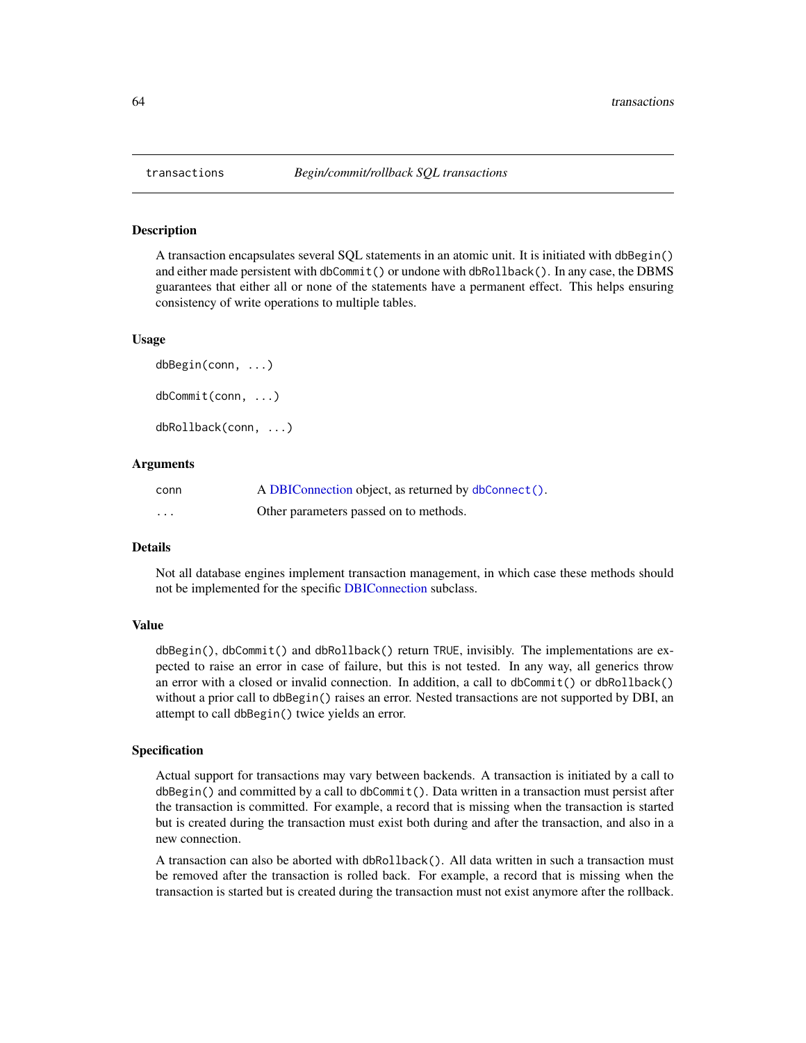# <span id="page-63-2"></span>Description

A transaction encapsulates several SQL statements in an atomic unit. It is initiated with dbBegin() and either made persistent with dbCommit() or undone with dbRollback(). In any case, the DBMS guarantees that either all or none of the statements have a permanent effect. This helps ensuring consistency of write operations to multiple tables.

#### Usage

```
dbBegin(conn, ...)
dbCommit(conn, ...)
dbRollback(conn, ...)
```
# Arguments

| conn     | A DBIConnection object, as returned by dbConnect(). |
|----------|-----------------------------------------------------|
| $\cdots$ | Other parameters passed on to methods.              |

#### Details

Not all database engines implement transaction management, in which case these methods should not be implemented for the specific [DBIConnection](#page-29-1) subclass.

#### Value

dbBegin(), dbCommit() and dbRollback() return TRUE, invisibly. The implementations are expected to raise an error in case of failure, but this is not tested. In any way, all generics throw an error with a closed or invalid connection. In addition, a call to dbCommit() or dbRollback() without a prior call to dbBegin() raises an error. Nested transactions are not supported by DBI, an attempt to call dbBegin() twice yields an error.

#### Specification

Actual support for transactions may vary between backends. A transaction is initiated by a call to dbBegin() and committed by a call to dbCommit(). Data written in a transaction must persist after the transaction is committed. For example, a record that is missing when the transaction is started but is created during the transaction must exist both during and after the transaction, and also in a new connection.

A transaction can also be aborted with dbRollback(). All data written in such a transaction must be removed after the transaction is rolled back. For example, a record that is missing when the transaction is started but is created during the transaction must not exist anymore after the rollback.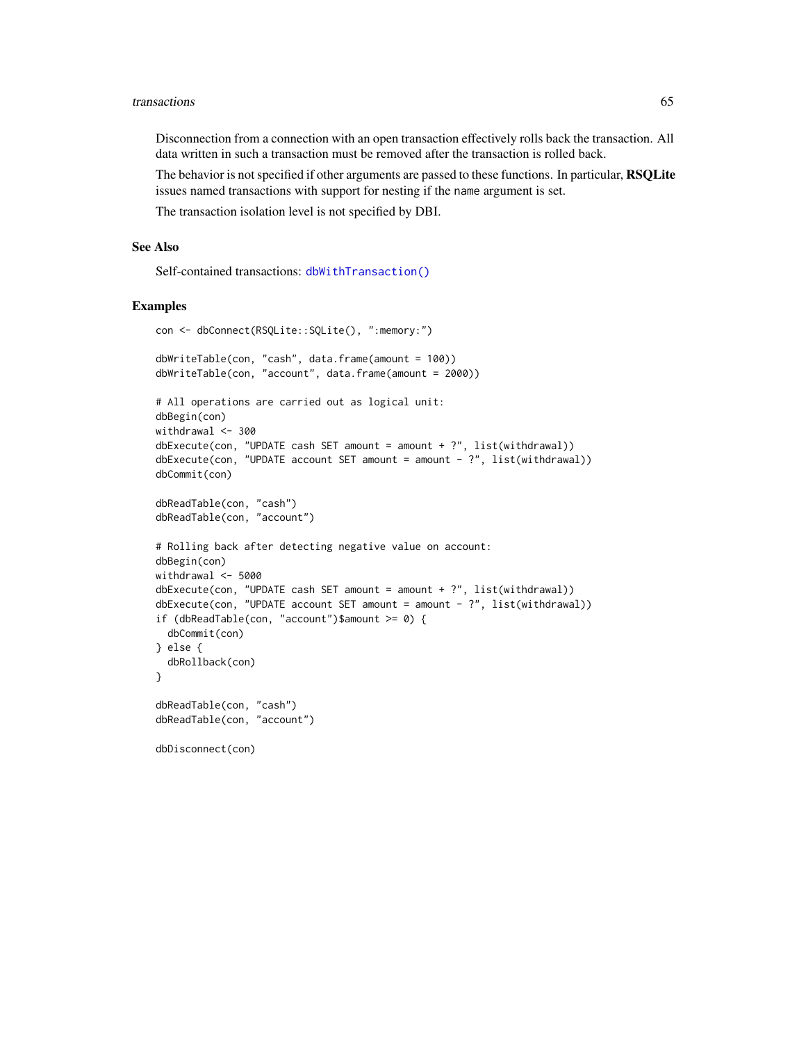#### <span id="page-64-0"></span>transactions 65

Disconnection from a connection with an open transaction effectively rolls back the transaction. All data written in such a transaction must be removed after the transaction is rolled back.

The behavior is not specified if other arguments are passed to these functions. In particular, RSQLite issues named transactions with support for nesting if the name argument is set.

The transaction isolation level is not specified by DBI.

#### See Also

Self-contained transactions: [dbWithTransaction\(\)](#page-50-1)

#### Examples

```
con <- dbConnect(RSQLite::SQLite(), ":memory:")
dbWriteTable(con, "cash", data.frame(amount = 100))
dbWriteTable(con, "account", data.frame(amount = 2000))
# All operations are carried out as logical unit:
dbBegin(con)
withdrawal <- 300
dbExecute(con, "UPDATE cash SET amount = amount + ?", list(withdrawal))dbExecute(con, "UPDATE account SET amount = amount - ?", list(withthdrawal))dbCommit(con)
dbReadTable(con, "cash")
dbReadTable(con, "account")
# Rolling back after detecting negative value on account:
dbBegin(con)
withdrawal <-5000dbExecute(con, "UPDATE cash SET amount = amount + ?", list(withdrawal))dbExecute(con, "UPDATE account SET amount = amount - ?", list(withdrawal))if (dbReadTable(con, "account")$amount >= 0) {
 dbCommit(con)
} else {
 dbRollback(con)
}
dbReadTable(con, "cash")
dbReadTable(con, "account")
dbDisconnect(con)
```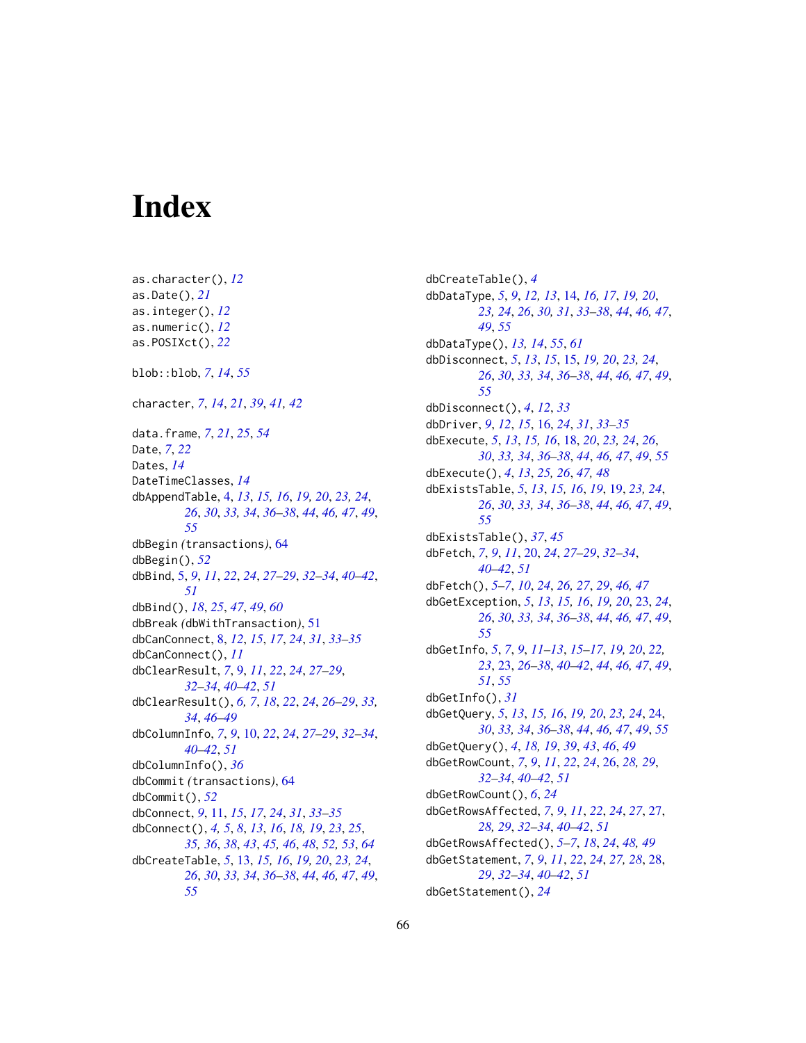# <span id="page-65-0"></span>**Index**

as.character(), *[12](#page-11-0)* as.Date(), *[21](#page-20-0)* as.integer(), *[12](#page-11-0)* as.numeric(), *[12](#page-11-0)* as.POSIXct(), *[22](#page-21-0)* blob::blob, *[7](#page-6-0)*, *[14](#page-13-0)*, *[55](#page-54-0)* character, *[7](#page-6-0)*, *[14](#page-13-0)*, *[21](#page-20-0)*, *[39](#page-38-0)*, *[41,](#page-40-0) [42](#page-41-0)* data.frame, *[7](#page-6-0)*, *[21](#page-20-0)*, *[25](#page-24-0)*, *[54](#page-53-0)* Date, *[7](#page-6-0)*, *[22](#page-21-0)* Dates, *[14](#page-13-0)* DateTimeClasses, *[14](#page-13-0)* dbAppendTable, [4,](#page-3-0) *[13](#page-12-0)*, *[15,](#page-14-0) [16](#page-15-0)*, *[19,](#page-18-0) [20](#page-19-0)*, *[23,](#page-22-0) [24](#page-23-0)*, *[26](#page-25-0)*, *[30](#page-29-0)*, *[33,](#page-32-0) [34](#page-33-0)*, *[36–](#page-35-0)[38](#page-37-0)*, *[44](#page-43-0)*, *[46,](#page-45-0) [47](#page-46-0)*, *[49](#page-48-0)*, *[55](#page-54-0)* dbBegin *(*transactions*)*, [64](#page-63-0) dbBegin(), *[52](#page-51-0)* dbBind, [5,](#page-4-0) *[9](#page-8-0)*, *[11](#page-10-0)*, *[22](#page-21-0)*, *[24](#page-23-0)*, *[27–](#page-26-0)[29](#page-28-0)*, *[32–](#page-31-0)[34](#page-33-0)*, *[40–](#page-39-0)[42](#page-41-0)*, *[51](#page-50-0)* dbBind(), *[18](#page-17-0)*, *[25](#page-24-0)*, *[47](#page-46-0)*, *[49](#page-48-0)*, *[60](#page-59-0)* dbBreak *(*dbWithTransaction*)*, [51](#page-50-0) dbCanConnect, [8,](#page-7-0) *[12](#page-11-0)*, *[15](#page-14-0)*, *[17](#page-16-0)*, *[24](#page-23-0)*, *[31](#page-30-0)*, *[33–](#page-32-0)[35](#page-34-0)* dbCanConnect(), *[11](#page-10-0)* dbClearResult, *[7](#page-6-0)*, [9,](#page-8-0) *[11](#page-10-0)*, *[22](#page-21-0)*, *[24](#page-23-0)*, *[27–](#page-26-0)[29](#page-28-0)*, *[32](#page-31-0)[–34](#page-33-0)*, *[40](#page-39-0)[–42](#page-41-0)*, *[51](#page-50-0)* dbClearResult(), *[6,](#page-5-0) [7](#page-6-0)*, *[18](#page-17-0)*, *[22](#page-21-0)*, *[24](#page-23-0)*, *[26–](#page-25-0)[29](#page-28-0)*, *[33,](#page-32-0) [34](#page-33-0)*, *[46](#page-45-0)[–49](#page-48-0)* dbColumnInfo, *[7](#page-6-0)*, *[9](#page-8-0)*, [10,](#page-9-0) *[22](#page-21-0)*, *[24](#page-23-0)*, *[27–](#page-26-0)[29](#page-28-0)*, *[32–](#page-31-0)[34](#page-33-0)*, *[40](#page-39-0)[–42](#page-41-0)*, *[51](#page-50-0)* dbColumnInfo(), *[36](#page-35-0)* dbCommit *(*transactions*)*, [64](#page-63-0) dbCommit(), *[52](#page-51-0)* dbConnect, *[9](#page-8-0)*, [11,](#page-10-0) *[15](#page-14-0)*, *[17](#page-16-0)*, *[24](#page-23-0)*, *[31](#page-30-0)*, *[33–](#page-32-0)[35](#page-34-0)* dbConnect(), *[4,](#page-3-0) [5](#page-4-0)*, *[8](#page-7-0)*, *[13](#page-12-0)*, *[16](#page-15-0)*, *[18,](#page-17-0) [19](#page-18-0)*, *[23](#page-22-0)*, *[25](#page-24-0)*, *[35,](#page-34-0) [36](#page-35-0)*, *[38](#page-37-0)*, *[43](#page-42-0)*, *[45,](#page-44-0) [46](#page-45-0)*, *[48](#page-47-0)*, *[52,](#page-51-0) [53](#page-52-0)*, *[64](#page-63-0)* dbCreateTable, *[5](#page-4-0)*, [13,](#page-12-0) *[15,](#page-14-0) [16](#page-15-0)*, *[19,](#page-18-0) [20](#page-19-0)*, *[23,](#page-22-0) [24](#page-23-0)*, *[26](#page-25-0)*, *[30](#page-29-0)*, *[33,](#page-32-0) [34](#page-33-0)*, *[36–](#page-35-0)[38](#page-37-0)*, *[44](#page-43-0)*, *[46,](#page-45-0) [47](#page-46-0)*, *[49](#page-48-0)*, *[55](#page-54-0)*

dbCreateTable(), *[4](#page-3-0)* dbDataType, *[5](#page-4-0)*, *[9](#page-8-0)*, *[12,](#page-11-0) [13](#page-12-0)*, [14,](#page-13-0) *[16,](#page-15-0) [17](#page-16-0)*, *[19,](#page-18-0) [20](#page-19-0)*, *[23,](#page-22-0) [24](#page-23-0)*, *[26](#page-25-0)*, *[30,](#page-29-0) [31](#page-30-0)*, *[33](#page-32-0)[–38](#page-37-0)*, *[44](#page-43-0)*, *[46,](#page-45-0) [47](#page-46-0)*, *[49](#page-48-0)*, *[55](#page-54-0)* dbDataType(), *[13,](#page-12-0) [14](#page-13-0)*, *[55](#page-54-0)*, *[61](#page-60-0)* dbDisconnect, *[5](#page-4-0)*, *[13](#page-12-0)*, *[15](#page-14-0)*, [15,](#page-14-0) *[19,](#page-18-0) [20](#page-19-0)*, *[23,](#page-22-0) [24](#page-23-0)*, *[26](#page-25-0)*, *[30](#page-29-0)*, *[33,](#page-32-0) [34](#page-33-0)*, *[36](#page-35-0)[–38](#page-37-0)*, *[44](#page-43-0)*, *[46,](#page-45-0) [47](#page-46-0)*, *[49](#page-48-0)*, *[55](#page-54-0)* dbDisconnect(), *[4](#page-3-0)*, *[12](#page-11-0)*, *[33](#page-32-0)* dbDriver, *[9](#page-8-0)*, *[12](#page-11-0)*, *[15](#page-14-0)*, [16,](#page-15-0) *[24](#page-23-0)*, *[31](#page-30-0)*, *[33](#page-32-0)[–35](#page-34-0)* dbExecute, *[5](#page-4-0)*, *[13](#page-12-0)*, *[15,](#page-14-0) [16](#page-15-0)*, [18,](#page-17-0) *[20](#page-19-0)*, *[23,](#page-22-0) [24](#page-23-0)*, *[26](#page-25-0)*, *[30](#page-29-0)*, *[33,](#page-32-0) [34](#page-33-0)*, *[36](#page-35-0)[–38](#page-37-0)*, *[44](#page-43-0)*, *[46,](#page-45-0) [47](#page-46-0)*, *[49](#page-48-0)*, *[55](#page-54-0)* dbExecute(), *[4](#page-3-0)*, *[13](#page-12-0)*, *[25,](#page-24-0) [26](#page-25-0)*, *[47,](#page-46-0) [48](#page-47-0)* dbExistsTable, *[5](#page-4-0)*, *[13](#page-12-0)*, *[15,](#page-14-0) [16](#page-15-0)*, *[19](#page-18-0)*, [19,](#page-18-0) *[23,](#page-22-0) [24](#page-23-0)*, *[26](#page-25-0)*, *[30](#page-29-0)*, *[33,](#page-32-0) [34](#page-33-0)*, *[36](#page-35-0)[–38](#page-37-0)*, *[44](#page-43-0)*, *[46,](#page-45-0) [47](#page-46-0)*, *[49](#page-48-0)*, *[55](#page-54-0)* dbExistsTable(), *[37](#page-36-0)*, *[45](#page-44-0)* dbFetch, *[7](#page-6-0)*, *[9](#page-8-0)*, *[11](#page-10-0)*, [20,](#page-19-0) *[24](#page-23-0)*, *[27](#page-26-0)[–29](#page-28-0)*, *[32](#page-31-0)[–34](#page-33-0)*, *[40](#page-39-0)[–42](#page-41-0)*, *[51](#page-50-0)* dbFetch(), *[5](#page-4-0)[–7](#page-6-0)*, *[10](#page-9-0)*, *[24](#page-23-0)*, *[26,](#page-25-0) [27](#page-26-0)*, *[29](#page-28-0)*, *[46,](#page-45-0) [47](#page-46-0)* dbGetException, *[5](#page-4-0)*, *[13](#page-12-0)*, *[15,](#page-14-0) [16](#page-15-0)*, *[19,](#page-18-0) [20](#page-19-0)*, [23,](#page-22-0) *[24](#page-23-0)*, *[26](#page-25-0)*, *[30](#page-29-0)*, *[33,](#page-32-0) [34](#page-33-0)*, *[36](#page-35-0)[–38](#page-37-0)*, *[44](#page-43-0)*, *[46,](#page-45-0) [47](#page-46-0)*, *[49](#page-48-0)*, *[55](#page-54-0)* dbGetInfo, *[5](#page-4-0)*, *[7](#page-6-0)*, *[9](#page-8-0)*, *[11](#page-10-0)[–13](#page-12-0)*, *[15](#page-14-0)[–17](#page-16-0)*, *[19,](#page-18-0) [20](#page-19-0)*, *[22,](#page-21-0) [23](#page-22-0)*, [23,](#page-22-0) *[26](#page-25-0)[–38](#page-37-0)*, *[40](#page-39-0)[–42](#page-41-0)*, *[44](#page-43-0)*, *[46,](#page-45-0) [47](#page-46-0)*, *[49](#page-48-0)*, *[51](#page-50-0)*, *[55](#page-54-0)* dbGetInfo(), *[31](#page-30-0)* dbGetQuery, *[5](#page-4-0)*, *[13](#page-12-0)*, *[15,](#page-14-0) [16](#page-15-0)*, *[19,](#page-18-0) [20](#page-19-0)*, *[23,](#page-22-0) [24](#page-23-0)*, [24,](#page-23-0) *[30](#page-29-0)*, *[33,](#page-32-0) [34](#page-33-0)*, *[36](#page-35-0)[–38](#page-37-0)*, *[44](#page-43-0)*, *[46,](#page-45-0) [47](#page-46-0)*, *[49](#page-48-0)*, *[55](#page-54-0)* dbGetQuery(), *[4](#page-3-0)*, *[18,](#page-17-0) [19](#page-18-0)*, *[39](#page-38-0)*, *[43](#page-42-0)*, *[46](#page-45-0)*, *[49](#page-48-0)* dbGetRowCount, *[7](#page-6-0)*, *[9](#page-8-0)*, *[11](#page-10-0)*, *[22](#page-21-0)*, *[24](#page-23-0)*, [26,](#page-25-0) *[28,](#page-27-0) [29](#page-28-0)*, *[32](#page-31-0)[–34](#page-33-0)*, *[40](#page-39-0)[–42](#page-41-0)*, *[51](#page-50-0)* dbGetRowCount(), *[6](#page-5-0)*, *[24](#page-23-0)* dbGetRowsAffected, *[7](#page-6-0)*, *[9](#page-8-0)*, *[11](#page-10-0)*, *[22](#page-21-0)*, *[24](#page-23-0)*, *[27](#page-26-0)*, [27,](#page-26-0) *[28,](#page-27-0) [29](#page-28-0)*, *[32](#page-31-0)[–34](#page-33-0)*, *[40](#page-39-0)[–42](#page-41-0)*, *[51](#page-50-0)* dbGetRowsAffected(), *[5](#page-4-0)[–7](#page-6-0)*, *[18](#page-17-0)*, *[24](#page-23-0)*, *[48,](#page-47-0) [49](#page-48-0)* dbGetStatement, *[7](#page-6-0)*, *[9](#page-8-0)*, *[11](#page-10-0)*, *[22](#page-21-0)*, *[24](#page-23-0)*, *[27,](#page-26-0) [28](#page-27-0)*, [28,](#page-27-0) *[29](#page-28-0)*, *[32](#page-31-0)[–34](#page-33-0)*, *[40](#page-39-0)[–42](#page-41-0)*, *[51](#page-50-0)* dbGetStatement(), *[24](#page-23-0)*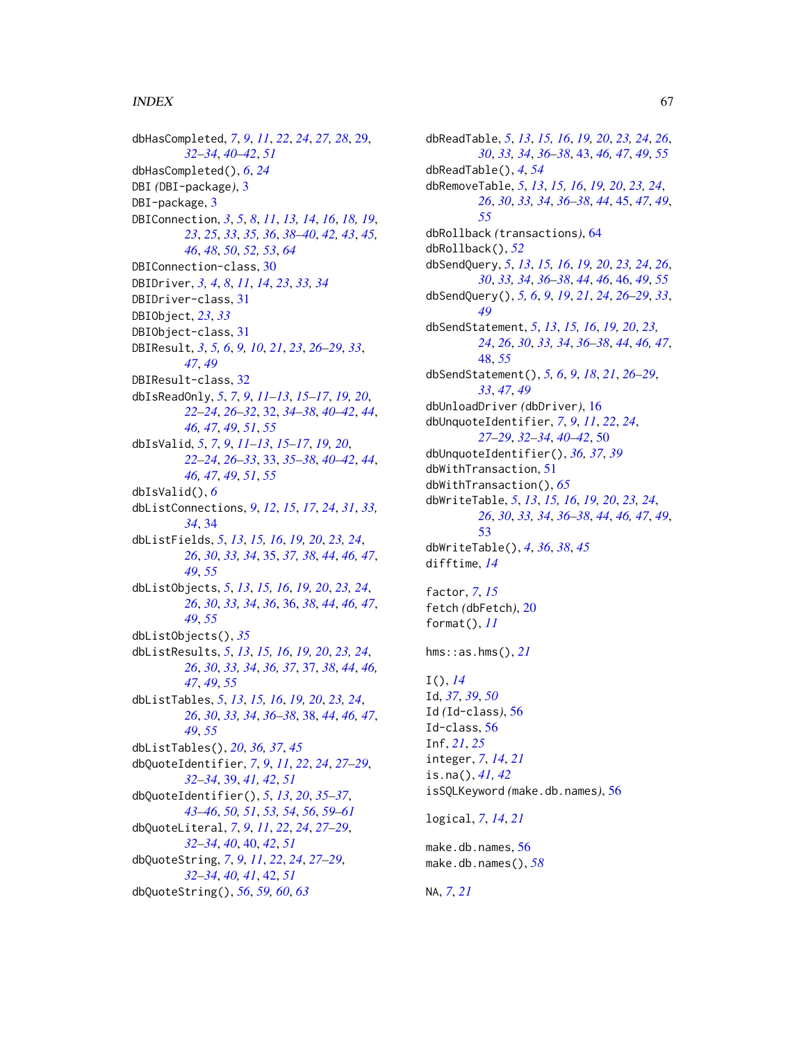# INDEX  $67$

dbHasCompleted, *[7](#page-6-0)*, *[9](#page-8-0)*, *[11](#page-10-0)*, *[22](#page-21-0)*, *[24](#page-23-0)*, *[27,](#page-26-0) [28](#page-27-0)*, [29,](#page-28-0) *[32](#page-31-0)[–34](#page-33-0)*, *[40](#page-39-0)[–42](#page-41-0)*, *[51](#page-50-0)* dbHasCompleted(), *[6](#page-5-0)*, *[24](#page-23-0)* DBI *(*DBI-package*)*, [3](#page-2-0) DBI-package, [3](#page-2-0) DBIConnection, *[3](#page-2-0)*, *[5](#page-4-0)*, *[8](#page-7-0)*, *[11](#page-10-0)*, *[13,](#page-12-0) [14](#page-13-0)*, *[16](#page-15-0)*, *[18,](#page-17-0) [19](#page-18-0)*, *[23](#page-22-0)*, *[25](#page-24-0)*, *[33](#page-32-0)*, *[35,](#page-34-0) [36](#page-35-0)*, *[38–](#page-37-0)[40](#page-39-0)*, *[42,](#page-41-0) [43](#page-42-0)*, *[45,](#page-44-0) [46](#page-45-0)*, *[48](#page-47-0)*, *[50](#page-49-0)*, *[52,](#page-51-0) [53](#page-52-0)*, *[64](#page-63-0)* DBIConnection-class, [30](#page-29-0) DBIDriver, *[3,](#page-2-0) [4](#page-3-0)*, *[8](#page-7-0)*, *[11](#page-10-0)*, *[14](#page-13-0)*, *[23](#page-22-0)*, *[33,](#page-32-0) [34](#page-33-0)* DBIDriver-class, [31](#page-30-0) DBIObject, *[23](#page-22-0)*, *[33](#page-32-0)* DBIObject-class, [31](#page-30-0) DBIResult, *[3](#page-2-0)*, *[5,](#page-4-0) [6](#page-5-0)*, *[9,](#page-8-0) [10](#page-9-0)*, *[21](#page-20-0)*, *[23](#page-22-0)*, *[26–](#page-25-0)[29](#page-28-0)*, *[33](#page-32-0)*, *[47](#page-46-0)*, *[49](#page-48-0)* DBIResult-class, [32](#page-31-0) dbIsReadOnly, *[5](#page-4-0)*, *[7](#page-6-0)*, *[9](#page-8-0)*, *[11–](#page-10-0)[13](#page-12-0)*, *[15–](#page-14-0)[17](#page-16-0)*, *[19,](#page-18-0) [20](#page-19-0)*, *[22](#page-21-0)[–24](#page-23-0)*, *[26](#page-25-0)[–32](#page-31-0)*, [32,](#page-31-0) *[34–](#page-33-0)[38](#page-37-0)*, *[40–](#page-39-0)[42](#page-41-0)*, *[44](#page-43-0)*, *[46,](#page-45-0) [47](#page-46-0)*, *[49](#page-48-0)*, *[51](#page-50-0)*, *[55](#page-54-0)* dbIsValid, *[5](#page-4-0)*, *[7](#page-6-0)*, *[9](#page-8-0)*, *[11](#page-10-0)[–13](#page-12-0)*, *[15–](#page-14-0)[17](#page-16-0)*, *[19,](#page-18-0) [20](#page-19-0)*, *[22](#page-21-0)[–24](#page-23-0)*, *[26](#page-25-0)[–33](#page-32-0)*, [33,](#page-32-0) *[35–](#page-34-0)[38](#page-37-0)*, *[40–](#page-39-0)[42](#page-41-0)*, *[44](#page-43-0)*, *[46,](#page-45-0) [47](#page-46-0)*, *[49](#page-48-0)*, *[51](#page-50-0)*, *[55](#page-54-0)* dbIsValid(), *[6](#page-5-0)* dbListConnections, *[9](#page-8-0)*, *[12](#page-11-0)*, *[15](#page-14-0)*, *[17](#page-16-0)*, *[24](#page-23-0)*, *[31](#page-30-0)*, *[33,](#page-32-0) [34](#page-33-0)*, [34](#page-33-0) dbListFields, *[5](#page-4-0)*, *[13](#page-12-0)*, *[15,](#page-14-0) [16](#page-15-0)*, *[19,](#page-18-0) [20](#page-19-0)*, *[23,](#page-22-0) [24](#page-23-0)*, *[26](#page-25-0)*, *[30](#page-29-0)*, *[33,](#page-32-0) [34](#page-33-0)*, [35,](#page-34-0) *[37,](#page-36-0) [38](#page-37-0)*, *[44](#page-43-0)*, *[46,](#page-45-0) [47](#page-46-0)*, *[49](#page-48-0)*, *[55](#page-54-0)* dbListObjects, *[5](#page-4-0)*, *[13](#page-12-0)*, *[15,](#page-14-0) [16](#page-15-0)*, *[19,](#page-18-0) [20](#page-19-0)*, *[23,](#page-22-0) [24](#page-23-0)*, *[26](#page-25-0)*, *[30](#page-29-0)*, *[33,](#page-32-0) [34](#page-33-0)*, *[36](#page-35-0)*, [36,](#page-35-0) *[38](#page-37-0)*, *[44](#page-43-0)*, *[46,](#page-45-0) [47](#page-46-0)*, *[49](#page-48-0)*, *[55](#page-54-0)* dbListObjects(), *[35](#page-34-0)* dbListResults, *[5](#page-4-0)*, *[13](#page-12-0)*, *[15,](#page-14-0) [16](#page-15-0)*, *[19,](#page-18-0) [20](#page-19-0)*, *[23,](#page-22-0) [24](#page-23-0)*, *[26](#page-25-0)*, *[30](#page-29-0)*, *[33,](#page-32-0) [34](#page-33-0)*, *[36,](#page-35-0) [37](#page-36-0)*, [37,](#page-36-0) *[38](#page-37-0)*, *[44](#page-43-0)*, *[46,](#page-45-0) [47](#page-46-0)*, *[49](#page-48-0)*, *[55](#page-54-0)* dbListTables, *[5](#page-4-0)*, *[13](#page-12-0)*, *[15,](#page-14-0) [16](#page-15-0)*, *[19,](#page-18-0) [20](#page-19-0)*, *[23,](#page-22-0) [24](#page-23-0)*, *[26](#page-25-0)*, *[30](#page-29-0)*, *[33,](#page-32-0) [34](#page-33-0)*, *[36–](#page-35-0)[38](#page-37-0)*, [38,](#page-37-0) *[44](#page-43-0)*, *[46,](#page-45-0) [47](#page-46-0)*, *[49](#page-48-0)*, *[55](#page-54-0)* dbListTables(), *[20](#page-19-0)*, *[36,](#page-35-0) [37](#page-36-0)*, *[45](#page-44-0)* dbQuoteIdentifier, *[7](#page-6-0)*, *[9](#page-8-0)*, *[11](#page-10-0)*, *[22](#page-21-0)*, *[24](#page-23-0)*, *[27–](#page-26-0)[29](#page-28-0)*, *[32](#page-31-0)[–34](#page-33-0)*, [39,](#page-38-0) *[41,](#page-40-0) [42](#page-41-0)*, *[51](#page-50-0)* dbQuoteIdentifier(), *[5](#page-4-0)*, *[13](#page-12-0)*, *[20](#page-19-0)*, *[35–](#page-34-0)[37](#page-36-0)*, *[43](#page-42-0)[–46](#page-45-0)*, *[50,](#page-49-0) [51](#page-50-0)*, *[53,](#page-52-0) [54](#page-53-0)*, *[56](#page-55-0)*, *[59–](#page-58-0)[61](#page-60-0)* dbQuoteLiteral, *[7](#page-6-0)*, *[9](#page-8-0)*, *[11](#page-10-0)*, *[22](#page-21-0)*, *[24](#page-23-0)*, *[27–](#page-26-0)[29](#page-28-0)*, *[32](#page-31-0)[–34](#page-33-0)*, *[40](#page-39-0)*, [40,](#page-39-0) *[42](#page-41-0)*, *[51](#page-50-0)* dbQuoteString, *[7](#page-6-0)*, *[9](#page-8-0)*, *[11](#page-10-0)*, *[22](#page-21-0)*, *[24](#page-23-0)*, *[27–](#page-26-0)[29](#page-28-0)*, *[32](#page-31-0)[–34](#page-33-0)*, *[40,](#page-39-0) [41](#page-40-0)*, [42,](#page-41-0) *[51](#page-50-0)* dbQuoteString(), *[56](#page-55-0)*, *[59,](#page-58-0) [60](#page-59-0)*, *[63](#page-62-0)*

dbReadTable, *[5](#page-4-0)*, *[13](#page-12-0)*, *[15,](#page-14-0) [16](#page-15-0)*, *[19,](#page-18-0) [20](#page-19-0)*, *[23,](#page-22-0) [24](#page-23-0)*, *[26](#page-25-0)*, *[30](#page-29-0)*, *[33,](#page-32-0) [34](#page-33-0)*, *[36](#page-35-0)[–38](#page-37-0)*, [43,](#page-42-0) *[46,](#page-45-0) [47](#page-46-0)*, *[49](#page-48-0)*, *[55](#page-54-0)* dbReadTable(), *[4](#page-3-0)*, *[54](#page-53-0)* dbRemoveTable, *[5](#page-4-0)*, *[13](#page-12-0)*, *[15,](#page-14-0) [16](#page-15-0)*, *[19,](#page-18-0) [20](#page-19-0)*, *[23,](#page-22-0) [24](#page-23-0)*, *[26](#page-25-0)*, *[30](#page-29-0)*, *[33,](#page-32-0) [34](#page-33-0)*, *[36](#page-35-0)[–38](#page-37-0)*, *[44](#page-43-0)*, [45,](#page-44-0) *[47](#page-46-0)*, *[49](#page-48-0)*, *[55](#page-54-0)* dbRollback *(*transactions*)*, [64](#page-63-0) dbRollback(), *[52](#page-51-0)* dbSendQuery, *[5](#page-4-0)*, *[13](#page-12-0)*, *[15,](#page-14-0) [16](#page-15-0)*, *[19,](#page-18-0) [20](#page-19-0)*, *[23,](#page-22-0) [24](#page-23-0)*, *[26](#page-25-0)*, *[30](#page-29-0)*, *[33,](#page-32-0) [34](#page-33-0)*, *[36](#page-35-0)[–38](#page-37-0)*, *[44](#page-43-0)*, *[46](#page-45-0)*, [46,](#page-45-0) *[49](#page-48-0)*, *[55](#page-54-0)* dbSendQuery(), *[5,](#page-4-0) [6](#page-5-0)*, *[9](#page-8-0)*, *[19](#page-18-0)*, *[21](#page-20-0)*, *[24](#page-23-0)*, *[26](#page-25-0)[–29](#page-28-0)*, *[33](#page-32-0)*, *[49](#page-48-0)* dbSendStatement, *[5](#page-4-0)*, *[13](#page-12-0)*, *[15,](#page-14-0) [16](#page-15-0)*, *[19,](#page-18-0) [20](#page-19-0)*, *[23,](#page-22-0) [24](#page-23-0)*, *[26](#page-25-0)*, *[30](#page-29-0)*, *[33,](#page-32-0) [34](#page-33-0)*, *[36](#page-35-0)[–38](#page-37-0)*, *[44](#page-43-0)*, *[46,](#page-45-0) [47](#page-46-0)*, [48,](#page-47-0) *[55](#page-54-0)* dbSendStatement(), *[5,](#page-4-0) [6](#page-5-0)*, *[9](#page-8-0)*, *[18](#page-17-0)*, *[21](#page-20-0)*, *[26](#page-25-0)[–29](#page-28-0)*, *[33](#page-32-0)*, *[47](#page-46-0)*, *[49](#page-48-0)* dbUnloadDriver *(*dbDriver*)*, [16](#page-15-0) dbUnquoteIdentifier, *[7](#page-6-0)*, *[9](#page-8-0)*, *[11](#page-10-0)*, *[22](#page-21-0)*, *[24](#page-23-0)*, *[27](#page-26-0)[–29](#page-28-0)*, *[32](#page-31-0)[–34](#page-33-0)*, *[40](#page-39-0)[–42](#page-41-0)*, [50](#page-49-0) dbUnquoteIdentifier(), *[36,](#page-35-0) [37](#page-36-0)*, *[39](#page-38-0)* dbWithTransaction, [51](#page-50-0) dbWithTransaction(), *[65](#page-64-0)* dbWriteTable, *[5](#page-4-0)*, *[13](#page-12-0)*, *[15,](#page-14-0) [16](#page-15-0)*, *[19,](#page-18-0) [20](#page-19-0)*, *[23,](#page-22-0) [24](#page-23-0)*, *[26](#page-25-0)*, *[30](#page-29-0)*, *[33,](#page-32-0) [34](#page-33-0)*, *[36](#page-35-0)[–38](#page-37-0)*, *[44](#page-43-0)*, *[46,](#page-45-0) [47](#page-46-0)*, *[49](#page-48-0)*, [53](#page-52-0) dbWriteTable(), *[4](#page-3-0)*, *[36](#page-35-0)*, *[38](#page-37-0)*, *[45](#page-44-0)* difftime, *[14](#page-13-0)*

factor, *[7](#page-6-0)*, *[15](#page-14-0)* fetch *(*dbFetch*)*, [20](#page-19-0) format(), *[11](#page-10-0)*

hms::as.hms(), *[21](#page-20-0)*

I(), *[14](#page-13-0)* Id, *[37](#page-36-0)*, *[39](#page-38-0)*, *[50](#page-49-0)* Id *(*Id-class*)*, [56](#page-55-0) Id-class, [56](#page-55-0) Inf, *[21](#page-20-0)*, *[25](#page-24-0)* integer, *[7](#page-6-0)*, *[14](#page-13-0)*, *[21](#page-20-0)* is.na(), *[41,](#page-40-0) [42](#page-41-0)* isSQLKeyword *(*make.db.names*)*, [56](#page-55-0)

logical, *[7](#page-6-0)*, *[14](#page-13-0)*, *[21](#page-20-0)*

make.db.names, [56](#page-55-0) make.db.names(), *[58](#page-57-0)*

NA, *[7](#page-6-0)*, *[21](#page-20-0)*